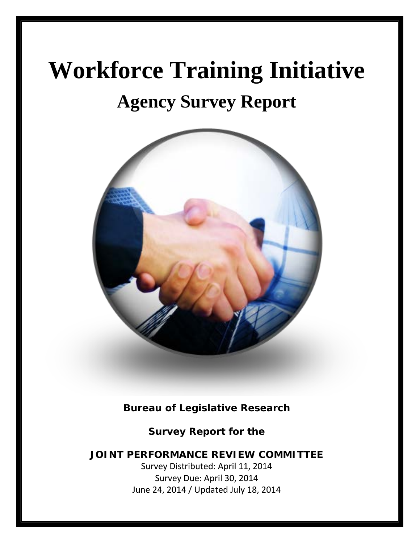# **Workforce Training Initiative**

## **Agency Survey Report**



**Bureau of Legislative Research** 

**Survey Report for the** 

**JOINT PERFORMANCE REVIEW COMMITTEE**

Survey Distributed: April 11, 2014 Survey Due: April 30, 2014 June 24, 2014 / Updated July 18, 2014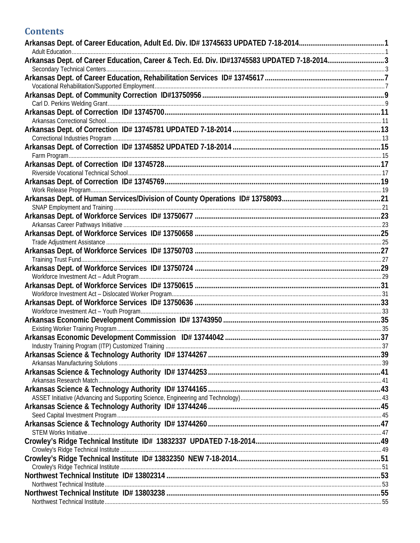#### **Contents**

| Arkansas Dept. of Career Education, Career & Tech. Ed. Div. ID#13745583 UPDATED 7-18-20143 |  |
|--------------------------------------------------------------------------------------------|--|
|                                                                                            |  |
|                                                                                            |  |
|                                                                                            |  |
|                                                                                            |  |
|                                                                                            |  |
|                                                                                            |  |
|                                                                                            |  |
|                                                                                            |  |
|                                                                                            |  |
|                                                                                            |  |
|                                                                                            |  |
|                                                                                            |  |
|                                                                                            |  |
|                                                                                            |  |
|                                                                                            |  |
|                                                                                            |  |
|                                                                                            |  |
|                                                                                            |  |
|                                                                                            |  |
|                                                                                            |  |
|                                                                                            |  |
|                                                                                            |  |
|                                                                                            |  |
|                                                                                            |  |
|                                                                                            |  |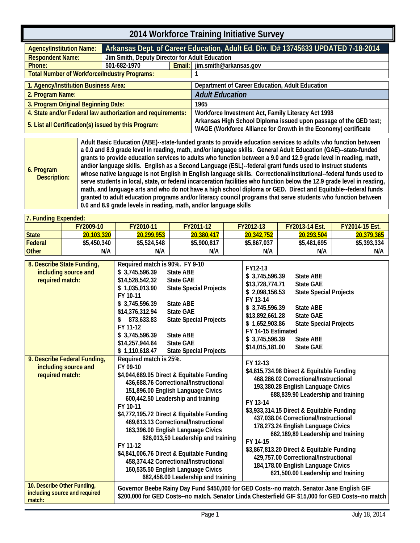<span id="page-4-0"></span>

| <b>Agency/Institution Name:</b>                             | Arkansas Dept. of Career Education, Adult Ed. Div. ID# 13745633 UPDATED 7-18-2014 |                                                |                                                                                                                                      |  |  |  |  |  |  |
|-------------------------------------------------------------|-----------------------------------------------------------------------------------|------------------------------------------------|--------------------------------------------------------------------------------------------------------------------------------------|--|--|--|--|--|--|
| <b>Respondent Name:</b>                                     |                                                                                   | Jim Smith, Deputy Director for Adult Education |                                                                                                                                      |  |  |  |  |  |  |
| Phone:                                                      | 501-682-1970                                                                      |                                                | Email: jim.smith@arkansas.gov                                                                                                        |  |  |  |  |  |  |
| <b>Total Number of Workforce/Industry Programs:</b>         |                                                                                   |                                                |                                                                                                                                      |  |  |  |  |  |  |
| 1. Agency/Institution Business Area:                        |                                                                                   |                                                | Department of Career Education, Adult Education                                                                                      |  |  |  |  |  |  |
| 2. Program Name:                                            |                                                                                   |                                                | <b>Adult Education</b>                                                                                                               |  |  |  |  |  |  |
| 3. Program Original Beginning Date:                         |                                                                                   |                                                | 1965                                                                                                                                 |  |  |  |  |  |  |
| 4. State and/or Federal law authorization and requirements: |                                                                                   |                                                | Workforce Investment Act, Family Literacy Act 1998                                                                                   |  |  |  |  |  |  |
| 5. List all Certification(s) issued by this Program:        |                                                                                   |                                                | Arkansas High School Diploma issued upon passage of the GED test;<br>WAGE (Workforce Alliance for Growth in the Economy) certificate |  |  |  |  |  |  |
|                                                             |                                                                                   |                                                |                                                                                                                                      |  |  |  |  |  |  |

<span id="page-4-1"></span>**6. Program Description: Adult Basic Education (ABE)--state-funded grants to provide education services to adults who function between a 0.0 and 8.9 grade level in reading, math, and/or language skills. General Adult Education (GAE)--state-funded grants to provide education services to adults who function between a 9.0 and 12.9 grade level in reading, math, and/or language skills. English as a Second Language (ESL)--federal grant funds used to instruct students whose native language is not English in English language skills. Correctional/institutional--federal funds used to serve students in local, state, or federal incarceration facilities who function below the 12.9 grade level in reading, math, and language arts and who do not have a high school diploma or GED. Direct and Equitable--federal funds granted to adult education programs and/or literacy council programs that serve students who function between 0.0 and 8.9 grade levels in reading, math, and/or language skills**

| 7. Funding Expended: |                                                    |                                                                     |                                                         |                                              |                                      |                       |
|----------------------|----------------------------------------------------|---------------------------------------------------------------------|---------------------------------------------------------|----------------------------------------------|--------------------------------------|-----------------------|
|                      | FY2009-10                                          | FY2010-11                                                           | FY2011-12                                               | FY2012-13                                    | <b>FY2013-14 Est.</b>                | <b>FY2014-15 Est.</b> |
| <b>State</b>         | 20,103,320                                         | 20,299,953                                                          | 20,380,417                                              | 20,342,752                                   | 20,293,504                           | 20,379,365            |
| Federal              | \$5,450,340                                        | \$5,524,548                                                         | \$5,900,817                                             | \$5,867,037                                  | \$5,481,695                          | \$5,393,334           |
| <b>Other</b>         | N/A                                                | N/A                                                                 | N/A                                                     | N/A                                          | N/A                                  | N/A                   |
| required match:      | 8. Describe State Funding,<br>including source and | Required match is 90%. FY 9-10<br>\$3,745,596.39<br>\$14,528,542,32 | State ABE<br><b>State GAE</b><br>Ctate Concial Draigate | FY12-13<br>\$3,745,596.39<br>\$13,728,774.71 | <b>State ABE</b><br><b>State GAE</b> |                       |

| required match:                                                         | \$14,528,542,32<br><b>State GAE</b><br>\$1,035,013.90<br><b>State Special Projects</b><br>FY 10-11<br>\$3,745,596.39<br><b>State ABE</b><br><b>State GAE</b><br>\$14,376,312.94<br><b>State Special Projects</b><br>873,633.83<br>FY 11-12<br>\$3,745,596.39<br><b>State ABE</b><br>\$14,257,944.64<br><b>State GAE</b><br>\$1,110,618.47<br><b>State Special Projects</b>                                                                                                                                                                                       | 7 ט.ט <i>ל</i> ט.ט דו,ט<br>υιαις πυ∟<br>\$13,728,774.71<br><b>State GAE</b><br>\$2,098,156.53<br><b>State Special Projects</b><br>FY 13-14<br>\$3,745,596.39<br><b>State ABE</b><br><b>State GAE</b><br>\$13,892,661.28<br>\$1,652,903.86<br><b>State Special Projects</b><br>FY 14-15 Estimated<br>\$3,745,596.39<br><b>State ABE</b><br>\$14,015,181.00<br><b>State GAE</b>                                                                                                                                                          |
|-------------------------------------------------------------------------|------------------------------------------------------------------------------------------------------------------------------------------------------------------------------------------------------------------------------------------------------------------------------------------------------------------------------------------------------------------------------------------------------------------------------------------------------------------------------------------------------------------------------------------------------------------|----------------------------------------------------------------------------------------------------------------------------------------------------------------------------------------------------------------------------------------------------------------------------------------------------------------------------------------------------------------------------------------------------------------------------------------------------------------------------------------------------------------------------------------|
| 9. Describe Federal Funding,<br>including source and<br>required match: | Required match is 25%.<br>FY 09-10<br>\$4,044,689.95 Direct & Equitable Funding<br>436,688.76 Correctional/Instructional<br>151,896.00 English Language Civics<br>600,442.50 Leadership and training<br>FY 10-11<br>\$4,772,195.72 Direct & Equitable Funding<br>469,613.13 Correctional/Instructional<br>163,396.00 English Language Civics<br>626,013,50 Leadership and training<br>FY 11-12<br>\$4,841,006.76 Direct & Equitable Funding<br>458,374.42 Correctional/Instructional<br>160,535.50 English Language Civics<br>682,458.00 Leadership and training | FY 12-13<br>\$4,815,734.98 Direct & Equitable Funding<br>468,286.02 Correctional/Instructional<br>193,380.28 English Language Civics<br>688,839.90 Leadership and training<br>FY 13-14<br>\$3,933,314.15 Direct & Equitable Funding<br>437,038.04 Correctional/Instructional<br>178,273.24 English Language Civics<br>662,189,89 Leadership and training<br>FY 14-15<br>\$3,867,813.20 Direct & Equitable Funding<br>429,757.00 Correctional/Instructional<br>184,178.00 English Language Civics<br>621,500.00 Leadership and training |
| 10. Describe Other Funding,<br>including source and required<br>match:  |                                                                                                                                                                                                                                                                                                                                                                                                                                                                                                                                                                  | Governor Beebe Rainy Day Fund \$450,000 for GED Costs--no match. Senator Jane English GIF<br>\$200,000 for GED Costs--no match. Senator Linda Chesterfield GIF \$15,000 for GED Costs--no match                                                                                                                                                                                                                                                                                                                                        |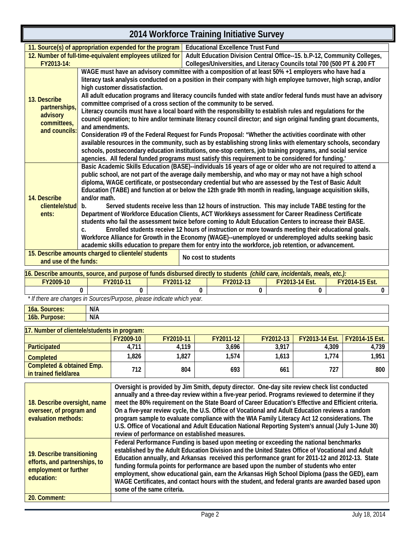|                                                                                                                                                                                                                  |                                                                                                                                                                                                                                |                                                                                                                                                                                                                            |           |          | ZUT4 WUINIUILE TTAIHING IHINANYE JUIVEY                                                                                                                                                                |   |           |                       |       |                |
|------------------------------------------------------------------------------------------------------------------------------------------------------------------------------------------------------------------|--------------------------------------------------------------------------------------------------------------------------------------------------------------------------------------------------------------------------------|----------------------------------------------------------------------------------------------------------------------------------------------------------------------------------------------------------------------------|-----------|----------|--------------------------------------------------------------------------------------------------------------------------------------------------------------------------------------------------------|---|-----------|-----------------------|-------|----------------|
| 11. Source(s) of appropriation expended for the program                                                                                                                                                          |                                                                                                                                                                                                                                |                                                                                                                                                                                                                            |           |          | <b>Educational Excellence Trust Fund</b>                                                                                                                                                               |   |           |                       |       |                |
|                                                                                                                                                                                                                  | 12. Number of full-time-equivalent employees utilized for<br>Adult Education Division Central Office--15. b.P-12, Community Colleges,<br>Colleges/Universities, and Literacy Councils total 700 (500 PT & 200 FT<br>FY2013-14: |                                                                                                                                                                                                                            |           |          |                                                                                                                                                                                                        |   |           |                       |       |                |
|                                                                                                                                                                                                                  |                                                                                                                                                                                                                                |                                                                                                                                                                                                                            |           |          | WAGE must have an advisory committee with a composition of at least 50% +1 employers who have had a                                                                                                    |   |           |                       |       |                |
|                                                                                                                                                                                                                  |                                                                                                                                                                                                                                |                                                                                                                                                                                                                            |           |          | literacy task analysis conducted on a position in their company with high employee turnover, high scrap, and/or                                                                                        |   |           |                       |       |                |
|                                                                                                                                                                                                                  |                                                                                                                                                                                                                                | high customer dissatisfaction.                                                                                                                                                                                             |           |          |                                                                                                                                                                                                        |   |           |                       |       |                |
|                                                                                                                                                                                                                  |                                                                                                                                                                                                                                |                                                                                                                                                                                                                            |           |          | All adult education programs and literacy councils funded with state and/or federal funds must have an advisory                                                                                        |   |           |                       |       |                |
| 13. Describe<br>partnerships,                                                                                                                                                                                    |                                                                                                                                                                                                                                |                                                                                                                                                                                                                            |           |          | committee comprised of a cross section of the community to be served.                                                                                                                                  |   |           |                       |       |                |
| advisory                                                                                                                                                                                                         |                                                                                                                                                                                                                                |                                                                                                                                                                                                                            |           |          | Literacy councils must have a local board with the responsibility to establish rules and regulations for the                                                                                           |   |           |                       |       |                |
| committees,                                                                                                                                                                                                      |                                                                                                                                                                                                                                |                                                                                                                                                                                                                            |           |          | council operation; to hire and/or terminate literacy council director; and sign original funding grant documents,                                                                                      |   |           |                       |       |                |
| and councils:                                                                                                                                                                                                    | and amendments.                                                                                                                                                                                                                |                                                                                                                                                                                                                            |           |          |                                                                                                                                                                                                        |   |           |                       |       |                |
|                                                                                                                                                                                                                  |                                                                                                                                                                                                                                | Consideration #9 of the Federal Request for Funds Proposal: "Whether the activities coordinate with other<br>available resources in the community, such as by establishing strong links with elementary schools, secondary |           |          |                                                                                                                                                                                                        |   |           |                       |       |                |
|                                                                                                                                                                                                                  |                                                                                                                                                                                                                                |                                                                                                                                                                                                                            |           |          | schools, postsecondary education institutions, one-stop centers, job training programs, and social service                                                                                             |   |           |                       |       |                |
|                                                                                                                                                                                                                  |                                                                                                                                                                                                                                |                                                                                                                                                                                                                            |           |          | agencies. All federal funded programs must satisfy this requirement to be considered for funding.'                                                                                                     |   |           |                       |       |                |
|                                                                                                                                                                                                                  |                                                                                                                                                                                                                                |                                                                                                                                                                                                                            |           |          | Basic Academic Skills Education (BASE)--individuals 16 years of age or older who are not required to attend a                                                                                          |   |           |                       |       |                |
|                                                                                                                                                                                                                  |                                                                                                                                                                                                                                |                                                                                                                                                                                                                            |           |          | public school, are not part of the average daily membership, and who may or may not have a high school                                                                                                 |   |           |                       |       |                |
|                                                                                                                                                                                                                  |                                                                                                                                                                                                                                |                                                                                                                                                                                                                            |           |          | diploma, WAGE certificate, or postsecondary credential but who are assessed by the Test of Basic Adult                                                                                                 |   |           |                       |       |                |
|                                                                                                                                                                                                                  |                                                                                                                                                                                                                                |                                                                                                                                                                                                                            |           |          | Education (TABE) and function at or below the 12th grade 9th month in reading, language acquisition skills,                                                                                            |   |           |                       |       |                |
| 14. Describe<br>clientele/stud                                                                                                                                                                                   | and/or math.<br>$b_{1}$                                                                                                                                                                                                        |                                                                                                                                                                                                                            |           |          | Served students receive less than 12 hours of instruction. This may include TABE testing for the                                                                                                       |   |           |                       |       |                |
| ents:                                                                                                                                                                                                            |                                                                                                                                                                                                                                |                                                                                                                                                                                                                            |           |          | Department of Workforce Education Clients, ACT Workkeys assessment for Career Readiness Certificate                                                                                                    |   |           |                       |       |                |
|                                                                                                                                                                                                                  |                                                                                                                                                                                                                                |                                                                                                                                                                                                                            |           |          | students who fail the assessment twice before coming to Adult Education Centers to increase their BASE.                                                                                                |   |           |                       |       |                |
|                                                                                                                                                                                                                  | C.                                                                                                                                                                                                                             |                                                                                                                                                                                                                            |           |          | Enrolled students receive 12 hours of instruction or more towards meeting their educational goals.                                                                                                     |   |           |                       |       |                |
|                                                                                                                                                                                                                  |                                                                                                                                                                                                                                |                                                                                                                                                                                                                            |           |          | Workforce Alliance for Growth in the Economy (WAGE)--unemployed or underemployed adults seeking basic                                                                                                  |   |           |                       |       |                |
|                                                                                                                                                                                                                  |                                                                                                                                                                                                                                |                                                                                                                                                                                                                            |           |          | academic skills education to prepare them for entry into the workforce, job retention, or advancement.                                                                                                 |   |           |                       |       |                |
| 15. Describe amounts charged to clientele/ students<br>and use of the funds:                                                                                                                                     |                                                                                                                                                                                                                                |                                                                                                                                                                                                                            |           |          | No cost to students                                                                                                                                                                                    |   |           |                       |       |                |
|                                                                                                                                                                                                                  |                                                                                                                                                                                                                                |                                                                                                                                                                                                                            |           |          |                                                                                                                                                                                                        |   |           |                       |       |                |
| 16. Describe amounts, source, and purpose of funds disbursed directly to students (child care, incidentals, meals, etc.):                                                                                        |                                                                                                                                                                                                                                |                                                                                                                                                                                                                            |           |          |                                                                                                                                                                                                        |   |           |                       |       |                |
| FY2009-10                                                                                                                                                                                                        |                                                                                                                                                                                                                                | FY2010-11                                                                                                                                                                                                                  | FY2011-12 |          | FY2012-13                                                                                                                                                                                              |   |           | FY2013-14 Est.        |       | FY2014-15 Est. |
| * If there are changes in Sources/Purpose, please indicate which year.                                                                                                                                           | 0                                                                                                                                                                                                                              | 0                                                                                                                                                                                                                          |           | $\Omega$ |                                                                                                                                                                                                        | 0 |           | 0                     |       | 0              |
|                                                                                                                                                                                                                  | N/A                                                                                                                                                                                                                            |                                                                                                                                                                                                                            |           |          |                                                                                                                                                                                                        |   |           |                       |       |                |
| 16a. Sources:<br>16b. Purpose:                                                                                                                                                                                   | N/A                                                                                                                                                                                                                            |                                                                                                                                                                                                                            |           |          |                                                                                                                                                                                                        |   |           |                       |       |                |
|                                                                                                                                                                                                                  |                                                                                                                                                                                                                                |                                                                                                                                                                                                                            |           |          |                                                                                                                                                                                                        |   |           |                       |       |                |
| 17. Number of clientele/students in program:                                                                                                                                                                     |                                                                                                                                                                                                                                |                                                                                                                                                                                                                            |           |          |                                                                                                                                                                                                        |   |           |                       |       |                |
|                                                                                                                                                                                                                  |                                                                                                                                                                                                                                | FY2009-10                                                                                                                                                                                                                  | FY2010-11 |          | FY2011-12                                                                                                                                                                                              |   | FY2012-13 | <b>FY2013-14 Est.</b> |       | FY2014-15 Est. |
| Participated                                                                                                                                                                                                     |                                                                                                                                                                                                                                | 4,711                                                                                                                                                                                                                      | 4,119     |          | 3,696                                                                                                                                                                                                  |   | 3,917     |                       | 4,309 | 4,739          |
| <b>Completed</b>                                                                                                                                                                                                 |                                                                                                                                                                                                                                | 1,826                                                                                                                                                                                                                      | 1,827     |          | 1,574                                                                                                                                                                                                  |   | 1,613     |                       | 1,774 | 1,951          |
| Completed & obtained Emp.<br>in trained field/area                                                                                                                                                               |                                                                                                                                                                                                                                | 712                                                                                                                                                                                                                        |           | 804      | 693                                                                                                                                                                                                    |   | 661       |                       | 727   | 800            |
|                                                                                                                                                                                                                  |                                                                                                                                                                                                                                |                                                                                                                                                                                                                            |           |          |                                                                                                                                                                                                        |   |           |                       |       |                |
|                                                                                                                                                                                                                  |                                                                                                                                                                                                                                |                                                                                                                                                                                                                            |           |          | Oversight is provided by Jim Smith, deputy director. One-day site review check list conducted                                                                                                          |   |           |                       |       |                |
|                                                                                                                                                                                                                  |                                                                                                                                                                                                                                |                                                                                                                                                                                                                            |           |          | annually and a three-day review within a five-year period. Programs reviewed to determine if they                                                                                                      |   |           |                       |       |                |
| 18. Describe oversight, name<br>overseer, of program and                                                                                                                                                         |                                                                                                                                                                                                                                |                                                                                                                                                                                                                            |           |          | meet the 80% requirement on the State Board of Career Education's Effective and Efficient criteria.<br>On a five-year review cycle, the U.S. Office of Vocational and Adult Education reviews a random |   |           |                       |       |                |
| evaluation methods:                                                                                                                                                                                              |                                                                                                                                                                                                                                |                                                                                                                                                                                                                            |           |          | program sample to evaluate compliance with the WIA Family Literacy Act 12 considerations. The                                                                                                          |   |           |                       |       |                |
|                                                                                                                                                                                                                  |                                                                                                                                                                                                                                |                                                                                                                                                                                                                            |           |          | U.S. Office of Vocational and Adult Education National Reporting System's annual (July 1-June 30)                                                                                                      |   |           |                       |       |                |
|                                                                                                                                                                                                                  |                                                                                                                                                                                                                                |                                                                                                                                                                                                                            |           |          | review of performance on established measures.                                                                                                                                                         |   |           |                       |       |                |
|                                                                                                                                                                                                                  |                                                                                                                                                                                                                                |                                                                                                                                                                                                                            |           |          | Federal Performance Funding is based upon meeting or exceeding the national benchmarks                                                                                                                 |   |           |                       |       |                |
| 19. Describe transitioning                                                                                                                                                                                       |                                                                                                                                                                                                                                |                                                                                                                                                                                                                            |           |          | established by the Adult Education Division and the United States Office of Vocational and Adult                                                                                                       |   |           |                       |       |                |
| efforts, and partnerships, to                                                                                                                                                                                    |                                                                                                                                                                                                                                |                                                                                                                                                                                                                            |           |          | Education annually, and Arkansas received this performance grant for 2011-12 and 2012-13. State                                                                                                        |   |           |                       |       |                |
| funding formula points for performance are based upon the number of students who enter<br>employment or further<br>employment, show educational gain, earn the Arkansas High School Diploma (nass the CED), earn |                                                                                                                                                                                                                                |                                                                                                                                                                                                                            |           |          |                                                                                                                                                                                                        |   |           |                       |       |                |

**20. Comment:**

**education:**

**some of the same criteria.**

**employment, show educational gain, earn the Arkansas High School Diploma (pass the GED), earn WAGE Certificates, and contact hours with the student, and federal grants are awarded based upon**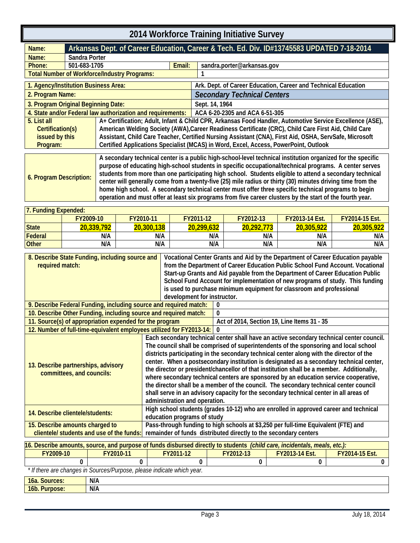<span id="page-6-1"></span><span id="page-6-0"></span>

| 2014 Workforce Training Initiative Survey                                                                                                                                                                                                                                                                                                                                                                                                                                                                                                                                                                                                                                                        |        |                       |        |                        |                                                                                                          |                                     |                                      |  |
|--------------------------------------------------------------------------------------------------------------------------------------------------------------------------------------------------------------------------------------------------------------------------------------------------------------------------------------------------------------------------------------------------------------------------------------------------------------------------------------------------------------------------------------------------------------------------------------------------------------------------------------------------------------------------------------------------|--------|-----------------------|--------|------------------------|----------------------------------------------------------------------------------------------------------|-------------------------------------|--------------------------------------|--|
| Arkansas Dept. of Career Education, Career & Tech. Ed. Div. ID#13745583 UPDATED 7-18-2014<br>Name:                                                                                                                                                                                                                                                                                                                                                                                                                                                                                                                                                                                               |        |                       |        |                        |                                                                                                          |                                     |                                      |  |
| Name:<br>Sandra Porter                                                                                                                                                                                                                                                                                                                                                                                                                                                                                                                                                                                                                                                                           |        |                       |        |                        |                                                                                                          |                                     |                                      |  |
| 501-683-1705<br>Phone:                                                                                                                                                                                                                                                                                                                                                                                                                                                                                                                                                                                                                                                                           |        |                       | Email: |                        | sandra.porter@arkansas.gov                                                                               |                                     |                                      |  |
| <b>Total Number of Workforce/Industry Programs:</b>                                                                                                                                                                                                                                                                                                                                                                                                                                                                                                                                                                                                                                              |        |                       |        |                        |                                                                                                          |                                     |                                      |  |
| 1. Agency/Institution Business Area:                                                                                                                                                                                                                                                                                                                                                                                                                                                                                                                                                                                                                                                             |        |                       |        |                        | Ark. Dept. of Career Education, Career and Technical Education                                           |                                     |                                      |  |
| 2. Program Name:                                                                                                                                                                                                                                                                                                                                                                                                                                                                                                                                                                                                                                                                                 |        |                       |        |                        | <b>Secondary Technical Centers</b>                                                                       |                                     |                                      |  |
| 3. Program Original Beginning Date:                                                                                                                                                                                                                                                                                                                                                                                                                                                                                                                                                                                                                                                              |        |                       |        | Sept. 14, 1964         |                                                                                                          |                                     |                                      |  |
| 4. State and/or Federal law authorization and requirements:   ACA 6-20-2305 and ACA 6-51-305                                                                                                                                                                                                                                                                                                                                                                                                                                                                                                                                                                                                     |        |                       |        |                        |                                                                                                          |                                     |                                      |  |
| 5. List all                                                                                                                                                                                                                                                                                                                                                                                                                                                                                                                                                                                                                                                                                      |        |                       |        |                        | A+ Certification; Adult, Infant & Child CPR, Arkansas Food Handler, Automotive Service Excellence (ASE), |                                     |                                      |  |
| Certification(s)                                                                                                                                                                                                                                                                                                                                                                                                                                                                                                                                                                                                                                                                                 |        |                       |        |                        | American Welding Society (AWA), Career Readiness Certificate (CRC), Child Care First Aid, Child Care     |                                     |                                      |  |
| issued by this                                                                                                                                                                                                                                                                                                                                                                                                                                                                                                                                                                                                                                                                                   |        |                       |        |                        | Assistant, Child Care Teacher, Certified Nursing Assistant (CNA), First Aid, OSHA, ServSafe, Microsoft   |                                     |                                      |  |
| Program:                                                                                                                                                                                                                                                                                                                                                                                                                                                                                                                                                                                                                                                                                         |        |                       |        |                        | Certified Applications Specialist (MCAS) in Word, Excel, Access, PowerPoint, Outlook                     |                                     |                                      |  |
| A secondary technical center is a public high-school-level technical institution organized for the specific<br>purpose of educating high-school students in specific occupational/technical programs. A center serves<br>students from more than one participating high school. Students eligible to attend a secondary technical<br>6. Program Description:<br>center will generally come from a twenty-five (25) mile radius or thirty (30) minutes driving time from the<br>home high school. A secondary technical center must offer three specific technical programs to begin<br>operation and must offer at least six programs from five career clusters by the start of the fourth year. |        |                       |        |                        |                                                                                                          |                                     |                                      |  |
| 7. Funding Expended:                                                                                                                                                                                                                                                                                                                                                                                                                                                                                                                                                                                                                                                                             |        |                       |        |                        |                                                                                                          |                                     |                                      |  |
| FY2009-10<br>0.111                                                                                                                                                                                                                                                                                                                                                                                                                                                                                                                                                                                                                                                                               | 20.220 | FY2010-11<br>20.20012 |        | FY2011-12<br>20.200122 | FY2012-13<br>20.222                                                                                      | <b>FY2013-14 Est.</b><br>20.205.222 | FY2014-15 Est.<br><u>oo aan aan </u> |  |

| $1.1$ and $1.4$ and $2.7$ |            |            |            |                |                       |                       |
|---------------------------|------------|------------|------------|----------------|-----------------------|-----------------------|
|                           | FY2009-10  | FY2010-11  | FY2011-12  | FY2012-13      | <b>FY2013-14 Est.</b> | <b>FY2014-15 Est.</b> |
| <b>State</b>              | 20,339,792 | 20,300,138 | 20,299,632 | 773<br>20,292, | 20,305,922            | 20,305,922            |
| Federal                   | N/A        | N/A        | N/A        | N/A            | N/A                   | N/A                   |
| <b>Other</b>              | N/A        | N/A        | N/A        | N/A            | N/A                   | N/A                   |
|                           |            |            |            |                |                       |                       |

| 8. Describe State Funding, including source and<br>required match:   |                               | Vocational Center Grants and Aid by the Department of Career Education payable<br>from the Department of Career Education Public School Fund Account. Vocational |  |  |  |  |
|----------------------------------------------------------------------|-------------------------------|------------------------------------------------------------------------------------------------------------------------------------------------------------------|--|--|--|--|
|                                                                      |                               | Start-up Grants and Aid payable from the Department of Career Education Public                                                                                   |  |  |  |  |
|                                                                      |                               | School Fund Account for implementation of new programs of study. This funding                                                                                    |  |  |  |  |
|                                                                      |                               | is used to purchase minimum equipment for classroom and professional                                                                                             |  |  |  |  |
|                                                                      | development for instructor.   |                                                                                                                                                                  |  |  |  |  |
| 9. Describe Federal Funding, including source and required match:    |                               | 0                                                                                                                                                                |  |  |  |  |
| 10. Describe Other Funding, including source and required match:     |                               | 0                                                                                                                                                                |  |  |  |  |
| 11. Source(s) of appropriation expended for the program              |                               | Act of 2014, Section 19, Line Items 31 - 35                                                                                                                      |  |  |  |  |
| 12. Number of full-time-equivalent employees utilized for FY2013-14: |                               | $\mathbf{0}$                                                                                                                                                     |  |  |  |  |
|                                                                      |                               | Each secondary technical center shall have an active secondary technical center council.                                                                         |  |  |  |  |
|                                                                      |                               | The council shall be comprised of superintendents of the sponsoring and local school                                                                             |  |  |  |  |
|                                                                      |                               | districts participating in the secondary technical center along with the director of the                                                                         |  |  |  |  |
| 13. Describe partnerships, advisory                                  |                               | center. When a postsecondary institution is designated as a secondary technical center,                                                                          |  |  |  |  |
|                                                                      |                               | the director or president/chancellor of that institution shall be a member. Additionally,                                                                        |  |  |  |  |
| committees, and councils:                                            |                               | where secondary technical centers are sponsored by an education service cooperative,                                                                             |  |  |  |  |
|                                                                      |                               | the director shall be a member of the council. The secondary technical center council                                                                            |  |  |  |  |
|                                                                      |                               | shall serve in an advisory capacity for the secondary technical center in all areas of                                                                           |  |  |  |  |
|                                                                      | administration and operation. |                                                                                                                                                                  |  |  |  |  |
|                                                                      |                               | High school students (grades 10-12) who are enrolled in approved career and technical                                                                            |  |  |  |  |
| 14. Describe clientele/students:                                     | education programs of study   |                                                                                                                                                                  |  |  |  |  |
| 15. Describe amounts charged to                                      |                               | Pass-through funding to high schools at \$3,250 per full-time Equivalent (FTE) and                                                                               |  |  |  |  |
| clientele/ students and use of the funds:                            |                               | remainder of funds distributed directly to the secondary centers                                                                                                 |  |  |  |  |
|                                                                      |                               |                                                                                                                                                                  |  |  |  |  |

| 16. Describe amounts, source, and purpose of funds disbursed directly to students (child care, incidentals, meals, etc.): |                                                                        |                                                 |  |  |  |  |  |  |  |  |
|---------------------------------------------------------------------------------------------------------------------------|------------------------------------------------------------------------|-------------------------------------------------|--|--|--|--|--|--|--|--|
| FY2009-10                                                                                                                 | FY2010-11                                                              | <b>FY2013-14 Est.</b><br>FY2011-12<br>FY2012-13 |  |  |  |  |  |  |  |  |
|                                                                                                                           |                                                                        |                                                 |  |  |  |  |  |  |  |  |
|                                                                                                                           | * If there are changes in Sources/Purpose, please indicate which year. |                                                 |  |  |  |  |  |  |  |  |
| <b>16a. Sources:</b>                                                                                                      | N/A                                                                    |                                                 |  |  |  |  |  |  |  |  |
| 16b. Purpose:                                                                                                             | N/A                                                                    |                                                 |  |  |  |  |  |  |  |  |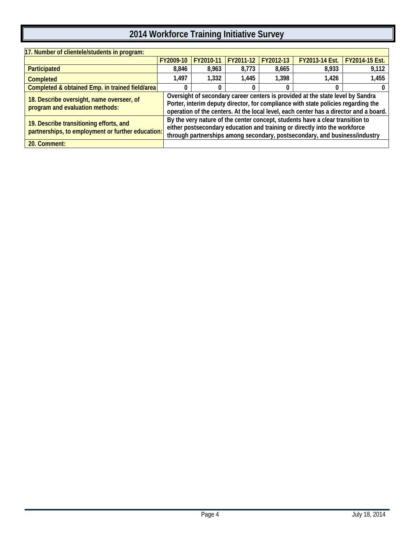| 17. Number of clientele/students in program:                                                 |                                                                                                                                                                                                                                           |           |           |           |                                                                                                                                                                                                                                                              |                       |  |  |
|----------------------------------------------------------------------------------------------|-------------------------------------------------------------------------------------------------------------------------------------------------------------------------------------------------------------------------------------------|-----------|-----------|-----------|--------------------------------------------------------------------------------------------------------------------------------------------------------------------------------------------------------------------------------------------------------------|-----------------------|--|--|
|                                                                                              | FY2009-10                                                                                                                                                                                                                                 | FY2010-11 | FY2011-12 | FY2012-13 | <b>FY2013-14 Est.</b>                                                                                                                                                                                                                                        | <b>FY2014-15 Est.</b> |  |  |
| Participated                                                                                 | 8,846                                                                                                                                                                                                                                     | 8,963     | 8,773     | 8.665     | 8,933                                                                                                                                                                                                                                                        | 9,112                 |  |  |
| <b>Completed</b>                                                                             | 1,497                                                                                                                                                                                                                                     | 1.332     | 1,445     | 1.398     | 1.426                                                                                                                                                                                                                                                        | 1,455                 |  |  |
| Completed & obtained Emp. in trained field/area                                              |                                                                                                                                                                                                                                           |           |           |           |                                                                                                                                                                                                                                                              |                       |  |  |
| 18. Describe oversight, name overseer, of<br>program and evaluation methods:                 |                                                                                                                                                                                                                                           |           |           |           | Oversight of secondary career centers is provided at the state level by Sandra<br>Porter, interim deputy director, for compliance with state policies regarding the<br>operation of the centers. At the local level, each center has a director and a board. |                       |  |  |
| 19. Describe transitioning efforts, and<br>partnerships, to employment or further education: | By the very nature of the center concept, students have a clear transition to<br>either postsecondary education and training or directly into the workforce<br>through partnerships among secondary, postsecondary, and business/industry |           |           |           |                                                                                                                                                                                                                                                              |                       |  |  |
| 20. Comment:                                                                                 |                                                                                                                                                                                                                                           |           |           |           |                                                                                                                                                                                                                                                              |                       |  |  |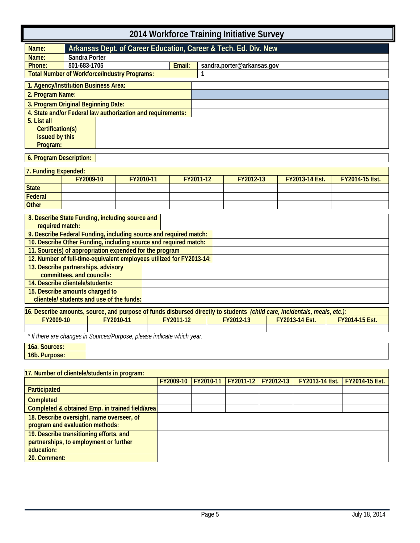|                                    |                                                                                                                           |           | 2014 Workforce Training Initiative Survey |           |                            |           |                |                |
|------------------------------------|---------------------------------------------------------------------------------------------------------------------------|-----------|-------------------------------------------|-----------|----------------------------|-----------|----------------|----------------|
| Name:                              | Arkansas Dept. of Career Education, Career & Tech. Ed. Div. New                                                           |           |                                           |           |                            |           |                |                |
| Name:                              | Sandra Porter                                                                                                             |           |                                           |           |                            |           |                |                |
| Phone:                             | 501-683-1705                                                                                                              |           | Email:                                    |           | sandra.porter@arkansas.gov |           |                |                |
|                                    | <b>Total Number of Workforce/Industry Programs:</b>                                                                       |           |                                           |           |                            |           |                |                |
|                                    | 1. Agency/Institution Business Area:                                                                                      |           |                                           |           |                            |           |                |                |
| 2. Program Name:                   |                                                                                                                           |           |                                           |           |                            |           |                |                |
|                                    | 3. Program Original Beginning Date:                                                                                       |           |                                           |           |                            |           |                |                |
|                                    | 4. State and/or Federal law authorization and requirements:                                                               |           |                                           |           |                            |           |                |                |
| 5. List all                        |                                                                                                                           |           |                                           |           |                            |           |                |                |
| Certification(s)<br>issued by this |                                                                                                                           |           |                                           |           |                            |           |                |                |
| Program:                           |                                                                                                                           |           |                                           |           |                            |           |                |                |
|                                    |                                                                                                                           |           |                                           |           |                            |           |                |                |
| 6. Program Description:            |                                                                                                                           |           |                                           |           |                            |           |                |                |
| 7. Funding Expended:               |                                                                                                                           |           |                                           |           |                            |           |                |                |
|                                    | FY2009-10                                                                                                                 | FY2010-11 |                                           | FY2011-12 | FY2012-13                  |           | FY2013-14 Est. | FY2014-15 Est. |
| <b>State</b>                       |                                                                                                                           |           |                                           |           |                            |           |                |                |
| <b>Federal</b>                     |                                                                                                                           |           |                                           |           |                            |           |                |                |
| <b>Other</b>                       |                                                                                                                           |           |                                           |           |                            |           |                |                |
|                                    | 8. Describe State Funding, including source and                                                                           |           |                                           |           |                            |           |                |                |
| required match:                    |                                                                                                                           |           |                                           |           |                            |           |                |                |
|                                    | 9. Describe Federal Funding, including source and required match:                                                         |           |                                           |           |                            |           |                |                |
|                                    | 10. Describe Other Funding, including source and required match:                                                          |           |                                           |           |                            |           |                |                |
|                                    | 11. Source(s) of appropriation expended for the program                                                                   |           |                                           |           |                            |           |                |                |
|                                    | 12. Number of full-time-equivalent employees utilized for FY2013-14:                                                      |           |                                           |           |                            |           |                |                |
|                                    | 13. Describe partnerships, advisory<br>committees, and councils:                                                          |           |                                           |           |                            |           |                |                |
|                                    | 14. Describe clientele/students:                                                                                          |           |                                           |           |                            |           |                |                |
|                                    | 15. Describe amounts charged to                                                                                           |           |                                           |           |                            |           |                |                |
|                                    | clientele/ students and use of the funds:                                                                                 |           |                                           |           |                            |           |                |                |
|                                    | 16. Describe amounts, source, and purpose of funds disbursed directly to students (child care, incidentals, meals, etc.): |           |                                           |           |                            |           |                |                |
| FY2009-10                          |                                                                                                                           | FY2010-11 | FY2011-12                                 |           | FY2012-13                  |           | FY2013-14 Est. | FY2014-15 Est. |
|                                    |                                                                                                                           |           |                                           |           |                            |           |                |                |
|                                    | * If there are changes in Sources/Purpose, please indicate which year.                                                    |           |                                           |           |                            |           |                |                |
| 16a. Sources:                      |                                                                                                                           |           |                                           |           |                            |           |                |                |
| 16b. Purpose:                      |                                                                                                                           |           |                                           |           |                            |           |                |                |
|                                    |                                                                                                                           |           |                                           |           |                            |           |                |                |
|                                    | 17. Number of clientele/students in program:                                                                              |           |                                           |           |                            |           |                |                |
|                                    |                                                                                                                           |           | FY2009-10                                 | FY2010-11 | FY2011-12                  | FY2012-13 | FY2013-14 Est. | FY2014-15 Est. |
| Participated                       |                                                                                                                           |           |                                           |           |                            |           |                |                |
| Completed                          |                                                                                                                           |           |                                           |           |                            |           |                |                |

| <u>r</u> al ligipaleu                           |  |  |  |
|-------------------------------------------------|--|--|--|
| <b>Completed</b>                                |  |  |  |
| Completed & obtained Emp. in trained field/area |  |  |  |
| 18. Describe oversight, name overseer, of       |  |  |  |
| program and evaluation methods:                 |  |  |  |
| 19. Describe transitioning efforts, and         |  |  |  |
| partnerships, to employment or further          |  |  |  |
| education:                                      |  |  |  |
| 20. Comment:                                    |  |  |  |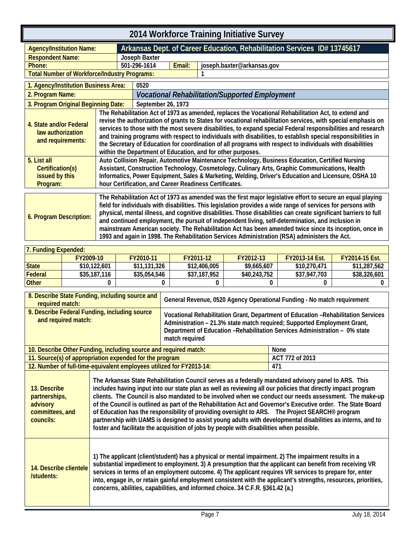<span id="page-10-1"></span><span id="page-10-0"></span>

| 2014 Workforce Training Initiative Survey                                                                                                                                                                                                                                                                                                                                                                                                                                                                                                                                                                                                                                                   |                                                                                                                                                                                                                                                                                                                                                                                                                                                                                                                                                                                                                                    |                    |        |                                                                          |  |
|---------------------------------------------------------------------------------------------------------------------------------------------------------------------------------------------------------------------------------------------------------------------------------------------------------------------------------------------------------------------------------------------------------------------------------------------------------------------------------------------------------------------------------------------------------------------------------------------------------------------------------------------------------------------------------------------|------------------------------------------------------------------------------------------------------------------------------------------------------------------------------------------------------------------------------------------------------------------------------------------------------------------------------------------------------------------------------------------------------------------------------------------------------------------------------------------------------------------------------------------------------------------------------------------------------------------------------------|--------------------|--------|--------------------------------------------------------------------------|--|
| <b>Agency/Institution Name:</b>                                                                                                                                                                                                                                                                                                                                                                                                                                                                                                                                                                                                                                                             |                                                                                                                                                                                                                                                                                                                                                                                                                                                                                                                                                                                                                                    |                    |        | Arkansas Dept. of Career Education, Rehabilitation Services ID# 13745617 |  |
| <b>Respondent Name:</b>                                                                                                                                                                                                                                                                                                                                                                                                                                                                                                                                                                                                                                                                     |                                                                                                                                                                                                                                                                                                                                                                                                                                                                                                                                                                                                                                    | Joseph Baxter      |        |                                                                          |  |
| Phone:                                                                                                                                                                                                                                                                                                                                                                                                                                                                                                                                                                                                                                                                                      |                                                                                                                                                                                                                                                                                                                                                                                                                                                                                                                                                                                                                                    | 501-296-1614       | Email: | joseph.baxter@arkansas.gov                                               |  |
| <b>Total Number of Workforce/Industry Programs:</b>                                                                                                                                                                                                                                                                                                                                                                                                                                                                                                                                                                                                                                         |                                                                                                                                                                                                                                                                                                                                                                                                                                                                                                                                                                                                                                    |                    |        |                                                                          |  |
| 1. Agency/Institution Business Area:                                                                                                                                                                                                                                                                                                                                                                                                                                                                                                                                                                                                                                                        |                                                                                                                                                                                                                                                                                                                                                                                                                                                                                                                                                                                                                                    | 0520               |        |                                                                          |  |
| 2. Program Name:                                                                                                                                                                                                                                                                                                                                                                                                                                                                                                                                                                                                                                                                            |                                                                                                                                                                                                                                                                                                                                                                                                                                                                                                                                                                                                                                    |                    |        | <b>Vocational Rehabilitation/Supported Employment</b>                    |  |
| 3. Program Original Beginning Date:                                                                                                                                                                                                                                                                                                                                                                                                                                                                                                                                                                                                                                                         |                                                                                                                                                                                                                                                                                                                                                                                                                                                                                                                                                                                                                                    | September 26, 1973 |        |                                                                          |  |
| 4. State and/or Federal<br>law authorization<br>and requirements:                                                                                                                                                                                                                                                                                                                                                                                                                                                                                                                                                                                                                           | The Rehabilitation Act of 1973 as amended, replaces the Vocational Rehabilitation Act, to extend and<br>revise the authorization of grants to States for vocational rehabilitation services, with special emphasis on<br>services to those with the most severe disabilities, to expand special Federal responsibilities and research<br>and training programs with respect to individuals with disabilities, to establish special responsibilities in<br>the Secretary of Education for coordination of all programs with respect to individuals with disabilities<br>within the Department of Education, and for other purposes. |                    |        |                                                                          |  |
| 5. List all<br>Certification(s)<br>issued by this<br>Program:                                                                                                                                                                                                                                                                                                                                                                                                                                                                                                                                                                                                                               | Auto Collision Repair, Automotive Maintenance Technology, Business Education, Certified Nursing<br>Assistant, Construction Technology, Cosmetology, Culinary Arts, Graphic Communications, Health<br>Informatics, Power Equipment, Sales & Marketing, Welding, Driver's Education and Licensure, OSHA 10<br>hour Certification, and Career Readiness Certificates.                                                                                                                                                                                                                                                                 |                    |        |                                                                          |  |
| The Rehabilitation Act of 1973 as amended was the first major legislative effort to secure an equal playing<br>field for individuals with disabilities. This legislation provides a wide range of services for persons with<br>physical, mental illness, and cognitive disabilities. Those disabilities can create significant barriers to full<br>6. Program Description:<br>and continued employment, the pursuit of independent living, self-determination, and inclusion in<br>mainstream American society. The Rehabilitation Act has been amended twice since its inception, once in<br>1993 and again in 1998. The Rehabilitation Services Administration (RSA) administers the Act. |                                                                                                                                                                                                                                                                                                                                                                                                                                                                                                                                                                                                                                    |                    |        |                                                                          |  |

| <b>7. Funding Expended:</b> |              |              |              |              |                       |                       |  |  |
|-----------------------------|--------------|--------------|--------------|--------------|-----------------------|-----------------------|--|--|
|                             | FY2009-10    | FY2010-11    | FY2011-12    | FY2012-13    | <b>FY2013-14 Fst.</b> | <b>FY2014-15 Est.</b> |  |  |
| <b>State</b>                | \$10.122,601 | \$11,131,326 | \$12,406,005 | \$9,665,607  | \$10,270,471          | \$11,287,562          |  |  |
| Federal                     | \$35,187,116 | \$35,054,546 | \$37,187,952 | \$40,243,752 | \$37,947,703          | \$38,326,601          |  |  |
| <b>Other</b>                |              |              |              |              |                       |                       |  |  |

| 8. Describe State Funding, including source and<br>required match:        |                                                                                                                                                                                                                                                                                                                                                                                                                                                                                                                                                                                                                                                                                                                                                                         | General Revenue, 0520 Agency Operational Funding - No match requirement                                                                                                                                                                                                                                                                                                                                       |                                                                                                                 |  |
|---------------------------------------------------------------------------|-------------------------------------------------------------------------------------------------------------------------------------------------------------------------------------------------------------------------------------------------------------------------------------------------------------------------------------------------------------------------------------------------------------------------------------------------------------------------------------------------------------------------------------------------------------------------------------------------------------------------------------------------------------------------------------------------------------------------------------------------------------------------|---------------------------------------------------------------------------------------------------------------------------------------------------------------------------------------------------------------------------------------------------------------------------------------------------------------------------------------------------------------------------------------------------------------|-----------------------------------------------------------------------------------------------------------------|--|
| 9. Describe Federal Funding, including source<br>and required match:      |                                                                                                                                                                                                                                                                                                                                                                                                                                                                                                                                                                                                                                                                                                                                                                         | Vocational Rehabilitation Grant, Department of Education - Rehabilitation Services<br>Administration - 21.3% state match required; Supported Employment Grant,<br>Department of Education - Rehabilitation Services Administration - 0% state<br>match required                                                                                                                                               |                                                                                                                 |  |
|                                                                           | 10. Describe Other Funding, including source and required match:                                                                                                                                                                                                                                                                                                                                                                                                                                                                                                                                                                                                                                                                                                        |                                                                                                                                                                                                                                                                                                                                                                                                               | None                                                                                                            |  |
|                                                                           | 11. Source(s) of appropriation expended for the program                                                                                                                                                                                                                                                                                                                                                                                                                                                                                                                                                                                                                                                                                                                 |                                                                                                                                                                                                                                                                                                                                                                                                               | ACT 772 of 2013                                                                                                 |  |
|                                                                           | 12. Number of full-time-equivalent employees utilized for FY2013-14:                                                                                                                                                                                                                                                                                                                                                                                                                                                                                                                                                                                                                                                                                                    |                                                                                                                                                                                                                                                                                                                                                                                                               | 471                                                                                                             |  |
| 13. Describe<br>partnerships,<br>advisory<br>committees, and<br>councils: | The Arkansas State Rehabilitation Council serves as a federally mandated advisory panel to ARS. This<br>includes having input into our state plan as well as reviewing all our policies that directly impact program<br>clients. The Council is also mandated to be involved when we conduct our needs assessment. The make-up<br>of the Council is outlined as part of the Rehabilitation Act and Governor's Executive order. The State Board<br>of Education has the responsibility of providing oversight to ARS. The Project SEARCH <sup>®</sup> program<br>partnership with UAMS is designed to assist young adults with developmental disabilities as interns, and to<br>foster and facilitate the acquisition of jobs by people with disabilities when possible. |                                                                                                                                                                                                                                                                                                                                                                                                               |                                                                                                                 |  |
| 14. Describe clientele<br>/students:                                      |                                                                                                                                                                                                                                                                                                                                                                                                                                                                                                                                                                                                                                                                                                                                                                         | 1) The applicant (client/student) has a physical or mental impairment. 2) The impairment results in a<br>substantial impediment to employment. 3) A presumption that the applicant can benefit from receiving VR<br>services in terms of an employment outcome. 4) The applicant requires VR services to prepare for, enter<br>concerns, abilities, capabilities, and informed choice. 34 C.F.R. §361.42 (a.) | into, engage in, or retain gainful employment consistent with the applicant's strengths, resources, priorities, |  |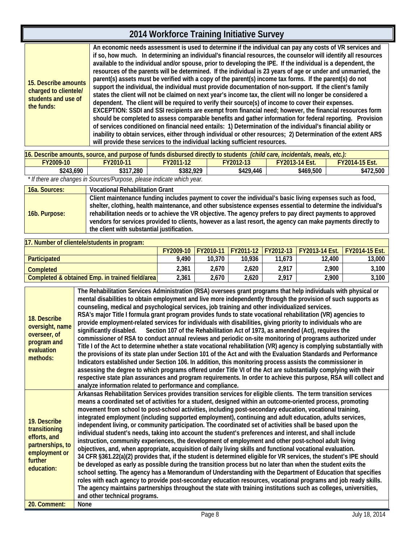#### **2014 Workforce Training Initiative Survey 15. Describe amounts charged to clientele/ students and use of the funds: An economic needs assessment is used to determine if the individual can pay any costs of VR services and if so, how much. In determining an individual's financial resources, the counselor will identify all resources available to the individual and/or spouse, prior to developing the IPE. If the individual is a dependent, the resources of the parents will be determined. If the individual is 23 years of age or under and unmarried, the parent(s) assets must be verified with a copy of the parent(s) income tax forms. If the parent(s) do not support the individual, the individual must provide documentation of non-support. If the client's family states the client will not be claimed on next year's income tax, the client will no longer be considered a dependent. The client will be required to verify their source(s) of income to cover their expenses. EXCEPTION: SSDI and SSI recipients are exempt from financial need; however, the financial resources form should be completed to assess comparable benefits and gather information for federal reporting. Provision of services conditioned on financial need entails: 1) Determination of the individual's financial ability or inability to obtain services, either through individual or other resources; 2) Determination of the extent ARS will provide these services to the individual lacking sufficient resources.**

| 16. Describe amounts, source, and purpose of funds disbursed directly to students (child care, incidentals, meals, etc.): |                                                                                              |  |  |  |  |  |  |  |
|---------------------------------------------------------------------------------------------------------------------------|----------------------------------------------------------------------------------------------|--|--|--|--|--|--|--|
| <b>FY2009-10</b>                                                                                                          | <b>FY2013-14 Fst.</b><br><b>FY2014-15 Est.</b><br><b>FY2010-11</b><br>FY2011-12<br>FY2012-13 |  |  |  |  |  |  |  |
| \$243,690<br>\$317,280<br>\$382,929<br>\$429,446<br>\$469,500<br>\$472,500                                                |                                                                                              |  |  |  |  |  |  |  |
| * If there are changes in Sources/Purpose, please indicate which year.                                                    |                                                                                              |  |  |  |  |  |  |  |

| 16a. Sources: | <b>Vocational Rehabilitation Grant</b>                                                                                                                                                                                                                                                                                                                                                                                                                                                                 |
|---------------|--------------------------------------------------------------------------------------------------------------------------------------------------------------------------------------------------------------------------------------------------------------------------------------------------------------------------------------------------------------------------------------------------------------------------------------------------------------------------------------------------------|
| 16b. Purpose: | Client maintenance funding includes payment to cover the individual's basic living expenses such as food,<br>shelter, clothing, health maintenance, and other subsistence expenses essential to determine the individual's<br>rehabilitation needs or to achieve the VR objective. The agency prefers to pay direct payments to approved<br>vendors for services provided to clients, however as a last resort, the agency can make payments directly to<br>the client with substantial justification. |

| 117. Number of clientele/students in program:    |       |        |        |        |                                                                 |                         |  |  |
|--------------------------------------------------|-------|--------|--------|--------|-----------------------------------------------------------------|-------------------------|--|--|
|                                                  |       |        |        |        | <b>FY2009-10 FY2010-11 FY2011-12 FY2012-13 FY2013-14 Est. I</b> | <u>I FY2014-15 Fst.</u> |  |  |
| <b>Participated</b>                              | 9.490 | 10.370 | 10.936 | 11.673 | 12,400                                                          | 13,000                  |  |  |
| <b>Completed</b>                                 | 2,361 | 2.670  | 2.620  | 2.917  | 2.900                                                           | 3.100                   |  |  |
| Completed & obtained Emp. in trained field/areal | 2,361 | 2,670  | 2.620  | 2,917  | 2.900                                                           | 3,100                   |  |  |

| 18. Describe<br>oversight, name<br>overseer, of<br>program and<br>evaluation<br>methods:                    | The Rehabilitation Services Administration (RSA) oversees grant programs that help individuals with physical or<br>mental disabilities to obtain employment and live more independently through the provision of such supports as<br>counseling, medical and psychological services, job training and other individualized services.<br>RSA's major Title I formula grant program provides funds to state vocational rehabilitation (VR) agencies to<br>provide employment-related services for individuals with disabilities, giving priority to individuals who are<br>significantly disabled. Section 107 of the Rehabilitation Act of 1973, as amended (Act), requires the<br>commissioner of RSA to conduct annual reviews and periodic on-site monitoring of programs authorized under<br>Title I of the Act to determine whether a state vocational rehabilitation (VR) agency is complying substantially with<br>the provisions of its state plan under Section 101 of the Act and with the Evaluation Standards and Performance<br>Indicators established under Section 106. In addition, this monitoring process assists the commissioner in<br>assessing the degree to which programs offered under Title VI of the Act are substantially complying with their<br>respective state plan assurances and program requirements. In order to achieve this purpose, RSA will collect and<br>analyze information related to performance and compliance.                                                                             |
|-------------------------------------------------------------------------------------------------------------|------------------------------------------------------------------------------------------------------------------------------------------------------------------------------------------------------------------------------------------------------------------------------------------------------------------------------------------------------------------------------------------------------------------------------------------------------------------------------------------------------------------------------------------------------------------------------------------------------------------------------------------------------------------------------------------------------------------------------------------------------------------------------------------------------------------------------------------------------------------------------------------------------------------------------------------------------------------------------------------------------------------------------------------------------------------------------------------------------------------------------------------------------------------------------------------------------------------------------------------------------------------------------------------------------------------------------------------------------------------------------------------------------------------------------------------------------------------------------------------------------------------------------------------|
| 19. Describe<br>transitioning<br>efforts, and<br>partnerships, to<br>employment or<br>further<br>education: | Arkansas Rehabilitation Services provides transition services for eligible clients. The term transition services<br>means a coordinated set of activities for a student, designed within an outcome-oriented process, promoting<br>movement from school to post-school activities, including post-secondary education, vocational training,<br>integrated employment (including supported employment), continuing and adult education, adults services,<br>independent living, or community participation. The coordinated set of activities shall be based upon the<br>individual student's needs, taking into account the student's preferences and interest, and shall include<br>instruction, community experiences, the development of employment and other post-school adult living<br>objectives, and, when appropriate, acquisition of daily living skills and functional vocational evaluation.<br>34 CFR §361.22(a)(2) provides that, if the student is determined eligible for VR services, the student's IPE should<br>be developed as early as possible during the transition process but no later than when the student exits the<br>school setting. The agency has a Memorandum of Understanding with the Department of Education that specifies<br>roles with each agency to provide post-secondary education resources, vocational programs and job ready skills.<br>The agency maintains partnerships throughout the state with training institutions such as colleges, universities,<br>and other technical programs. |
| 20. Comment:                                                                                                | None                                                                                                                                                                                                                                                                                                                                                                                                                                                                                                                                                                                                                                                                                                                                                                                                                                                                                                                                                                                                                                                                                                                                                                                                                                                                                                                                                                                                                                                                                                                                     |
|                                                                                                             |                                                                                                                                                                                                                                                                                                                                                                                                                                                                                                                                                                                                                                                                                                                                                                                                                                                                                                                                                                                                                                                                                                                                                                                                                                                                                                                                                                                                                                                                                                                                          |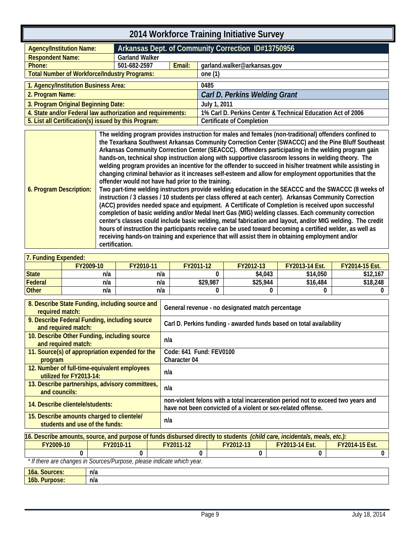<span id="page-12-0"></span>

| 2014 Workforce Training Initiative Survey                                                                                  |                                                       |  |                                                    |  |  |  |
|----------------------------------------------------------------------------------------------------------------------------|-------------------------------------------------------|--|----------------------------------------------------|--|--|--|
| <b>Agency/Institution Name:</b>                                                                                            |                                                       |  | Arkansas Dept. of Community Correction ID#13750956 |  |  |  |
| <b>Respondent Name:</b>                                                                                                    | <b>Garland Walker</b>                                 |  |                                                    |  |  |  |
| Phone:                                                                                                                     | Email:<br>501-682-2597<br>garland.walker@arkansas.gov |  |                                                    |  |  |  |
| <b>Total Number of Workforce/Industry Programs:</b>                                                                        |                                                       |  | one $(1)$                                          |  |  |  |
| 1. Agency/Institution Business Area:<br>0485                                                                               |                                                       |  |                                                    |  |  |  |
| Carl D. Perkins Welding Grant<br>2. Program Name:                                                                          |                                                       |  |                                                    |  |  |  |
| 3. Program Original Beginning Date:<br>July 1, 2011                                                                        |                                                       |  |                                                    |  |  |  |
| 4. State and/or Federal law authorization and requirements:<br>1% Carl D. Perkins Center & Technical Education Act of 2006 |                                                       |  |                                                    |  |  |  |
| 5. List all Certification(s) issued by this Program:                                                                       |                                                       |  | <b>Certificate of Completion</b>                   |  |  |  |

<span id="page-12-1"></span>

| 6. Program Description: | The welding program provides instruction for males and females (non-traditional) offenders confined to<br>the Texarkana Southwest Arkansas Community Correction Center (SWACCC) and the Pine Bluff Southeast<br>Arkansas Community Correction Center (SEACCC). Offenders participating in the welding program gain<br>hands-on, technical shop instruction along with supportive classroom lessons in welding theory. The<br>welding program provides an incentive for the offender to succeed in his/her treatment while assisting in<br>changing criminal behavior as it increases self-esteem and allow for employment opportunities that the<br>offender would not have had prior to the training.<br>Two part-time welding instructors provide welding education in the SEACCC and the SWACCC (8 weeks of<br>instruction / 3 classes / 10 students per class offered at each center). Arkansas Community Correction<br>(ACC) provides needed space and equipment. A Certificate of Completion is received upon successful<br>completion of basic welding and/or Medal Inert Gas (MIG) welding classes. Each community correction<br>center's classes could include basic welding, metal fabrication and layout, and/or MIG welding. The credit<br>hours of instruction the participants receive can be used toward becoming a certified welder, as well as<br>receiving hands-on training and experience that will assist them in obtaining employment and/or |
|-------------------------|--------------------------------------------------------------------------------------------------------------------------------------------------------------------------------------------------------------------------------------------------------------------------------------------------------------------------------------------------------------------------------------------------------------------------------------------------------------------------------------------------------------------------------------------------------------------------------------------------------------------------------------------------------------------------------------------------------------------------------------------------------------------------------------------------------------------------------------------------------------------------------------------------------------------------------------------------------------------------------------------------------------------------------------------------------------------------------------------------------------------------------------------------------------------------------------------------------------------------------------------------------------------------------------------------------------------------------------------------------------------------------------------------------------------------------------------------------------------|
|                         | certification.                                                                                                                                                                                                                                                                                                                                                                                                                                                                                                                                                                                                                                                                                                                                                                                                                                                                                                                                                                                                                                                                                                                                                                                                                                                                                                                                                                                                                                                     |

| <b>Funding Expended:</b> |           |           |           |           |                       |                       |  |  |
|--------------------------|-----------|-----------|-----------|-----------|-----------------------|-----------------------|--|--|
|                          | FY2009-10 | FY2010-11 | FY2011-12 | FY2012-13 | <b>FY2013-14 Est.</b> | <b>FY2014-15 Est.</b> |  |  |
| <b>State</b>             | n/a       | n/a       |           | \$4,043   | \$14,050              | \$12,167              |  |  |
| Federal                  | n/a       | n/a       | \$29,987  | \$25,944  | \$16,484              | \$18,248              |  |  |
| <b>Other</b>             | n/a       | n/a       |           |           |                       |                       |  |  |

| 8. Describe State Funding, including source and<br>required match:           | General revenue - no designated match percentage                                                                                                 |
|------------------------------------------------------------------------------|--------------------------------------------------------------------------------------------------------------------------------------------------|
| 9. Describe Federal Funding, including source<br>and required match:         | Carl D. Perkins funding - awarded funds based on total availability                                                                              |
| 10. Describe Other Funding, including source<br>and required match:          | n/a                                                                                                                                              |
| 11. Source(s) of appropriation expended for the<br>program                   | Code: 641 Fund: FEV0100<br><b>Character 04</b>                                                                                                   |
| 12. Number of full-time-equivalent employees<br>utilized for FY2013-14:      | n/a                                                                                                                                              |
| 13. Describe partnerships, advisory committees,<br>and councils:             | n/a                                                                                                                                              |
| 14. Describe clientele/students:                                             | non-violent felons with a total incarceration period not to exceed two years and<br>have not been convicted of a violent or sex-related offense. |
| 15. Describe amounts charged to clientele/<br>students and use of the funds: | n/a                                                                                                                                              |

| 16. Describe amounts, source, and purpose of funds disbursed directly to students <i>(child care, incidentals, meals, etc.)</i> : |                                                                                       |  |  |  |  |  |  |  |
|-----------------------------------------------------------------------------------------------------------------------------------|---------------------------------------------------------------------------------------|--|--|--|--|--|--|--|
| FY2009-10                                                                                                                         | <b>FY2013-14 Fst.</b><br><b>FY2014-15 Est.</b><br>FY2010-11<br>FY2012-13<br>FY2011-12 |  |  |  |  |  |  |  |
|                                                                                                                                   |                                                                                       |  |  |  |  |  |  |  |
| * If there are changes in Sources/Purpose, please indicate which year.                                                            |                                                                                       |  |  |  |  |  |  |  |
| <b>16a. Sources:</b>                                                                                                              | n/a                                                                                   |  |  |  |  |  |  |  |
| <b>16b. Purpose:</b>                                                                                                              | n/a                                                                                   |  |  |  |  |  |  |  |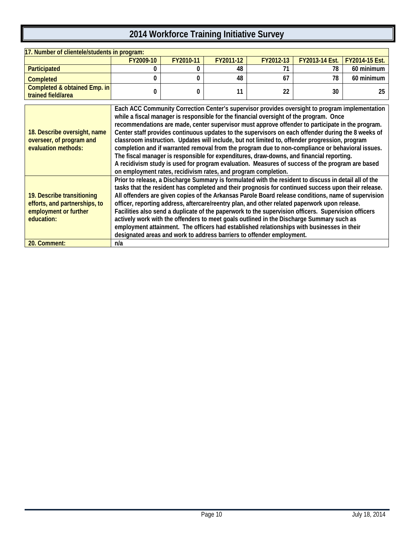| 17. Number of clientele/students in program:                                                       |                                                                       |           |           |           |                                                                                                                                                                                                                                                                                                                                                                                                                                                                                                                                                                                                                                                                                                                                                                                                         |                |
|----------------------------------------------------------------------------------------------------|-----------------------------------------------------------------------|-----------|-----------|-----------|---------------------------------------------------------------------------------------------------------------------------------------------------------------------------------------------------------------------------------------------------------------------------------------------------------------------------------------------------------------------------------------------------------------------------------------------------------------------------------------------------------------------------------------------------------------------------------------------------------------------------------------------------------------------------------------------------------------------------------------------------------------------------------------------------------|----------------|
|                                                                                                    | FY2009-10                                                             | FY2010-11 | FY2011-12 | FY2012-13 | FY2013-14 Est.                                                                                                                                                                                                                                                                                                                                                                                                                                                                                                                                                                                                                                                                                                                                                                                          | FY2014-15 Est. |
| Participated                                                                                       | 0                                                                     | 0         | 48        | 71        | 78                                                                                                                                                                                                                                                                                                                                                                                                                                                                                                                                                                                                                                                                                                                                                                                                      | 60 minimum     |
| <b>Completed</b>                                                                                   | $\mathbf{0}$                                                          | 0         | 48        | 67        | 78                                                                                                                                                                                                                                                                                                                                                                                                                                                                                                                                                                                                                                                                                                                                                                                                      | 60 minimum     |
| Completed & obtained Emp. in<br>trained field/area                                                 | 0                                                                     | 0         | 11        | 22        | 30                                                                                                                                                                                                                                                                                                                                                                                                                                                                                                                                                                                                                                                                                                                                                                                                      | 25             |
| 18. Describe oversight, name<br>overseer, of program and<br>evaluation methods:                    | on employment rates, recidivism rates, and program completion.        |           |           |           | Each ACC Community Correction Center's supervisor provides oversight to program implementation<br>while a fiscal manager is responsible for the financial oversight of the program. Once<br>recommendations are made, center supervisor must approve offender to participate in the program.<br>Center staff provides continuous updates to the supervisors on each offender during the 8 weeks of<br>classroom instruction. Updates will include, but not limited to, offender progression, program<br>completion and if warranted removal from the program due to non-compliance or behavioral issues.<br>The fiscal manager is responsible for expenditures, draw-downs, and financial reporting.<br>A recidivism study is used for program evaluation. Measures of success of the program are based |                |
| 19. Describe transitioning<br>efforts, and partnerships, to<br>employment or further<br>education: | designated areas and work to address barriers to offender employment. |           |           |           | Prior to release, a Discharge Summary is formulated with the resident to discuss in detail all of the<br>tasks that the resident has completed and their prognosis for continued success upon their release.<br>All offenders are given copies of the Arkansas Parole Board release conditions, name of supervision<br>officer, reporting address, aftercare/reentry plan, and other related paperwork upon release.<br>Facilities also send a duplicate of the paperwork to the supervision officers. Supervision officers<br>actively work with the offenders to meet goals outlined in the Discharge Summary such as<br>employment attainment. The officers had established relationships with businesses in their                                                                                   |                |
| 20. Comment:                                                                                       | n/a                                                                   |           |           |           |                                                                                                                                                                                                                                                                                                                                                                                                                                                                                                                                                                                                                                                                                                                                                                                                         |                |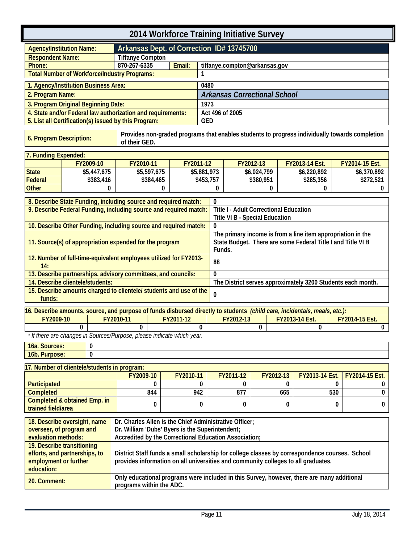<span id="page-14-1"></span><span id="page-14-0"></span>

| 2014 Workforce Training Initiative Survey                                                                                            |   |              |                                                                                                                           |                                                                                                |             |                 |                                               |             |           |                                                             |     |                |   |
|--------------------------------------------------------------------------------------------------------------------------------------|---|--------------|---------------------------------------------------------------------------------------------------------------------------|------------------------------------------------------------------------------------------------|-------------|-----------------|-----------------------------------------------|-------------|-----------|-------------------------------------------------------------|-----|----------------|---|
| <b>Agency/Institution Name:</b>                                                                                                      |   |              |                                                                                                                           | Arkansas Dept. of Correction ID# 13745700                                                      |             |                 |                                               |             |           |                                                             |     |                |   |
| <b>Respondent Name:</b>                                                                                                              |   |              | <b>Tiffanye Compton</b>                                                                                                   |                                                                                                |             |                 |                                               |             |           |                                                             |     |                |   |
| Phone:                                                                                                                               |   |              | 870-267-6335                                                                                                              | Email:                                                                                         |             |                 | tiffanye.compton@arkansas.gov                 |             |           |                                                             |     |                |   |
|                                                                                                                                      |   |              | <b>Total Number of Workforce/Industry Programs:</b>                                                                       |                                                                                                |             |                 |                                               |             |           |                                                             |     |                |   |
| 1. Agency/Institution Business Area:                                                                                                 |   |              |                                                                                                                           |                                                                                                | 0480        |                 |                                               |             |           |                                                             |     |                |   |
| 2. Program Name:                                                                                                                     |   |              |                                                                                                                           |                                                                                                |             |                 | <b>Arkansas Correctional School</b>           |             |           |                                                             |     |                |   |
| 3. Program Original Beginning Date:                                                                                                  |   |              |                                                                                                                           |                                                                                                | 1973        |                 |                                               |             |           |                                                             |     |                |   |
|                                                                                                                                      |   |              | 4. State and/or Federal law authorization and requirements:                                                               |                                                                                                |             | Act 496 of 2005 |                                               |             |           |                                                             |     |                |   |
|                                                                                                                                      |   |              | 5. List all Certification(s) issued by this Program:                                                                      |                                                                                                | <b>GED</b>  |                 |                                               |             |           |                                                             |     |                |   |
| 6. Program Description:                                                                                                              |   |              | of their GED.                                                                                                             | Provides non-graded programs that enables students to progress individually towards completion |             |                 |                                               |             |           |                                                             |     |                |   |
| 7. Funding Expended:                                                                                                                 |   |              |                                                                                                                           |                                                                                                |             |                 |                                               |             |           |                                                             |     |                |   |
|                                                                                                                                      |   | FY2009-10    | FY2010-11                                                                                                                 |                                                                                                | FY2011-12   |                 |                                               | FY2012-13   |           | FY2013-14 Est.                                              |     | FY2014-15 Est. |   |
| <b>State</b>                                                                                                                         |   | \$5,447,675  | \$5,597,675                                                                                                               |                                                                                                | \$5,881,973 |                 |                                               | \$6,024,799 |           | \$6,220,892                                                 |     | \$6,370,892    |   |
| <b>Federal</b>                                                                                                                       |   | \$383,416    | \$384,465                                                                                                                 |                                                                                                | \$453,757   |                 |                                               | \$380,951   |           | \$285,356                                                   |     | \$272,521      |   |
| <b>Other</b>                                                                                                                         |   | 0            |                                                                                                                           | $\bf{0}$                                                                                       |             | 0               |                                               | 0           |           | 0                                                           |     |                | 0 |
|                                                                                                                                      |   |              | 8. Describe State Funding, including source and required match:                                                           |                                                                                                |             | 0               |                                               |             |           |                                                             |     |                |   |
|                                                                                                                                      |   |              | 9. Describe Federal Funding, including source and required match:                                                         |                                                                                                |             |                 | <b>Title I - Adult Correctional Education</b> |             |           |                                                             |     |                |   |
|                                                                                                                                      |   |              | 10. Describe Other Funding, including source and required match:                                                          |                                                                                                |             | 0               | Title VI B - Special Education                |             |           |                                                             |     |                |   |
|                                                                                                                                      |   |              |                                                                                                                           |                                                                                                |             |                 |                                               |             |           | The primary income is from a line item appropriation in the |     |                |   |
|                                                                                                                                      |   |              | 11. Source(s) of appropriation expended for the program                                                                   |                                                                                                |             | Funds.          |                                               |             |           | State Budget. There are some Federal Title I and Title VI B |     |                |   |
| 14:                                                                                                                                  |   |              | 12. Number of full-time-equivalent employees utilized for FY2013-                                                         |                                                                                                |             | 88              |                                               |             |           |                                                             |     |                |   |
|                                                                                                                                      |   |              | 13. Describe partnerships, advisory committees, and councils:                                                             |                                                                                                |             | 0               |                                               |             |           |                                                             |     |                |   |
| 14. Describe clientele/students:                                                                                                     |   |              |                                                                                                                           |                                                                                                |             |                 |                                               |             |           | The District serves approximately 3200 Students each month. |     |                |   |
| funds:                                                                                                                               |   |              | 15. Describe amounts charged to clientele/ students and use of the                                                        |                                                                                                |             | 0               |                                               |             |           |                                                             |     |                |   |
|                                                                                                                                      |   |              | 16. Describe amounts, source, and purpose of funds disbursed directly to students (child care, incidentals, meals, etc.): |                                                                                                |             |                 |                                               |             |           |                                                             |     |                |   |
| FY2009-10                                                                                                                            |   |              | FY2010-11                                                                                                                 | FY2011-12                                                                                      |             |                 | FY2012-13                                     |             |           | FY2013-14 Est.                                              |     | FY2014-15 Est. |   |
|                                                                                                                                      | 0 |              | $\mathbf 0$                                                                                                               |                                                                                                | $\bf{0}$    |                 |                                               | 0           |           | 0                                                           |     |                | 0 |
|                                                                                                                                      |   |              | * If there are changes in Sources/Purpose, please indicate which year.                                                    |                                                                                                |             |                 |                                               |             |           |                                                             |     |                |   |
| 16a. Sources:                                                                                                                        |   | 0            |                                                                                                                           |                                                                                                |             |                 |                                               |             |           |                                                             |     |                |   |
| 16b. Purpose:                                                                                                                        |   | $\mathbf{0}$ |                                                                                                                           |                                                                                                |             |                 |                                               |             |           |                                                             |     |                |   |
| 17. Number of clientele/students in program:                                                                                         |   |              |                                                                                                                           |                                                                                                |             |                 |                                               |             |           |                                                             |     |                |   |
|                                                                                                                                      |   |              | FY2009-10                                                                                                                 | FY2010-11                                                                                      |             |                 | FY2011-12                                     |             | FY2012-13 | FY2013-14 Est.                                              |     | FY2014-15 Est. |   |
| Participated                                                                                                                         |   |              | 0                                                                                                                         |                                                                                                | 0           |                 | 0                                             |             | 0         |                                                             | 0   |                | 0 |
| <b>Completed</b>                                                                                                                     |   |              | 844                                                                                                                       |                                                                                                | 942         |                 | 877                                           |             | 665       |                                                             | 530 |                | 0 |
| Completed & obtained Emp. in<br>0<br>0<br>0<br>0<br>0<br>trained field/area                                                          |   |              |                                                                                                                           |                                                                                                |             |                 | 0                                             |             |           |                                                             |     |                |   |
| 18. Describe oversight, name                                                                                                         |   |              | Dr. Charles Allen is the Chief Administrative Officer;                                                                    |                                                                                                |             |                 |                                               |             |           |                                                             |     |                |   |
| overseer, of program and<br>Dr. William 'Dubs' Byers is the Superintendent;<br>Accredited by the Correctional Education Association; |   |              |                                                                                                                           |                                                                                                |             |                 |                                               |             |           |                                                             |     |                |   |
| evaluation methods:<br>19. Describe transitioning                                                                                    |   |              |                                                                                                                           |                                                                                                |             |                 |                                               |             |           |                                                             |     |                |   |
| efforts, and partnerships, to                                                                                                        |   |              | District Staff funds a small scholarship for college classes by correspondence courses. School                            |                                                                                                |             |                 |                                               |             |           |                                                             |     |                |   |
| employment or further<br>education:                                                                                                  |   |              | provides information on all universities and community colleges to all graduates.                                         |                                                                                                |             |                 |                                               |             |           |                                                             |     |                |   |
| 20. Comment:                                                                                                                         |   |              | Only educational programs were included in this Survey, however, there are many additional<br>programs within the ADC.    |                                                                                                |             |                 |                                               |             |           |                                                             |     |                |   |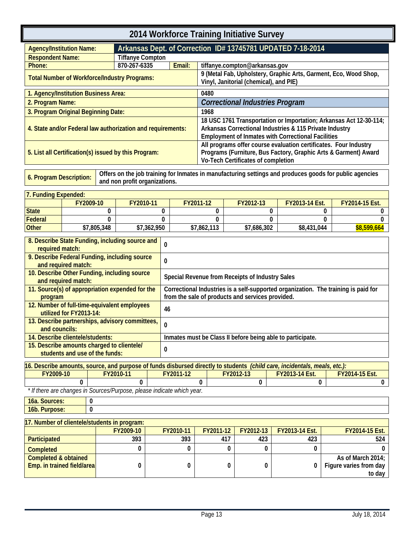<span id="page-16-1"></span><span id="page-16-0"></span>

| 2014 Workforce Training Initiative Survey                          |                                                                             |             |                               |              |                                                                                    |             |              |                                                 |                                                                                                                           |                                                                                                                                     |  |
|--------------------------------------------------------------------|-----------------------------------------------------------------------------|-------------|-------------------------------|--------------|------------------------------------------------------------------------------------|-------------|--------------|-------------------------------------------------|---------------------------------------------------------------------------------------------------------------------------|-------------------------------------------------------------------------------------------------------------------------------------|--|
| <b>Agency/Institution Name:</b>                                    |                                                                             |             |                               |              |                                                                                    |             |              |                                                 | Arkansas Dept. of Correction ID# 13745781 UPDATED 7-18-2014                                                               |                                                                                                                                     |  |
| <b>Respondent Name:</b>                                            |                                                                             |             | <b>Tiffanye Compton</b>       |              |                                                                                    |             |              |                                                 |                                                                                                                           |                                                                                                                                     |  |
| Phone:                                                             |                                                                             |             | 870-267-6335                  |              | Email:                                                                             |             |              | tiffanye.compton@arkansas.gov                   |                                                                                                                           |                                                                                                                                     |  |
| <b>Total Number of Workforce/Industry Programs:</b>                |                                                                             |             |                               |              |                                                                                    |             |              | Vinyl, Janitorial (chemical), and PIE)          |                                                                                                                           | 9 (Metal Fab, Upholstery, Graphic Arts, Garment, Eco, Wood Shop,                                                                    |  |
| 1. Agency/Institution Business Area:                               |                                                                             |             |                               |              |                                                                                    | 0480        |              |                                                 |                                                                                                                           |                                                                                                                                     |  |
| 2. Program Name:                                                   |                                                                             |             |                               |              |                                                                                    |             |              |                                                 | <b>Correctional Industries Program</b>                                                                                    |                                                                                                                                     |  |
| 3. Program Original Beginning Date:                                |                                                                             |             |                               |              |                                                                                    | 1968        |              |                                                 |                                                                                                                           |                                                                                                                                     |  |
| 4. State and/or Federal law authorization and requirements:        |                                                                             |             |                               |              |                                                                                    |             |              |                                                 | Arkansas Correctional Industries & 115 Private Industry<br><b>Employment of Inmates with Correctional Facilities</b>      | 18 USC 1761 Transportation or Importation; Arkansas Act 12-30-114;                                                                  |  |
| 5. List all Certification(s) issued by this Program:               |                                                                             |             |                               |              |                                                                                    |             |              | Vo-Tech Certificates of completion              |                                                                                                                           | All programs offer course evaluation certificates. Four Industry<br>Programs (Furniture, Bus Factory, Graphic Arts & Garment) Award |  |
| 6. Program Description:                                            |                                                                             |             | and non profit organizations. |              |                                                                                    |             |              |                                                 |                                                                                                                           | Offers on the job training for Inmates in manufacturing settings and produces goods for public agencies                             |  |
| 7. Funding Expended:                                               |                                                                             |             |                               |              |                                                                                    |             |              |                                                 |                                                                                                                           |                                                                                                                                     |  |
|                                                                    | FY2009-10                                                                   |             | FY2010-11                     |              |                                                                                    | FY2011-12   |              | FY2012-13                                       | FY2013-14 Est.                                                                                                            | FY2014-15 Est.                                                                                                                      |  |
| <b>State</b>                                                       |                                                                             | 0           |                               | 0            |                                                                                    | 0           |              | 0                                               |                                                                                                                           | 0<br>0                                                                                                                              |  |
| <b>Federal</b>                                                     |                                                                             | $\Omega$    |                               | $\Omega$     |                                                                                    | 0           |              | 0                                               |                                                                                                                           | $\Omega$<br>0                                                                                                                       |  |
| <b>Other</b>                                                       |                                                                             | \$7,805,348 |                               | \$7,362,950  |                                                                                    | \$7,862,113 |              | \$7,686,302                                     | \$8,431,044                                                                                                               | \$8,599,664                                                                                                                         |  |
| 8. Describe State Funding, including source and<br>required match: |                                                                             |             |                               | 0            |                                                                                    |             |              |                                                 |                                                                                                                           |                                                                                                                                     |  |
| 9. Describe Federal Funding, including source                      | and required match:                                                         |             |                               | 0            |                                                                                    |             |              |                                                 |                                                                                                                           |                                                                                                                                     |  |
| 10. Describe Other Funding, including source                       |                                                                             |             |                               |              |                                                                                    |             |              | Special Revenue from Receipts of Industry Sales |                                                                                                                           |                                                                                                                                     |  |
| 11. Source(s) of appropriation expended for the                    | and required match:                                                         |             |                               |              | Correctional Industries is a self-supported organization. The training is paid for |             |              |                                                 |                                                                                                                           |                                                                                                                                     |  |
| program                                                            |                                                                             |             |                               |              | from the sale of products and services provided.                                   |             |              |                                                 |                                                                                                                           |                                                                                                                                     |  |
| 12. Number of full-time-equivalent employees                       |                                                                             |             |                               |              |                                                                                    |             |              |                                                 |                                                                                                                           |                                                                                                                                     |  |
|                                                                    | utilized for FY2013-14:                                                     |             |                               | 46           |                                                                                    |             |              |                                                 |                                                                                                                           |                                                                                                                                     |  |
| 13. Describe partnerships, advisory committees,<br>and councils:   |                                                                             |             |                               | 0            |                                                                                    |             |              |                                                 |                                                                                                                           |                                                                                                                                     |  |
| 14. Describe clientele/students:                                   |                                                                             |             |                               |              |                                                                                    |             |              |                                                 | Inmates must be Class II before being able to participate.                                                                |                                                                                                                                     |  |
| 15. Describe amounts charged to clientele/                         |                                                                             |             |                               |              |                                                                                    |             |              |                                                 |                                                                                                                           |                                                                                                                                     |  |
|                                                                    | students and use of the funds:                                              |             |                               | $\mathbf{0}$ |                                                                                    |             |              |                                                 |                                                                                                                           |                                                                                                                                     |  |
|                                                                    |                                                                             |             |                               |              |                                                                                    |             |              |                                                 | 16. Describe amounts, source, and purpose of funds disbursed directly to students (child care, incidentals, meals, etc.): |                                                                                                                                     |  |
| FY2009-10                                                          |                                                                             |             | FY2010-11                     |              | FY2011-12                                                                          |             | FY2012-13    |                                                 | FY2013-14 Est.                                                                                                            | FY2014-15 Est.                                                                                                                      |  |
|                                                                    | 0<br>* If there are changes in Sources/Purpose, please indicate which year. |             | 0                             |              |                                                                                    | 0           |              | 0                                               | 0                                                                                                                         | 0                                                                                                                                   |  |
| 16a. Sources:                                                      | 0                                                                           |             |                               |              |                                                                                    |             |              |                                                 |                                                                                                                           |                                                                                                                                     |  |
| 16b. Purpose:                                                      | $\mathbf{0}$                                                                |             |                               |              |                                                                                    |             |              |                                                 |                                                                                                                           |                                                                                                                                     |  |
|                                                                    | 17. Number of clientele/students in program:                                |             |                               |              |                                                                                    |             |              |                                                 |                                                                                                                           |                                                                                                                                     |  |
|                                                                    | FY2009-10<br>FY2012-13<br>FY2010-11<br>FY2011-12<br>FY2013-14 Est.          |             |                               |              |                                                                                    |             |              | FY2014-15 Est.                                  |                                                                                                                           |                                                                                                                                     |  |
| Participated<br>393<br>393<br>417<br>423<br>423                    |                                                                             |             |                               |              |                                                                                    | 524         |              |                                                 |                                                                                                                           |                                                                                                                                     |  |
| <b>Completed</b>                                                   |                                                                             |             | 0                             |              | 0                                                                                  |             | $\mathbf{0}$ | 0                                               | $\Omega$                                                                                                                  | O.                                                                                                                                  |  |
| <b>Completed &amp; obtained</b><br>Emp. in trained field/area      |                                                                             |             | 0                             |              | 0                                                                                  |             | 0            | 0                                               | 0                                                                                                                         | As of March 2014;<br>Figure varies from day<br>to day                                                                               |  |
|                                                                    |                                                                             |             |                               |              |                                                                                    |             |              |                                                 |                                                                                                                           |                                                                                                                                     |  |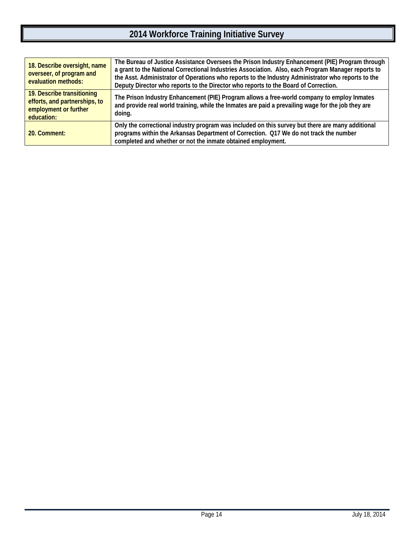| 18. Describe oversight, name<br>overseer, of program and<br>evaluation methods:                    | The Bureau of Justice Assistance Oversees the Prison Industry Enhancement (PIE) Program through<br>a grant to the National Correctional Industries Association. Also, each Program Manager reports to<br>the Asst. Administrator of Operations who reports to the Industry Administrator who reports to the<br>Deputy Director who reports to the Director who reports to the Board of Correction. |
|----------------------------------------------------------------------------------------------------|----------------------------------------------------------------------------------------------------------------------------------------------------------------------------------------------------------------------------------------------------------------------------------------------------------------------------------------------------------------------------------------------------|
| 19. Describe transitioning<br>efforts, and partnerships, to<br>employment or further<br>education: | The Prison Industry Enhancement (PIE) Program allows a free-world company to employ Inmates<br>and provide real world training, while the Inmates are paid a prevailing wage for the job they are<br>doing.                                                                                                                                                                                        |
| 20. Comment:                                                                                       | Only the correctional industry program was included on this survey but there are many additional<br>programs within the Arkansas Department of Correction. Q17 We do not track the number<br>completed and whether or not the inmate obtained employment.                                                                                                                                          |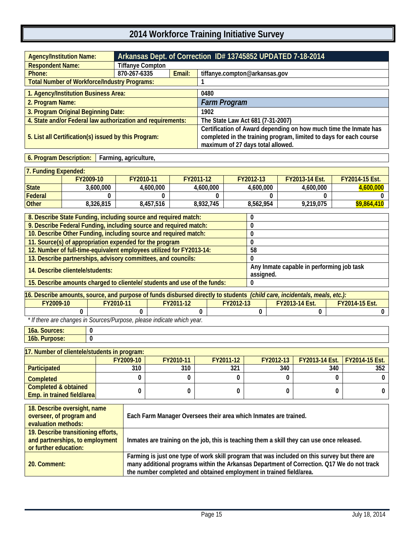<span id="page-18-1"></span><span id="page-18-0"></span>

| <b>Agency/Institution Name:</b>                             | Arkansas Dept. of Correction ID# 13745852 UPDATED 7-18-2014 |        |                                                                                                                                                                             |  |  |  |  |
|-------------------------------------------------------------|-------------------------------------------------------------|--------|-----------------------------------------------------------------------------------------------------------------------------------------------------------------------------|--|--|--|--|
| <b>Respondent Name:</b>                                     | <b>Tiffanye Compton</b>                                     |        |                                                                                                                                                                             |  |  |  |  |
| Phone:                                                      | 870-267-6335                                                | Email: | tiffanye.compton@arkansas.gov                                                                                                                                               |  |  |  |  |
| <b>Total Number of Workforce/Industry Programs:</b>         |                                                             |        |                                                                                                                                                                             |  |  |  |  |
| 1. Agency/Institution Business Area:                        |                                                             |        | 0480                                                                                                                                                                        |  |  |  |  |
| 2. Program Name:                                            |                                                             |        | <b>Farm Program</b>                                                                                                                                                         |  |  |  |  |
| 3. Program Original Beginning Date:                         |                                                             |        | 1902                                                                                                                                                                        |  |  |  |  |
| 4. State and/or Federal law authorization and requirements: |                                                             |        | The State Law Act 681 (7-31-2007)                                                                                                                                           |  |  |  |  |
| 5. List all Certification(s) issued by this Program:        |                                                             |        | Certification of Award depending on how much time the Inmate has<br>completed in the training program, limited to days for each course<br>maximum of 27 days total allowed. |  |  |  |  |

**6. Program Description: Farming, agriculture,**

| 7. Funding Expended: |           |           |           |           |                       |                       |
|----------------------|-----------|-----------|-----------|-----------|-----------------------|-----------------------|
|                      | FY2009-10 | FY2010-11 | FY2011-12 | FY2012-13 | <b>FY2013-14 Est.</b> | <b>FY2014-15 Est.</b> |
| State                | 3.600.000 | 4.600.000 | 4.600.000 | 4.600.000 | 4.600.000             | 4,600,000             |
| Federal              |           |           |           |           |                       |                       |
| <b>Other</b>         | 8.326.815 | 8.457.516 | 8.932.745 | 8.562.954 | 9.219.075             | \$9,864,410           |

| 8. Describe State Funding, including source and required match:           |                                           |
|---------------------------------------------------------------------------|-------------------------------------------|
| 9. Describe Federal Funding, including source and required match:         |                                           |
| 10. Describe Other Funding, including source and required match:          |                                           |
| 11. Source(s) of appropriation expended for the program                   |                                           |
| 12. Number of full-time-equivalent employees utilized for FY2013-14:      | 58                                        |
| 13. Describe partnerships, advisory committees, and councils:             |                                           |
| 14. Describe clientele/students:                                          | Any Inmate capable in performing job task |
|                                                                           | assigned.                                 |
| 15. Describe amounts charged to clientele/ students and use of the funds: |                                           |

| 16. Describe amounts, source, and purpose of funds disbursed directly to students <i>(child care, incidentals, meals, etc.)</i> : |                   |           |           |                       |                       |  |  |  |  |
|-----------------------------------------------------------------------------------------------------------------------------------|-------------------|-----------|-----------|-----------------------|-----------------------|--|--|--|--|
| FY2009-10                                                                                                                         | FY2010-11         | FY2011-12 | FY2012-13 | <b>FY2013-14 Est.</b> | <b>FY2014-15 Est.</b> |  |  |  |  |
|                                                                                                                                   |                   |           |           |                       |                       |  |  |  |  |
|                                                                                                                                   | $+101$ $+10$ $-1$ |           |           |                       |                       |  |  |  |  |

 *\* If there are changes in Sources/Purpose, please indicate which year.*

**16a. Sources: 0 16b. Purpose: 0**

| 17. Number of clientele/students in program:                         |           |           |           |             |                                      |  |
|----------------------------------------------------------------------|-----------|-----------|-----------|-------------|--------------------------------------|--|
|                                                                      | FY2009-10 | FY2010-11 | FY2011-12 | FY2012-13 L | <b>FY2013-14 Est.</b> FY2014-15 Est. |  |
| Participated                                                         | 310       | 310       | 321       | 340         | 340                                  |  |
| Completed                                                            |           |           |           |             |                                      |  |
| <b>Completed &amp; obtained</b><br><b>Emp.</b> in trained field/area |           |           |           |             |                                      |  |

| 18. Describe oversight, name<br>overseer, of program and<br>evaluation methods:                 | Each Farm Manager Oversees their area which Inmates are trained.                                                                                                                                                                                                   |
|-------------------------------------------------------------------------------------------------|--------------------------------------------------------------------------------------------------------------------------------------------------------------------------------------------------------------------------------------------------------------------|
| 19. Describe transitioning efforts,<br>and partnerships, to employment<br>or further education: | Inmates are training on the job, this is teaching them a skill they can use once released.                                                                                                                                                                         |
| 20. Comment:                                                                                    | Farming is just one type of work skill program that was included on this survey but there are<br>many additional programs within the Arkansas Department of Correction. Q17 We do not track<br>the number completed and obtained employment in trained field/area. |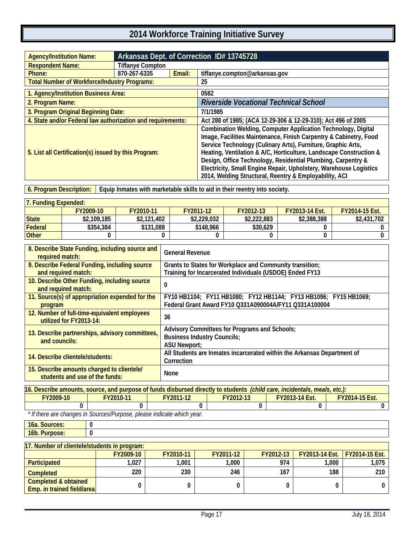<span id="page-20-1"></span><span id="page-20-0"></span>

| <b>Agency/Institution Name:</b>                             |                         | Arkansas Dept. of Correction ID# 13745728 |                                                                                                                                                                                                                                                                                                                                                                                                                                                                         |  |  |  |  |
|-------------------------------------------------------------|-------------------------|-------------------------------------------|-------------------------------------------------------------------------------------------------------------------------------------------------------------------------------------------------------------------------------------------------------------------------------------------------------------------------------------------------------------------------------------------------------------------------------------------------------------------------|--|--|--|--|
| <b>Respondent Name:</b>                                     | <b>Tiffanye Compton</b> |                                           |                                                                                                                                                                                                                                                                                                                                                                                                                                                                         |  |  |  |  |
| Phone:                                                      | 870-267-6335            | Email:                                    | tiffanye.compton@arkansas.gov                                                                                                                                                                                                                                                                                                                                                                                                                                           |  |  |  |  |
| <b>Total Number of Workforce/Industry Programs:</b>         |                         |                                           | 25                                                                                                                                                                                                                                                                                                                                                                                                                                                                      |  |  |  |  |
| 1. Agency/Institution Business Area:                        |                         |                                           | 0582                                                                                                                                                                                                                                                                                                                                                                                                                                                                    |  |  |  |  |
| 2. Program Name:                                            |                         |                                           | <b>Riverside Vocational Technical School</b>                                                                                                                                                                                                                                                                                                                                                                                                                            |  |  |  |  |
| 3. Program Original Beginning Date:                         |                         |                                           | 7/1/1985                                                                                                                                                                                                                                                                                                                                                                                                                                                                |  |  |  |  |
| 4. State and/or Federal law authorization and requirements: |                         |                                           | Act 288 of 1985; (ACA 12-29-306 & 12-29-310); Act 496 of 2005                                                                                                                                                                                                                                                                                                                                                                                                           |  |  |  |  |
| 5. List all Certification(s) issued by this Program:        |                         |                                           | Combination Welding, Computer Application Technology, Digital<br>Image, Facilities Maintenance, Finish Carpentry & Cabinetry, Food<br>Service Technology (Culinary Arts), Furniture, Graphic Arts,<br>Heating, Ventilation & A/C, Horticulture, Landscape Construction &<br>Design, Office Technology, Residential Plumbing, Carpentry &<br>Electricity, Small Engine Repair, Upholstery, Warehouse Logistics<br>2014, Welding Structural, Reentry & Employability, ACI |  |  |  |  |

**6. Program Description: Equip Inmates with marketable skills to aid in their reentry into society.**

| 7. Funding Expended: |             |             |             |             |                       |                       |
|----------------------|-------------|-------------|-------------|-------------|-----------------------|-----------------------|
|                      | FY2009-10   | FY2010-11   | FY2011-12   | FY2012-13   | <b>FY2013-14 Fst.</b> | <b>FY2014-15 Est.</b> |
| <b>State</b>         | \$2,109,185 | \$2,121,402 | \$2,229,032 | \$2,222,883 | \$2,388,388           | \$2,431,702           |
| Federal              | \$354,384   | \$131,088   | \$148,966   | \$30,629    |                       |                       |
| <b>Other</b>         |             |             |             |             |                       |                       |

| 8. Describe State Funding, including source and<br>required match:           | <b>General Revenue</b>                                                                                                     |
|------------------------------------------------------------------------------|----------------------------------------------------------------------------------------------------------------------------|
| 9. Describe Federal Funding, including source<br>and required match:         | Grants to States for Workplace and Community transition;<br>Training for Incarcerated Individuals (USDOE) Ended FY13       |
| 10. Describe Other Funding, including source<br>and required match:          | 0                                                                                                                          |
| 11. Source(s) of appropriation expended for the<br>program                   | FY10 HB1104; FY11 HB1080; FY12 HB1144; FY13 HB1096; FY15 HB1069;<br>Federal Grant Award FY10 Q331A090004A/FY11 Q331A100004 |
| 12. Number of full-time-equivalent employees<br>utilized for FY2013-14:      | 36                                                                                                                         |
| 13. Describe partnerships, advisory committees,<br>and councils:             | Advisory Committees for Programs and Schools;<br><b>Business Industry Councils;</b><br><b>ASU Newport:</b>                 |
| 14. Describe clientele/students:                                             | All Students are Inmates incarcerated within the Arkansas Department of<br>Correction                                      |
| 15. Describe amounts charged to clientele/<br>students and use of the funds: | None                                                                                                                       |

| 16. Describe amounts, source, and purpose of funds disbursed directly to students <i>(child care, incidentals, meals, etc.)</i> : |  |  |  |  |  |  |  |  |
|-----------------------------------------------------------------------------------------------------------------------------------|--|--|--|--|--|--|--|--|
| FY2009-10<br><b>FY2014-15 Est.</b><br>FY2010-11<br>FY2011-12<br>FY2012-13<br><b>FY2013-14 Est.</b>                                |  |  |  |  |  |  |  |  |
|                                                                                                                                   |  |  |  |  |  |  |  |  |
| * If there are abanges in Caurese Durnese, please indicate which wear                                                             |  |  |  |  |  |  |  |  |

 *\* If there are changes in Sources/Purpose, please indicate which year.*

| 16a. Sources: |  |
|---------------|--|
| 16b. Purpose: |  |

| 17. Number of clientele/students in program:                  |           |           |           |           |                                        |       |  |  |  |
|---------------------------------------------------------------|-----------|-----------|-----------|-----------|----------------------------------------|-------|--|--|--|
|                                                               | FY2009-10 | FY2010-11 | FY2011-12 | FY2012-13 | <b>FY2013-14 Est.</b>   FY2014-15 Est. |       |  |  |  |
| Participated                                                  | ,027      | .001      | 1,000     | 974       | 1.000                                  | 1,075 |  |  |  |
| <b>Completed</b>                                              | 220       | 230       | 246       | 167       | 188                                    | 210   |  |  |  |
| <b>Completed &amp; obtained</b><br>Emp. in trained field/area |           |           |           |           |                                        |       |  |  |  |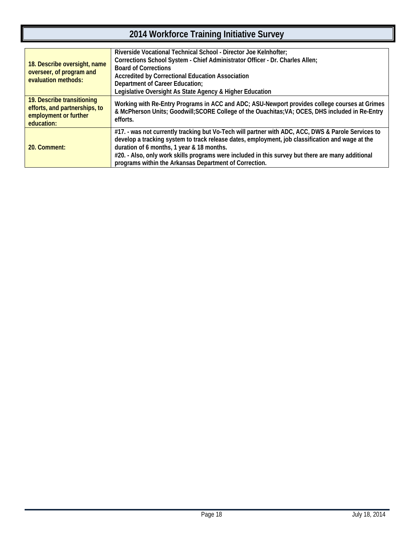| 18. Describe oversight, name<br>overseer, of program and<br>evaluation methods:                    | Riverside Vocational Technical School - Director Joe Kelnhofter;<br>Corrections School System - Chief Administrator Officer - Dr. Charles Allen;<br><b>Board of Corrections</b><br>Accredited by Correctional Education Association<br>Department of Career Education;<br>Legislative Oversight As State Agency & Higher Education                                                                                 |
|----------------------------------------------------------------------------------------------------|--------------------------------------------------------------------------------------------------------------------------------------------------------------------------------------------------------------------------------------------------------------------------------------------------------------------------------------------------------------------------------------------------------------------|
| 19. Describe transitioning<br>efforts, and partnerships, to<br>employment or further<br>education: | Working with Re-Entry Programs in ACC and ADC; ASU-Newport provides college courses at Grimes<br>& McPherson Units; Goodwill; SCORE College of the Ouachitas; VA; OCES, DHS included in Re-Entry<br>efforts.                                                                                                                                                                                                       |
| 20. Comment:                                                                                       | #17. - was not currently tracking but Vo-Tech will partner with ADC, ACC, DWS & Parole Services to<br>develop a tracking system to track release dates, employment, job classification and wage at the<br>duration of 6 months, 1 year & 18 months.<br>#20. - Also, only work skills programs were included in this survey but there are many additional<br>programs within the Arkansas Department of Correction. |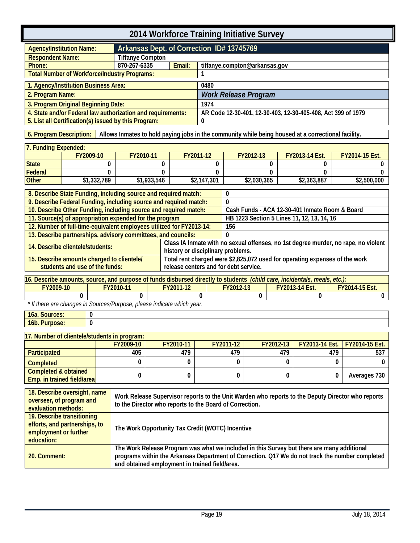<span id="page-22-1"></span><span id="page-22-0"></span>

|                                                                                                                             | 2014 Workforce Training Initiative Survey                                                                                     |                             |                                                         |                             |                                           |                         |                             |                               |           |                                                                                              |     |                                                                                                   |
|-----------------------------------------------------------------------------------------------------------------------------|-------------------------------------------------------------------------------------------------------------------------------|-----------------------------|---------------------------------------------------------|-----------------------------|-------------------------------------------|-------------------------|-----------------------------|-------------------------------|-----------|----------------------------------------------------------------------------------------------|-----|---------------------------------------------------------------------------------------------------|
| <b>Agency/Institution Name:</b>                                                                                             |                                                                                                                               |                             |                                                         |                             | Arkansas Dept. of Correction ID# 13745769 |                         |                             |                               |           |                                                                                              |     |                                                                                                   |
| <b>Respondent Name:</b>                                                                                                     |                                                                                                                               |                             | <b>Tiffanye Compton</b>                                 |                             |                                           |                         |                             |                               |           |                                                                                              |     |                                                                                                   |
| Phone:                                                                                                                      |                                                                                                                               |                             | 870-267-6335                                            |                             | Email:                                    |                         |                             | tiffanye.compton@arkansas.gov |           |                                                                                              |     |                                                                                                   |
|                                                                                                                             |                                                                                                                               |                             | <b>Total Number of Workforce/Industry Programs:</b>     |                             |                                           | 1                       |                             |                               |           |                                                                                              |     |                                                                                                   |
| 1. Agency/Institution Business Area:                                                                                        |                                                                                                                               |                             |                                                         |                             |                                           | 0480                    |                             |                               |           |                                                                                              |     |                                                                                                   |
| 2. Program Name:                                                                                                            |                                                                                                                               |                             |                                                         |                             |                                           |                         | <b>Work Release Program</b> |                               |           |                                                                                              |     |                                                                                                   |
|                                                                                                                             | 3. Program Original Beginning Date:                                                                                           |                             |                                                         |                             |                                           | 1974                    |                             |                               |           |                                                                                              |     |                                                                                                   |
|                                                                                                                             | 4. State and/or Federal law authorization and requirements:<br>5. List all Certification(s) issued by this Program:           |                             |                                                         |                             |                                           |                         |                             |                               |           | AR Code 12-30-401, 12-30-403, 12-30-405-408, Act 399 of 1979                                 |     |                                                                                                   |
|                                                                                                                             |                                                                                                                               |                             |                                                         |                             |                                           | 0                       |                             |                               |           |                                                                                              |     |                                                                                                   |
|                                                                                                                             | 6. Program Description:<br>Allows Inmates to hold paying jobs in the community while being housed at a correctional facility. |                             |                                                         |                             |                                           |                         |                             |                               |           |                                                                                              |     |                                                                                                   |
| 7. Funding Expended:                                                                                                        |                                                                                                                               |                             |                                                         |                             |                                           |                         |                             |                               |           |                                                                                              |     |                                                                                                   |
|                                                                                                                             | FY2009-10                                                                                                                     |                             | FY2010-11                                               |                             |                                           | FY2011-12               |                             | FY2012-13                     |           | FY2013-14 Est.                                                                               |     | FY2014-15 Est.                                                                                    |
| <b>State</b>                                                                                                                |                                                                                                                               | 0                           |                                                         | 0                           |                                           | 0                       |                             |                               | 0         | 0                                                                                            |     | 0                                                                                                 |
| <b>Federal</b><br><b>Other</b>                                                                                              |                                                                                                                               | $\mathbf{0}$<br>\$1,332,789 |                                                         | $\mathbf{0}$<br>\$1,933,546 |                                           | $\Omega$<br>\$2,147,301 |                             | \$2,030,365                   | 0         | 0<br>\$2,363,887                                                                             |     | 0<br>\$2,500,000                                                                                  |
|                                                                                                                             |                                                                                                                               |                             |                                                         |                             |                                           |                         |                             |                               |           |                                                                                              |     |                                                                                                   |
| 8. Describe State Funding, including source and required match:<br>0                                                        |                                                                                                                               |                             |                                                         |                             |                                           |                         |                             |                               |           |                                                                                              |     |                                                                                                   |
| 9. Describe Federal Funding, including source and required match:                                                           |                                                                                                                               |                             |                                                         |                             |                                           |                         | $\Omega$                    |                               |           |                                                                                              |     |                                                                                                   |
| 10. Describe Other Funding, including source and required match:<br>11. Source(s) of appropriation expended for the program |                                                                                                                               |                             |                                                         |                             |                                           |                         |                             |                               |           | Cash Funds - ACA 12-30-401 Inmate Room & Board<br>HB 1223 Section 5 Lines 11, 12, 13, 14, 16 |     |                                                                                                   |
| 12. Number of full-time-equivalent employees utilized for FY2013-14:                                                        |                                                                                                                               |                             |                                                         |                             |                                           |                         | 156                         |                               |           |                                                                                              |     |                                                                                                   |
| 13. Describe partnerships, advisory committees, and councils:                                                               |                                                                                                                               |                             |                                                         |                             |                                           |                         | $\Omega$                    |                               |           |                                                                                              |     |                                                                                                   |
| 14. Describe clientele/students:                                                                                            |                                                                                                                               |                             |                                                         |                             |                                           |                         |                             |                               |           |                                                                                              |     | Class IA Inmate with no sexual offenses, no 1st degree murder, no rape, no violent                |
|                                                                                                                             |                                                                                                                               |                             |                                                         |                             | history or disciplinary problems.         |                         |                             |                               |           |                                                                                              |     |                                                                                                   |
| 15. Describe amounts charged to clientele/                                                                                  | students and use of the funds:                                                                                                |                             |                                                         |                             | release centers and for debt service.     |                         |                             |                               |           | Total rent charged were \$2,825,072 used for operating expenses of the work                  |     |                                                                                                   |
| 16. Describe amounts, source, and purpose of funds disbursed directly to students (child care, incidentals, meals, etc.):   |                                                                                                                               |                             |                                                         |                             |                                           |                         |                             |                               |           |                                                                                              |     |                                                                                                   |
| FY2009-10                                                                                                                   |                                                                                                                               |                             | FY2010-11                                               |                             | FY2011-12                                 |                         | FY2012-13                   |                               |           | FY2013-14 Est.                                                                               |     | FY2014-15 Est.                                                                                    |
|                                                                                                                             | 0                                                                                                                             |                             | $\Omega$                                                |                             |                                           | $\Omega$                |                             | 0                             |           | $\mathbf{0}$                                                                                 |     | 0                                                                                                 |
| * If there are changes in Sources/Purpose, please indicate which year.                                                      |                                                                                                                               |                             |                                                         |                             |                                           |                         |                             |                               |           |                                                                                              |     |                                                                                                   |
| 16a. Sources:                                                                                                               |                                                                                                                               | 0                           |                                                         |                             |                                           |                         |                             |                               |           |                                                                                              |     |                                                                                                   |
| 16b. Purpose:                                                                                                               |                                                                                                                               | 0                           |                                                         |                             |                                           |                         |                             |                               |           |                                                                                              |     |                                                                                                   |
| 17. Number of clientele/students in program:                                                                                |                                                                                                                               |                             |                                                         |                             |                                           |                         |                             |                               |           |                                                                                              |     |                                                                                                   |
|                                                                                                                             |                                                                                                                               |                             | FY2009-10                                               |                             | FY2010-11                                 |                         | FY2011-12                   |                               | FY2012-13 | FY2013-14 Est.                                                                               |     | FY2014-15 Est.                                                                                    |
| Participated                                                                                                                |                                                                                                                               |                             | 405                                                     |                             | 479                                       |                         | 479                         |                               | 479       |                                                                                              | 479 | 537                                                                                               |
| <b>Completed</b>                                                                                                            |                                                                                                                               |                             | 0                                                       |                             | 0                                         |                         | 0                           |                               | 0         |                                                                                              | 0   | 0                                                                                                 |
| <b>Completed &amp; obtained</b>                                                                                             |                                                                                                                               |                             | 0                                                       |                             | 0                                         |                         | 0                           |                               | 0         |                                                                                              | 0   | Averages 730                                                                                      |
| Emp. in trained field/area                                                                                                  |                                                                                                                               |                             |                                                         |                             |                                           |                         |                             |                               |           |                                                                                              |     |                                                                                                   |
| 18. Describe oversight, name                                                                                                |                                                                                                                               |                             |                                                         |                             |                                           |                         |                             |                               |           |                                                                                              |     |                                                                                                   |
| overseer, of program and                                                                                                    |                                                                                                                               |                             | to the Director who reports to the Board of Correction. |                             |                                           |                         |                             |                               |           |                                                                                              |     | Work Release Supervisor reports to the Unit Warden who reports to the Deputy Director who reports |
| evaluation methods:                                                                                                         |                                                                                                                               |                             |                                                         |                             |                                           |                         |                             |                               |           |                                                                                              |     |                                                                                                   |
| 19. Describe transitioning<br>efforts, and partnerships, to                                                                 |                                                                                                                               |                             |                                                         |                             |                                           |                         |                             |                               |           |                                                                                              |     |                                                                                                   |
| The Work Opportunity Tax Credit (WOTC) Incentive<br>employment or further                                                   |                                                                                                                               |                             |                                                         |                             |                                           |                         |                             |                               |           |                                                                                              |     |                                                                                                   |
| education:                                                                                                                  |                                                                                                                               |                             |                                                         |                             |                                           |                         |                             |                               |           |                                                                                              |     |                                                                                                   |
|                                                                                                                             |                                                                                                                               |                             |                                                         |                             |                                           |                         |                             |                               |           | The Work Release Program was what we included in this Survey but there are many additional   |     |                                                                                                   |
| 20. Comment:                                                                                                                |                                                                                                                               |                             |                                                         |                             |                                           |                         |                             |                               |           |                                                                                              |     | programs within the Arkansas Department of Correction. Q17 We do not track the number completed   |
|                                                                                                                             | and obtained employment in trained field/area.                                                                                |                             |                                                         |                             |                                           |                         |                             |                               |           |                                                                                              |     |                                                                                                   |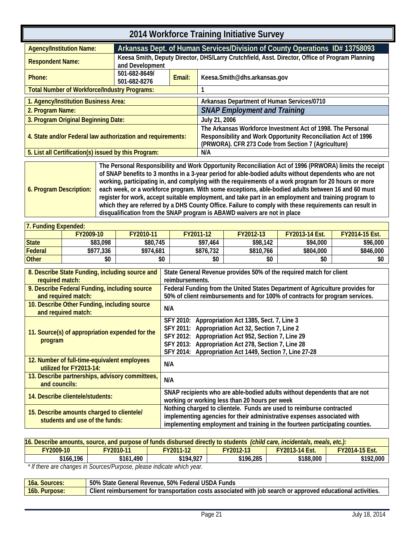<span id="page-24-0"></span>

| 2014 Workforce Training Initiative Survey                                                                                                                                                                        |                               |        |                                                                                                                                                                                      |  |  |
|------------------------------------------------------------------------------------------------------------------------------------------------------------------------------------------------------------------|-------------------------------|--------|--------------------------------------------------------------------------------------------------------------------------------------------------------------------------------------|--|--|
| <b>Agency/Institution Name:</b>                                                                                                                                                                                  |                               |        | Arkansas Dept. of Human Services/Division of County Operations ID# 13758093                                                                                                          |  |  |
| <b>Respondent Name:</b>                                                                                                                                                                                          | and Development               |        | Keesa Smith, Deputy Director, DHS/Larry Crutchfield, Asst. Director, Office of Program Planning                                                                                      |  |  |
| Phone:                                                                                                                                                                                                           | 501-682-8649/<br>501-682-8276 | Email: | Keesa.Smith@dhs.arkansas.gov                                                                                                                                                         |  |  |
| <b>Total Number of Workforce/Industry Programs:</b>                                                                                                                                                              |                               |        |                                                                                                                                                                                      |  |  |
| 1. Agency/Institution Business Area:                                                                                                                                                                             |                               |        | Arkansas Department of Human Services/0710                                                                                                                                           |  |  |
| 2. Program Name:                                                                                                                                                                                                 |                               |        | <b>SNAP Employment and Training</b>                                                                                                                                                  |  |  |
| 3. Program Original Beginning Date:                                                                                                                                                                              |                               |        | July 21, 2006                                                                                                                                                                        |  |  |
| 4. State and/or Federal law authorization and requirements:                                                                                                                                                      |                               |        | The Arkansas Workforce Investment Act of 1998. The Personal<br>Responsibility and Work Opportunity Reconciliation Act of 1996<br>(PRWORA). CFR 273 Code from Section 7 (Agriculture) |  |  |
| 5. List all Certification(s) issued by this Program:                                                                                                                                                             |                               |        | N/A                                                                                                                                                                                  |  |  |
| The Personal Responsibility and Work Opportunity Reconciliation Act of 1996 (PRWORA) limits the receipt<br>of SNAP benefits to 3 months in a 3-year period for able-bodied adults without dependents who are not |                               |        |                                                                                                                                                                                      |  |  |

<span id="page-24-1"></span>

| 7. Funding Expended: |                  |           |           |           |                       |                       |  |  |  |
|----------------------|------------------|-----------|-----------|-----------|-----------------------|-----------------------|--|--|--|
|                      | <b>FY2009-10</b> | FY2010-11 | FY2011-12 | FY2012-13 | <b>FY2013-14 Est.</b> | <b>FY2014-15 Est.</b> |  |  |  |
| <b>State</b>         | \$83,098         | \$80.745  | \$97,464  | \$98,142  | \$94,000              | \$96,000              |  |  |  |
| Federal              | \$977,336        | \$974,681 | \$876,732 | \$810.766 | \$804,000             | \$846,000             |  |  |  |
| <b>Other</b>         | \$0              | \$0       | \$0       | \$0       | \$0                   | \$0                   |  |  |  |

| 8. Describe State Funding, including source and<br>required match:           | State General Revenue provides 50% of the required match for client<br>reimbursements.                                                                                                                                                                                          |
|------------------------------------------------------------------------------|---------------------------------------------------------------------------------------------------------------------------------------------------------------------------------------------------------------------------------------------------------------------------------|
| 9. Describe Federal Funding, including source<br>and required match:         | Federal Funding from the United States Department of Agriculture provides for<br>50% of client reimbursements and for 100% of contracts for program services.                                                                                                                   |
| 10. Describe Other Funding, including source<br>and required match:          | N/A                                                                                                                                                                                                                                                                             |
| 11. Source(s) of appropriation expended for the<br>program                   | SFY 2010: Appropriation Act 1385, Sect. 7, Line 3<br>SFY 2011: Appropriation Act 32, Section 7, Line 2<br>SFY 2012: Appropriation Act 952, Section 7, Line 29<br>SFY 2013: Appropriation Act 278, Section 7, Line 28<br>SFY 2014: Appropriation Act 1449, Section 7, Line 27-28 |
| 12. Number of full-time-equivalent employees<br>utilized for FY2013-14:      | N/A                                                                                                                                                                                                                                                                             |
| 13. Describe partnerships, advisory committees,<br>and councils:             | N/A                                                                                                                                                                                                                                                                             |
| 14. Describe clientele/students:                                             | SNAP recipients who are able-bodied adults without dependents that are not<br>working or working less than 20 hours per week                                                                                                                                                    |
| 15. Describe amounts charged to clientele/<br>students and use of the funds: | Nothing charged to clientele. Funds are used to reimburse contracted<br>implementing agencies for their administrative expenses associated with<br>implementing employment and training in the fourteen participating counties.                                                 |

| 16. Describe amounts, source, and purpose of funds disbursed directly to students <i>(child care, incidentals, meals, etc.)</i> ; |           |           |           |           |           |  |  |
|-----------------------------------------------------------------------------------------------------------------------------------|-----------|-----------|-----------|-----------|-----------|--|--|
| FY2009-10<br>$7$ Y2011-12<br><b>FY2014-15 Est.</b><br><b>FY2012-13</b><br>FY2010-11<br><b>FY2013-14 Est.</b>                      |           |           |           |           |           |  |  |
| \$166.196                                                                                                                         | \$161.490 | \$194,927 | \$196,285 | \$188,000 | \$192,000 |  |  |

 *\* If there are changes in Sources/Purpose, please indicate which year.*

| 16a. Sources:       | 50%<br>General Revenue, 50%<br>Federal USDA<br><b>State</b><br>-unds                                                            |
|---------------------|---------------------------------------------------------------------------------------------------------------------------------|
| $16b$ .<br>Purpose: | Client reimbursement<br>l with iob search or approved educational activities.<br>t for transportation costs associated <b>v</b> |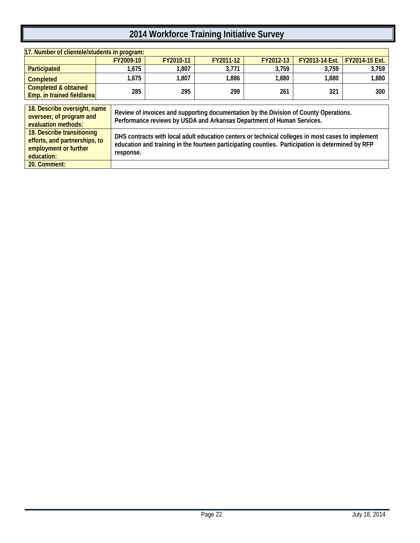| 17. Number of clientele/students in program:                                                       |           |                                                                                                                                                                                                        |           |           |                |                |  |  |  |
|----------------------------------------------------------------------------------------------------|-----------|--------------------------------------------------------------------------------------------------------------------------------------------------------------------------------------------------------|-----------|-----------|----------------|----------------|--|--|--|
|                                                                                                    | FY2009-10 | FY2010-11                                                                                                                                                                                              | FY2011-12 | FY2012-13 | FY2013-14 Est. | FY2014-15 Est. |  |  |  |
| Participated                                                                                       | 1,675     | 1,807                                                                                                                                                                                                  | 3.771     | 3.759     | 3.759          | 3,759          |  |  |  |
| <b>Completed</b>                                                                                   | 1,675     | 1,807                                                                                                                                                                                                  | 1,886     | 1,880     | 1,880          | 1,880          |  |  |  |
| <b>Completed &amp; obtained</b><br>Emp. in trained field/area                                      | 285       | 295                                                                                                                                                                                                    | 299       | 261       | 321            | 300            |  |  |  |
|                                                                                                    |           |                                                                                                                                                                                                        |           |           |                |                |  |  |  |
| 18. Describe oversight, name<br>overseer, of program and<br>evaluation methods:                    |           | Review of invoices and supporting documentation by the Division of County Operations.<br>Performance reviews by USDA and Arkansas Department of Human Services.                                        |           |           |                |                |  |  |  |
| 19. Describe transitioning<br>efforts, and partnerships, to<br>employment or further<br>education: | response. | DHS contracts with local adult education centers or technical colleges in most cases to implement<br>education and training in the fourteen participating counties. Participation is determined by RFP |           |           |                |                |  |  |  |

**20. Comment:**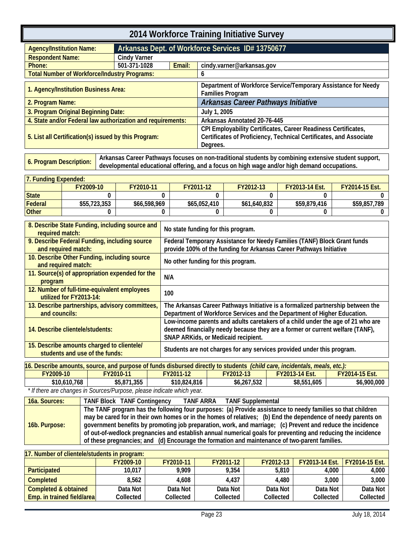<span id="page-26-0"></span>

| 2014 Workforce Training Initiative Survey                   |                     |                                                   |                                                                                                                                                  |  |  |
|-------------------------------------------------------------|---------------------|---------------------------------------------------|--------------------------------------------------------------------------------------------------------------------------------------------------|--|--|
| <b>Agency/Institution Name:</b>                             |                     | Arkansas Dept. of Workforce Services ID# 13750677 |                                                                                                                                                  |  |  |
| <b>Respondent Name:</b>                                     | <b>Cindy Varner</b> |                                                   |                                                                                                                                                  |  |  |
| Phone:                                                      | 501-371-1028        | Email:                                            | cindy.varner@arkansas.gov                                                                                                                        |  |  |
| <b>Total Number of Workforce/Industry Programs:</b>         |                     |                                                   | 6                                                                                                                                                |  |  |
| 1. Agency/Institution Business Area:                        |                     |                                                   | Department of Workforce Service/Temporary Assistance for Needy<br><b>Families Program</b>                                                        |  |  |
| 2. Program Name:                                            |                     |                                                   | Arkansas Career Pathways Initiative                                                                                                              |  |  |
| 3. Program Original Beginning Date:                         |                     |                                                   | July 1, 2005                                                                                                                                     |  |  |
| 4. State and/or Federal law authorization and requirements: |                     |                                                   | Arkansas Annotated 20-76-445                                                                                                                     |  |  |
| 5. List all Certification(s) issued by this Program:        |                     |                                                   | CPI Employability Certificates, Career Readiness Certificates,<br>Certificates of Proficiency, Technical Certificates, and Associate<br>Degrees. |  |  |

<span id="page-26-1"></span>6. Program Description: Arkansas Career Pathways focuses on non-traditional students by combining extensive student support,<br>developmental educational offering, and a focus on high wage and/or high demand occupations.

| 17. Fundina Expended: |              |              |              |              |                       |                       |
|-----------------------|--------------|--------------|--------------|--------------|-----------------------|-----------------------|
|                       | FY2009-10    | FY2010-11    | FY2011-12    | FY2012-13    | <b>FY2013-14 Est.</b> | <b>FY2014-15 Est.</b> |
| <b>State</b>          |              |              |              |              |                       |                       |
| Federal               | \$55,723,353 | \$66,598,969 | \$65,052,410 | \$61,640,832 | \$59,879,416          | \$59,857.789          |
| <b>Other</b>          |              |              |              |              |                       |                       |

| 8. Describe State Funding, including source and<br>required match:           | No state funding for this program.                                                                                                                                                                             |
|------------------------------------------------------------------------------|----------------------------------------------------------------------------------------------------------------------------------------------------------------------------------------------------------------|
| 9. Describe Federal Funding, including source<br>and required match:         | Federal Temporary Assistance for Needy Families (TANF) Block Grant funds<br>provide 100% of the funding for Arkansas Career Pathways Initiative                                                                |
| 10. Describe Other Funding, including source<br>and required match:          | No other funding for this program.                                                                                                                                                                             |
| 11. Source(s) of appropriation expended for the<br>program                   | N/A                                                                                                                                                                                                            |
| 12. Number of full-time-equivalent employees<br>utilized for FY2013-14:      | 100                                                                                                                                                                                                            |
| 13. Describe partnerships, advisory committees,<br>and councils:             | The Arkansas Career Pathways Initiative is a formalized partnership between the<br>Department of Workforce Services and the Department of Higher Education.                                                    |
| 14. Describe clientele/students:                                             | Low-income parents and adults caretakers of a child under the age of 21 who are<br>deemed financially needy because they are a former or current welfare (TANF),<br><b>SNAP ARKids, or Medicaid recipient.</b> |
| 15. Describe amounts charged to clientele/<br>students and use of the funds: | Students are not charges for any services provided under this program.                                                                                                                                         |

| 16. Describe amounts, source, and purpose of funds disbursed directly to students <i>(child care, incidentals, meals, etc.):</i> |                  |              |                  |                       |                       |
|----------------------------------------------------------------------------------------------------------------------------------|------------------|--------------|------------------|-----------------------|-----------------------|
| FY2009-10                                                                                                                        | <b>FY2010-11</b> | FY2011-12    | <b>FY2012-13</b> | <b>FY2013-14 Est.</b> | <b>FY2014-15 Est.</b> |
| \$10,610,768                                                                                                                     | \$5,871,355      | \$10,824,816 | \$6,267,532      | \$8,551,605           | \$6,900,000           |

 *\* If there are changes in Sources/Purpose, please indicate which year.*

| 16a. Sources: | <b>TANF Block TANF Contingency</b><br>TANF ARRA<br><b>TANF Supplemental</b>                                                                                                                                                                                                                                                                                                                                                                                                                                                                                |
|---------------|------------------------------------------------------------------------------------------------------------------------------------------------------------------------------------------------------------------------------------------------------------------------------------------------------------------------------------------------------------------------------------------------------------------------------------------------------------------------------------------------------------------------------------------------------------|
| 16b. Purpose: | The TANF program has the following four purposes: (a) Provide assistance to needy families so that children<br>may be cared for in their own homes or in the homes of relatives; (b) End the dependence of needy parents on<br>government benefits by promoting job preparation, work, and marriage; (c) Prevent and reduce the incidence<br>of out-of-wedlock pregnancies and establish annual numerical goals for preventing and reducing the incidence<br>of these pregnancies; and (d) Encourage the formation and maintenance of two-parent families. |

| 17. Number of clientele/students in program: |           |           |           |           |                       |                       |
|----------------------------------------------|-----------|-----------|-----------|-----------|-----------------------|-----------------------|
|                                              | FY2009-10 | FY2010-11 | FY2011-12 | FY2012-13 | <b>FY2013-14 Est.</b> | <b>FY2014-15 Fst.</b> |
| <b>Participated</b>                          | 10,017    | 9.909     | 9.354     | 5.810     | 4.000                 | 4.000                 |
| <b>Completed</b>                             | 8.562     | 4.608     | 4.437     | 4,480     | 3.000                 | 3.000                 |
| Completed & obtained                         | Data Not  | Data Not  | Data Not  | Data Not  | Data Not              | Data Not              |
| Emp. in trained field/area                   | Collected | Collected | Collected | Collected | Collected             | Collected             |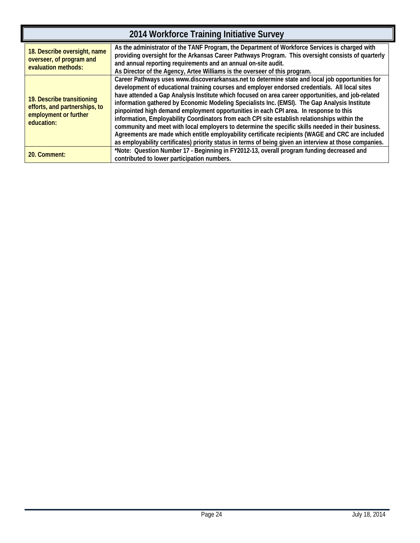| 2014 Workforce Training Initiative Survey                                                          |                                                                                                                                                                                                                                                                                                                                                                                                                                                                                                                                                                                                                                                                                                                                                                                                                                                                                                                           |  |  |  |
|----------------------------------------------------------------------------------------------------|---------------------------------------------------------------------------------------------------------------------------------------------------------------------------------------------------------------------------------------------------------------------------------------------------------------------------------------------------------------------------------------------------------------------------------------------------------------------------------------------------------------------------------------------------------------------------------------------------------------------------------------------------------------------------------------------------------------------------------------------------------------------------------------------------------------------------------------------------------------------------------------------------------------------------|--|--|--|
| 18. Describe oversight, name<br>overseer, of program and<br>evaluation methods:                    | As the administrator of the TANF Program, the Department of Workforce Services is charged with<br>providing oversight for the Arkansas Career Pathways Program. This oversight consists of quarterly<br>and annual reporting requirements and an annual on-site audit.<br>As Director of the Agency, Artee Williams is the overseer of this program.                                                                                                                                                                                                                                                                                                                                                                                                                                                                                                                                                                      |  |  |  |
| 19. Describe transitioning<br>efforts, and partnerships, to<br>employment or further<br>education: | Career Pathways uses www.discoverarkansas.net to determine state and local job opportunities for<br>development of educational training courses and employer endorsed credentials. All local sites<br>have attended a Gap Analysis Institute which focused on area career opportunities, and job-related<br>information gathered by Economic Modeling Specialists Inc. (EMSI). The Gap Analysis Institute<br>pinpointed high demand employment opportunities in each CPI area. In response to this<br>information, Employability Coordinators from each CPI site establish relationships within the<br>community and meet with local employers to determine the specific skills needed in their business.<br>Agreements are made which entitle employability certificate recipients (WAGE and CRC are included<br>as employability certificates) priority status in terms of being given an interview at those companies. |  |  |  |
| 20. Comment:                                                                                       | *Note: Question Number 17 - Beginning in FY2012-13, overall program funding decreased and<br>contributed to lower participation numbers.                                                                                                                                                                                                                                                                                                                                                                                                                                                                                                                                                                                                                                                                                                                                                                                  |  |  |  |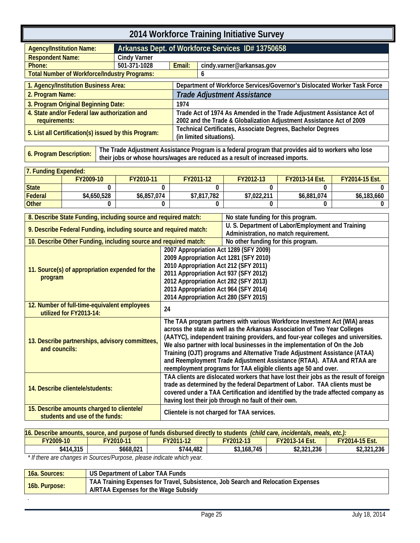<span id="page-28-0"></span>

| 2014 Workforce Training Initiative Survey                      |                                                     |                                                                                         |                                                                                                                                                |  |  |
|----------------------------------------------------------------|-----------------------------------------------------|-----------------------------------------------------------------------------------------|------------------------------------------------------------------------------------------------------------------------------------------------|--|--|
| <b>Agency/Institution Name:</b>                                |                                                     | Arkansas Dept. of Workforce Services ID# 13750658                                       |                                                                                                                                                |  |  |
| <b>Respondent Name:</b>                                        | <b>Cindy Varner</b>                                 |                                                                                         |                                                                                                                                                |  |  |
| Phone:                                                         | 501-371-1028<br>Email:<br>cindy.varner@arkansas.gov |                                                                                         |                                                                                                                                                |  |  |
| <b>Total Number of Workforce/Industry Programs:</b>            |                                                     |                                                                                         | 6                                                                                                                                              |  |  |
| 1. Agency/Institution Business Area:                           |                                                     |                                                                                         | Department of Workforce Services/Governor's Dislocated Worker Task Force                                                                       |  |  |
| 2. Program Name:                                               |                                                     |                                                                                         | <b>Trade Adjustment Assistance</b>                                                                                                             |  |  |
| 3. Program Original Beginning Date:                            |                                                     | 1974                                                                                    |                                                                                                                                                |  |  |
| 4. State and/or Federal law authorization and<br>requirements: |                                                     |                                                                                         | Trade Act of 1974 As Amended in the Trade Adjustment Assistance Act of<br>2002 and the Trade & Globalization Adjustment Assistance Act of 2009 |  |  |
| 5. List all Certification(s) issued by this Program:           |                                                     | Technical Certificates, Associate Degrees, Bachelor Degrees<br>(in limited situations). |                                                                                                                                                |  |  |

<span id="page-28-1"></span>**6. Program Description: The Trade Adjustment Assistance Program is a federal program that provides aid to workers who lose their jobs or whose hours/wages are reduced as a result of increased imports.**

| <b>7. Funding Expended:</b> |             |             |             |             |                       |                       |
|-----------------------------|-------------|-------------|-------------|-------------|-----------------------|-----------------------|
|                             | FY2009-10   | FY2010-11   | FY2011-12   | FY2012-13   | <b>FY2013-14 Est.</b> | <b>FY2014-15 Est.</b> |
| <b>State</b>                |             |             |             |             |                       |                       |
| Federal                     | \$4,650,528 | \$6,857,074 | \$7,817,782 | \$7.022.211 | \$6,881,074           | \$6.183.660           |
| <b>Other</b>                |             |             |             |             |                       |                       |

| 8. Describe State Funding, including source and required match:                                                                                                                                                                                                                                                    |                                                                                                                                                                                                                                                                                                                   | No state funding for this program.                                                                                                                                                                                                                                                                                                                                                                                                                                                                                                                   |
|--------------------------------------------------------------------------------------------------------------------------------------------------------------------------------------------------------------------------------------------------------------------------------------------------------------------|-------------------------------------------------------------------------------------------------------------------------------------------------------------------------------------------------------------------------------------------------------------------------------------------------------------------|------------------------------------------------------------------------------------------------------------------------------------------------------------------------------------------------------------------------------------------------------------------------------------------------------------------------------------------------------------------------------------------------------------------------------------------------------------------------------------------------------------------------------------------------------|
| 9. Describe Federal Funding, including source and required match:                                                                                                                                                                                                                                                  | U. S. Department of Labor/Employment and Training<br>Administration, no match requirement.                                                                                                                                                                                                                        |                                                                                                                                                                                                                                                                                                                                                                                                                                                                                                                                                      |
| 10. Describe Other Funding, including source and required match:                                                                                                                                                                                                                                                   |                                                                                                                                                                                                                                                                                                                   | No other funding for this program.                                                                                                                                                                                                                                                                                                                                                                                                                                                                                                                   |
| 2007 Appropriation Act 1289 (SFY 2009)<br>2009 Appropriation Act 1281 (SFY 2010)<br>2010 Appropriation Act 212 (SFY 2011)<br>11. Source(s) of appropriation expended for the<br>2011 Appropriation Act 937 (SFY 2012)<br>program<br>2012 Appropriation Act 282 (SFY 2013)<br>2013 Appropriation Act 964 (SFY 2014) |                                                                                                                                                                                                                                                                                                                   | 2014 Appropriation Act 280 (SFY 2015)                                                                                                                                                                                                                                                                                                                                                                                                                                                                                                                |
| 12. Number of full-time-equivalent employees<br>utilized for FY2013-14:                                                                                                                                                                                                                                            | 24                                                                                                                                                                                                                                                                                                                |                                                                                                                                                                                                                                                                                                                                                                                                                                                                                                                                                      |
| 13. Describe partnerships, advisory committees,<br>and councils:                                                                                                                                                                                                                                                   |                                                                                                                                                                                                                                                                                                                   | The TAA program partners with various Workforce Investment Act (WIA) areas<br>across the state as well as the Arkansas Association of Two Year Colleges<br>(AATYC), independent training providers, and four-year colleges and universities.<br>We also partner with local businesses in the implementation of On the Job<br>Training (OJT) programs and Alternative Trade Adjustment Assistance (ATAA)<br>and Reemployment Trade Adjustment Assistance (RTAA). ATAA and RTAA are<br>reemployment programs for TAA eligible clients age 50 and over. |
| 14. Describe clientele/students:                                                                                                                                                                                                                                                                                   | TAA clients are dislocated workers that have lost their jobs as the result of foreign<br>trade as determined by the federal Department of Labor. TAA clients must be<br>covered under a TAA Certification and identified by the trade affected company as<br>having lost their job through no fault of their own. |                                                                                                                                                                                                                                                                                                                                                                                                                                                                                                                                                      |
| 15. Describe amounts charged to clientele/<br>students and use of the funds:                                                                                                                                                                                                                                       | Clientele is not charged for TAA services.                                                                                                                                                                                                                                                                        |                                                                                                                                                                                                                                                                                                                                                                                                                                                                                                                                                      |

| 16. Describe amounts, source, and purpose of funds disbursed directly to students <i>(child care, incidentals, meals, etc.):</i> |                                                                                                                                                                                                                                                                                                                                                                                                                                                                                      |           |             |                       |                       |
|----------------------------------------------------------------------------------------------------------------------------------|--------------------------------------------------------------------------------------------------------------------------------------------------------------------------------------------------------------------------------------------------------------------------------------------------------------------------------------------------------------------------------------------------------------------------------------------------------------------------------------|-----------|-------------|-----------------------|-----------------------|
| FY2009-10                                                                                                                        | FY2010-11                                                                                                                                                                                                                                                                                                                                                                                                                                                                            | FY2011-12 | FY2012-13   | <b>FY2013-14 Est.</b> | <b>FY2014-15 Est.</b> |
| \$414,315                                                                                                                        | \$668,021                                                                                                                                                                                                                                                                                                                                                                                                                                                                            | \$744.482 | \$3.168.745 | \$2,321,236           | \$2,321,236           |
|                                                                                                                                  | $+$ $\blacksquare$ $\blacksquare$ $\blacksquare$ $\blacksquare$ $\blacksquare$ $\blacksquare$ $\blacksquare$ $\blacksquare$ $\blacksquare$ $\blacksquare$ $\blacksquare$ $\blacksquare$ $\blacksquare$ $\blacksquare$ $\blacksquare$ $\blacksquare$ $\blacksquare$ $\blacksquare$ $\blacksquare$ $\blacksquare$ $\blacksquare$ $\blacksquare$ $\blacksquare$ $\blacksquare$ $\blacksquare$ $\blacksquare$ $\blacksquare$ $\blacksquare$ $\blacksquare$ $\blacksquare$ $\blacksquare$ |           |             |                       |                       |

 *\* If there are changes in Sources/Purpose, please indicate which year.*

| 16a. Sources: | US Department of Labor TAA Funds                                                                                          |
|---------------|---------------------------------------------------------------------------------------------------------------------------|
| 16b. Purpose: | TAA Training Expenses for Travel, Subsistence, Job Search and Relocation Expenses<br>A/RTAA Expenses for the Wage Subsidy |
|               |                                                                                                                           |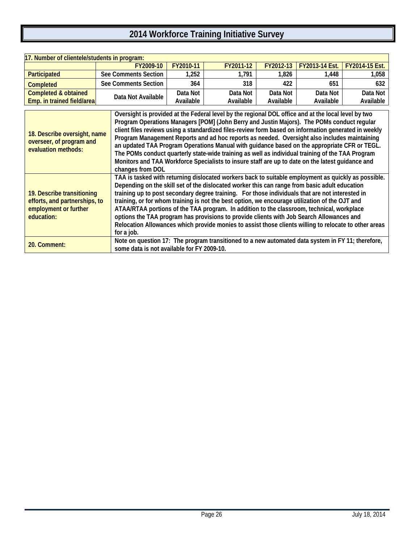| 17. Number of clientele/students in program: |                      |           |           |           |                            |                       |  |  |
|----------------------------------------------|----------------------|-----------|-----------|-----------|----------------------------|-----------------------|--|--|
|                                              | FY2009-10            | FY2010-11 | FY2011-12 |           | FY2012-13   FY2013-14 Fst. | <b>FY2014-15 Fst.</b> |  |  |
| <b>Participated</b>                          | See Comments Section | 1.252     | 1.791     | 1,826     | .448                       | 1,058                 |  |  |
| <b>Completed</b>                             | See Comments Section | 364       | 318       | 422       | 651                        | 632                   |  |  |
| <b>Completed &amp; obtained</b>              | Data Not Available   | Data Not  | Data Not  | Data Not  | Data Not                   | Data Not              |  |  |
| Emp. in trained field/area                   |                      | Available | Available | Available | Available                  | Available             |  |  |

| 18. Describe oversight, name<br>overseer, of program and<br>evaluation methods:                    | Oversight is provided at the Federal level by the regional DOL office and at the local level by two<br>Program Operations Managers [POM] (John Berry and Justin Majors). The POMs conduct regular<br>client files reviews using a standardized files-review form based on information generated in weekly<br>Program Management Reports and ad hoc reports as needed. Oversight also includes maintaining<br>an updated TAA Program Operations Manual with guidance based on the appropriate CFR or TEGL.<br>The POMs conduct quarterly state-wide training as well as individual training of the TAA Program<br>Monitors and TAA Workforce Specialists to insure staff are up to date on the latest guidance and<br>changes from DOL |
|----------------------------------------------------------------------------------------------------|---------------------------------------------------------------------------------------------------------------------------------------------------------------------------------------------------------------------------------------------------------------------------------------------------------------------------------------------------------------------------------------------------------------------------------------------------------------------------------------------------------------------------------------------------------------------------------------------------------------------------------------------------------------------------------------------------------------------------------------|
| 19. Describe transitioning<br>efforts, and partnerships, to<br>employment or further<br>education: | TAA is tasked with returning dislocated workers back to suitable employment as quickly as possible.<br>Depending on the skill set of the dislocated worker this can range from basic adult education<br>training up to post secondary degree training. For those individuals that are not interested in<br>training, or for whom training is not the best option, we encourage utilization of the OJT and<br>ATAA/RTAA portions of the TAA program. In addition to the classroom, technical, workplace<br>options the TAA program has provisions to provide clients with Job Search Allowances and<br>Relocation Allowances which provide monies to assist those clients willing to relocate to other areas<br>for a job.             |
| 20. Comment:                                                                                       | Note on question 17: The program transitioned to a new automated data system in FY 11; therefore,<br>some data is not available for FY 2009-10.                                                                                                                                                                                                                                                                                                                                                                                                                                                                                                                                                                                       |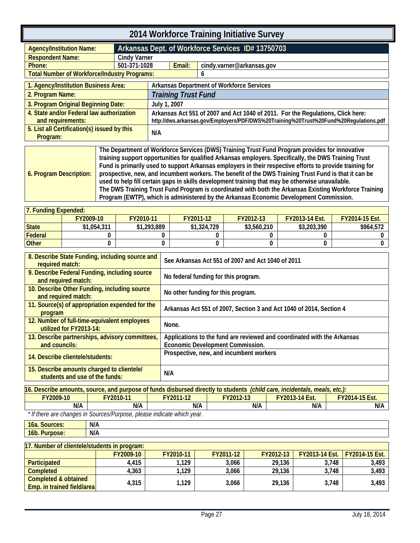<span id="page-30-1"></span><span id="page-30-0"></span>

| 2014 Workforce Training Initiative Survey                                                                                                                                                                                                                                                                                                                                                                                                                                                                                                                                                                                                                                                                                                                      |                                                   |                                                                                                                                                                          |                            |                                                  |  |  |
|----------------------------------------------------------------------------------------------------------------------------------------------------------------------------------------------------------------------------------------------------------------------------------------------------------------------------------------------------------------------------------------------------------------------------------------------------------------------------------------------------------------------------------------------------------------------------------------------------------------------------------------------------------------------------------------------------------------------------------------------------------------|---------------------------------------------------|--------------------------------------------------------------------------------------------------------------------------------------------------------------------------|----------------------------|--------------------------------------------------|--|--|
| <b>Agency/Institution Name:</b>                                                                                                                                                                                                                                                                                                                                                                                                                                                                                                                                                                                                                                                                                                                                | Arkansas Dept. of Workforce Services ID# 13750703 |                                                                                                                                                                          |                            |                                                  |  |  |
| <b>Respondent Name:</b>                                                                                                                                                                                                                                                                                                                                                                                                                                                                                                                                                                                                                                                                                                                                        | <b>Cindy Varner</b>                               |                                                                                                                                                                          |                            |                                                  |  |  |
| Phone:                                                                                                                                                                                                                                                                                                                                                                                                                                                                                                                                                                                                                                                                                                                                                         | 501-371-1028                                      |                                                                                                                                                                          | Email:                     | cindy.varner@arkansas.gov                        |  |  |
| <b>Total Number of Workforce/Industry Programs:</b>                                                                                                                                                                                                                                                                                                                                                                                                                                                                                                                                                                                                                                                                                                            |                                                   |                                                                                                                                                                          |                            | 6                                                |  |  |
| 1. Agency/Institution Business Area:                                                                                                                                                                                                                                                                                                                                                                                                                                                                                                                                                                                                                                                                                                                           |                                                   |                                                                                                                                                                          |                            | <b>Arkansas Department of Workforce Services</b> |  |  |
| 2. Program Name:                                                                                                                                                                                                                                                                                                                                                                                                                                                                                                                                                                                                                                                                                                                                               |                                                   |                                                                                                                                                                          | <b>Training Trust Fund</b> |                                                  |  |  |
| 3. Program Original Beginning Date:                                                                                                                                                                                                                                                                                                                                                                                                                                                                                                                                                                                                                                                                                                                            |                                                   | July 1, 2007                                                                                                                                                             |                            |                                                  |  |  |
| 4. State and/or Federal law authorization<br>and requirements:                                                                                                                                                                                                                                                                                                                                                                                                                                                                                                                                                                                                                                                                                                 |                                                   | Arkansas Act 551 of 2007 and Act 1040 of 2011. For the Regulations, Click here:<br>http://dws.arkansas.gov/Employers/PDF/DWS%20Training%20Trust%20Fund%20Regulations.pdf |                            |                                                  |  |  |
| 5. List all Certification(s) issued by this<br>Program:                                                                                                                                                                                                                                                                                                                                                                                                                                                                                                                                                                                                                                                                                                        |                                                   | N/A                                                                                                                                                                      |                            |                                                  |  |  |
| The Department of Workforce Services (DWS) Training Trust Fund Program provides for innovative<br>training support opportunities for qualified Arkansas employers. Specifically, the DWS Training Trust<br>Fund is primarily used to support Arkansas employers in their respective efforts to provide training for<br>prospective, new, and incumbent workers. The benefit of the DWS Training Trust Fund is that it can be<br>6. Program Description:<br>used to help fill certain gaps in skills development training that may be otherwise unavailable.<br>The DWS Training Trust Fund Program is coordinated with both the Arkansas Existing Workforce Training<br>Program (EWTP), which is administered by the Arkansas Economic Development Commission. |                                                   |                                                                                                                                                                          |                            |                                                  |  |  |

| l 7. Fundina Expended: |             |             |             |             |                       |                       |  |  |  |
|------------------------|-------------|-------------|-------------|-------------|-----------------------|-----------------------|--|--|--|
|                        | FY2009-10   | FY2010-11   | FY2011-12   | FY2012-13   | <b>FY2013-14 Est.</b> | <b>FY2014-15 Est.</b> |  |  |  |
| <b>State</b>           | \$1,054,311 | \$1,293,889 | \$1,324,729 | \$3,560,210 | \$3,203,390           | \$964,572             |  |  |  |
| Federal                |             |             |             |             |                       |                       |  |  |  |
| <b>Other</b>           |             |             |             |             |                       |                       |  |  |  |

| 8. Describe State Funding, including source and<br>required match:           | See Arkansas Act 551 of 2007 and Act 1040 of 2011                       |
|------------------------------------------------------------------------------|-------------------------------------------------------------------------|
| 9. Describe Federal Funding, including source<br>and required match:         | No federal funding for this program.                                    |
| 10. Describe Other Funding, including source<br>and required match:          | No other funding for this program.                                      |
| 11. Source(s) of appropriation expended for the<br>program                   | Arkansas Act 551 of 2007, Section 3 and Act 1040 of 2014, Section 4     |
| 12. Number of full-time-equivalent employees<br>utilized for FY2013-14:      | None.                                                                   |
| 13. Describe partnerships, advisory committees,                              | Applications to the fund are reviewed and coordinated with the Arkansas |
| and councils:                                                                | Economic Development Commission.                                        |
| 14. Describe clientele/students:                                             | Prospective, new, and incumbent workers                                 |
| 15. Describe amounts charged to clientele/<br>students and use of the funds: | N/A                                                                     |

| 16. Describe amounts, source, and purpose of funds disbursed directly to students (child care, incidentals, meals, etc.): |  |  |  |  |  |  |  |  |
|---------------------------------------------------------------------------------------------------------------------------|--|--|--|--|--|--|--|--|
| FY2009-10<br>FY2011-12<br><b>FY2014-15 Est.</b><br>FY2012-13<br>FY2010-11<br><b>FY2013-14 Est.</b>                        |  |  |  |  |  |  |  |  |
| N/A<br>N/A<br>N/A<br>N/A<br>N/A<br>N/A                                                                                    |  |  |  |  |  |  |  |  |
| * If there are changes in Sources/Purnose please indicate which year                                                      |  |  |  |  |  |  |  |  |

 *\* If there are changes in Sources/Purpose, please indicate which year.*

| 16a. Sources: | I N/A |
|---------------|-------|
| 16b. Purpose: | I N/A |

| 17. Number of clientele/students in program:       |           |           |           |           |                                        |       |  |
|----------------------------------------------------|-----------|-----------|-----------|-----------|----------------------------------------|-------|--|
|                                                    | FY2009-10 | FY2010-11 | FY2011-12 | FY2012-13 | <b>FY2013-14 Est.   FY2014-15 Est.</b> |       |  |
| <b>Participated</b>                                | 4,415     | ,129      | 3,066     | 29.136    | 3.748                                  | 3,493 |  |
| <b>Completed</b>                                   | 4,363     | ,129      | 3.066     | 29.136    | 3.748                                  | 3,493 |  |
| Completed & obtained<br>Emp. in trained field/area | 4,315     | 1.129     | 3.066     | 29.136    | 3.748                                  | 3,493 |  |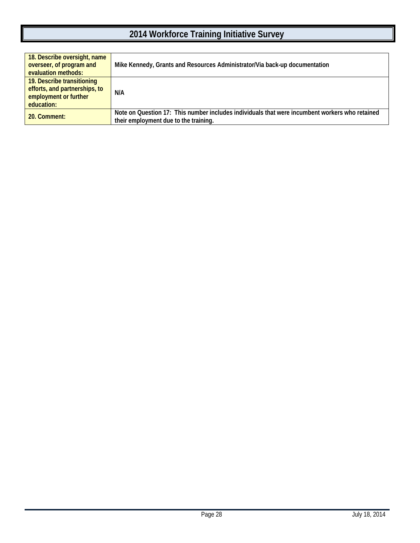| 18. Describe oversight, name<br>overseer, of program and<br>evaluation methods:                    | Mike Kennedy, Grants and Resources Administrator/Via back-up documentation                                                              |
|----------------------------------------------------------------------------------------------------|-----------------------------------------------------------------------------------------------------------------------------------------|
| 19. Describe transitioning<br>efforts, and partnerships, to<br>employment or further<br>education: | N/A                                                                                                                                     |
| 20. Comment:                                                                                       | Note on Question 17: This number includes individuals that were incumbent workers who retained<br>their employment due to the training. |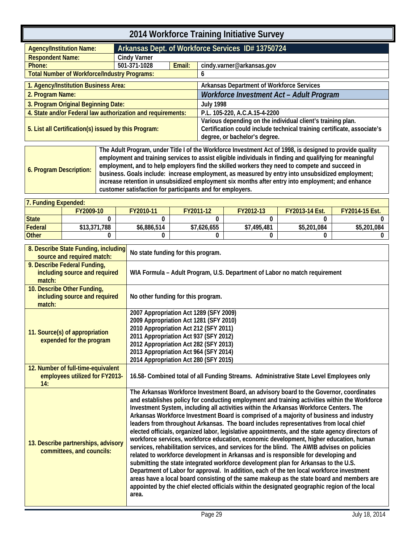<span id="page-32-0"></span>

| 2014 Workforce Training Initiative Survey                   |                                                     |  |                                                                                                                                                                         |  |  |
|-------------------------------------------------------------|-----------------------------------------------------|--|-------------------------------------------------------------------------------------------------------------------------------------------------------------------------|--|--|
| <b>Agency/Institution Name:</b>                             |                                                     |  | Arkansas Dept. of Workforce Services ID# 13750724                                                                                                                       |  |  |
| <b>Respondent Name:</b>                                     | <b>Cindy Varner</b>                                 |  |                                                                                                                                                                         |  |  |
| Phone:                                                      | 501-371-1028<br>Email:<br>cindy.varner@arkansas.gov |  |                                                                                                                                                                         |  |  |
| <b>Total Number of Workforce/Industry Programs:</b>         |                                                     |  | 6                                                                                                                                                                       |  |  |
| 1. Agency/Institution Business Area:                        |                                                     |  | <b>Arkansas Department of Workforce Services</b>                                                                                                                        |  |  |
| 2. Program Name:                                            |                                                     |  | Workforce Investment Act - Adult Program                                                                                                                                |  |  |
| 3. Program Original Beginning Date:                         |                                                     |  | <b>July 1998</b>                                                                                                                                                        |  |  |
| 4. State and/or Federal law authorization and requirements: |                                                     |  | P.L. 105-220, A.C.A.15-4-2200                                                                                                                                           |  |  |
| 5. List all Certification(s) issued by this Program:        |                                                     |  | Various depending on the individual client's training plan.<br>Certification could include technical training certificate, associate's<br>degree, or bachelor's degree. |  |  |
|                                                             |                                                     |  | The Adult Program, under Title Lof the Workforce Investment Act of 1998, is designed to provide quality                                                                 |  |  |

<span id="page-32-1"></span>

|                         | The Adult Program, under Title I of the Workforce Investment Act of 1998, is designed to provide quality |
|-------------------------|----------------------------------------------------------------------------------------------------------|
| 6. Program Description: | employment and training services to assist eligible individuals in finding and qualifying for meaningful |
|                         | employment, and to help employers find the skilled workers they need to compete and succeed in           |
|                         | business. Goals include: increase employment, as measured by entry into unsubsidized employment;         |
|                         | increase retention in unsubsidized employment six months after entry into employment; and enhance        |
|                         | customer satisfaction for participants and for employers.                                                |

| 7. Funding Expended: |              |             |             |             |                       |                       |  |  |  |
|----------------------|--------------|-------------|-------------|-------------|-----------------------|-----------------------|--|--|--|
|                      | FY2009-10    | FY2010-11   | FY2011-12   | FY2012-13   | <b>FY2013-14 Est.</b> | <b>FY2014-15 Est.</b> |  |  |  |
| State                |              |             |             |             |                       |                       |  |  |  |
| Federal              | \$13,371,788 | \$6,886,514 | \$7,626,655 | \$7,495,481 | \$5,201,084           | \$5,201,084           |  |  |  |
| <b>Other</b>         |              |             |             |             |                       |                       |  |  |  |

| 8. Describe State Funding, including<br>source and required match:          | No state funding for this program.                                                                                                                                                                                                                                                                                                                                                                                                                                                                                                                                                                                                                                                                                                                                                                                                                                                                                                                                                                                                                                                                                                                                                                                                                  |
|-----------------------------------------------------------------------------|-----------------------------------------------------------------------------------------------------------------------------------------------------------------------------------------------------------------------------------------------------------------------------------------------------------------------------------------------------------------------------------------------------------------------------------------------------------------------------------------------------------------------------------------------------------------------------------------------------------------------------------------------------------------------------------------------------------------------------------------------------------------------------------------------------------------------------------------------------------------------------------------------------------------------------------------------------------------------------------------------------------------------------------------------------------------------------------------------------------------------------------------------------------------------------------------------------------------------------------------------------|
| 9. Describe Federal Funding,<br>including source and required<br>match:     | WIA Formula - Adult Program, U.S. Department of Labor no match requirement                                                                                                                                                                                                                                                                                                                                                                                                                                                                                                                                                                                                                                                                                                                                                                                                                                                                                                                                                                                                                                                                                                                                                                          |
| 10. Describe Other Funding,<br>including source and required<br>match:      | No other funding for this program.                                                                                                                                                                                                                                                                                                                                                                                                                                                                                                                                                                                                                                                                                                                                                                                                                                                                                                                                                                                                                                                                                                                                                                                                                  |
| 11. Source(s) of appropriation<br>expended for the program                  | 2007 Appropriation Act 1289 (SFY 2009)<br>2009 Appropriation Act 1281 (SFY 2010)<br>2010 Appropriation Act 212 (SFY 2011)<br>2011 Appropriation Act 937 (SFY 2012)<br>2012 Appropriation Act 282 (SFY 2013)<br>2013 Appropriation Act 964 (SFY 2014)<br>2014 Appropriation Act 280 (SFY 2015)                                                                                                                                                                                                                                                                                                                                                                                                                                                                                                                                                                                                                                                                                                                                                                                                                                                                                                                                                       |
| 12. Number of full-time-equivalent<br>employees utilized for FY2013-<br>14: | 16.58- Combined total of all Funding Streams. Administrative State Level Employees only                                                                                                                                                                                                                                                                                                                                                                                                                                                                                                                                                                                                                                                                                                                                                                                                                                                                                                                                                                                                                                                                                                                                                             |
| 13. Describe partnerships, advisory<br>committees, and councils:            | The Arkansas Workforce Investment Board, an advisory board to the Governor, coordinates<br>and establishes policy for conducting employment and training activities within the Workforce<br>Investment System, including all activities within the Arkansas Workforce Centers. The<br>Arkansas Workforce Investment Board is comprised of a majority of business and industry<br>leaders from throughout Arkansas. The board includes representatives from local chief<br>elected officials, organized labor, legislative appointments, and the state agency directors of<br>workforce services, workforce education, economic development, higher education, human<br>services, rehabilitation services, and services for the blind. The AWIB advises on policies<br>related to workforce development in Arkansas and is responsible for developing and<br>submitting the state integrated workforce development plan for Arkansas to the U.S.<br>Department of Labor for approval. In addition, each of the ten local workforce investment<br>areas have a local board consisting of the same makeup as the state board and members are<br>appointed by the chief elected officials within the designated geographic region of the local<br>area. |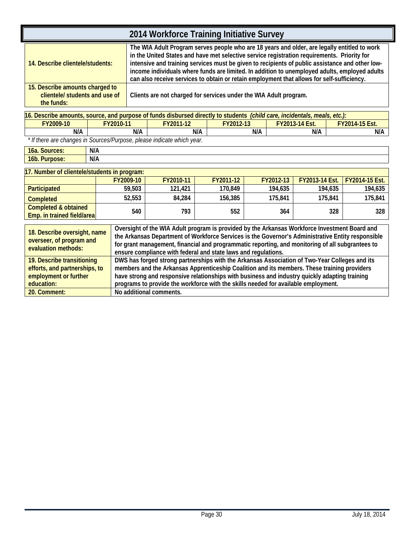| 2014 Workforce Training Initiative Survey                                       |                                                                                                                                                                                                                                                                                                                                                                                                                                                                                               |  |  |  |  |  |
|---------------------------------------------------------------------------------|-----------------------------------------------------------------------------------------------------------------------------------------------------------------------------------------------------------------------------------------------------------------------------------------------------------------------------------------------------------------------------------------------------------------------------------------------------------------------------------------------|--|--|--|--|--|
| 14. Describe clientele/students:                                                | The WIA Adult Program serves people who are 18 years and older, are legally entitled to work<br>in the United States and have met selective service registration requirements. Priority for<br>intensive and training services must be given to recipients of public assistance and other low-<br>income individuals where funds are limited. In addition to unemployed adults, employed adults<br>can also receive services to obtain or retain employment that allows for self-sufficiency. |  |  |  |  |  |
| 15. Describe amounts charged to<br>clientele/ students and use of<br>the funds: | Clients are not charged for services under the WIA Adult program.                                                                                                                                                                                                                                                                                                                                                                                                                             |  |  |  |  |  |
|                                                                                 | 16. Describe amounts, source, and purpose of funds disbursed directly to students (child care, incidentals, meals, etc.):                                                                                                                                                                                                                                                                                                                                                                     |  |  |  |  |  |

| 116. Describe amounts, source, and purpose of funds disbursed directly to students<br>(child care, incidentals,<br>meals, etc |                                                                       |           |                  |                       |                       |  |  |
|-------------------------------------------------------------------------------------------------------------------------------|-----------------------------------------------------------------------|-----------|------------------|-----------------------|-----------------------|--|--|
| FY2009-10                                                                                                                     | FY2010-11                                                             | FY2011-12 | <b>FY2012-13</b> | <b>FY2013-14 Est.</b> | <b>FY2014-15 Est.</b> |  |  |
| N/A                                                                                                                           | N/A                                                                   | N/A       | N/A              | N/A                   | N/A                   |  |  |
|                                                                                                                               | * If there are abongse in Courses/Durnage, please indicate which wear |           |                  |                       |                       |  |  |

 *\* If there are changes in Sources/Purpose, please indicate which year.*

| l6a. Sources:          | N/A |
|------------------------|-----|
| 16b.1<br>Purpose:<br>w | N/A |

| 17. Number of clientele/students in program:              |           |           |           |           |                         |                       |  |  |
|-----------------------------------------------------------|-----------|-----------|-----------|-----------|-------------------------|-----------------------|--|--|
|                                                           | FY2009-10 | FY2010-11 | FY2011-12 | FY2012-13 | <b>FY2013-14 Est.</b> 1 | <b>FY2014-15 Est.</b> |  |  |
| <b>Participated</b>                                       | 59.503    | 121.421   | 170.849   | 194.635   | 194.635                 | 194,635               |  |  |
| <b>Completed</b>                                          | 52.553    | 84,284    | 156,385   | 175.841   | 175.841                 | 175.841               |  |  |
| Completed & obtained<br><b>Emp.</b> in trained field/area | 540       | 793       | 552       | 364       | 328                     | 328                   |  |  |

| 18. Describe oversight, name<br>overseer, of program and<br>evaluation methods: | Oversight of the WIA Adult program is provided by the Arkansas Workforce Investment Board and<br>the Arkansas Department of Workforce Services is the Governor's Administrative Entity responsible<br>for grant management, financial and programmatic reporting, and monitoring of all subgrantees to<br>ensure compliance with federal and state laws and regulations. |
|---------------------------------------------------------------------------------|--------------------------------------------------------------------------------------------------------------------------------------------------------------------------------------------------------------------------------------------------------------------------------------------------------------------------------------------------------------------------|
| 19. Describe transitioning                                                      | DWS has forged strong partnerships with the Arkansas Association of Two-Year Colleges and its                                                                                                                                                                                                                                                                            |
| efforts, and partnerships, to                                                   | members and the Arkansas Apprenticeship Coalition and its members. These training providers                                                                                                                                                                                                                                                                              |
| employment or further                                                           | have strong and responsive relationships with business and industry quickly adapting training                                                                                                                                                                                                                                                                            |
| education:                                                                      | programs to provide the workforce with the skills needed for available employment.                                                                                                                                                                                                                                                                                       |
| 20. Comment:                                                                    | No additional comments.                                                                                                                                                                                                                                                                                                                                                  |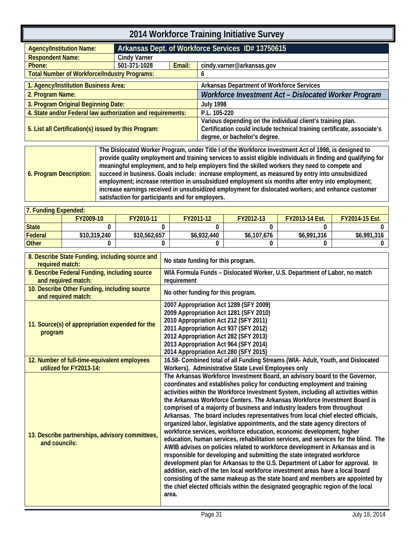<span id="page-34-0"></span>

| 2014 Workforce Training Initiative Survey                                            |                     |        |                                                                                                                                                                         |  |  |
|--------------------------------------------------------------------------------------|---------------------|--------|-------------------------------------------------------------------------------------------------------------------------------------------------------------------------|--|--|
| Arkansas Dept. of Workforce Services ID# 13750615<br><b>Agency/Institution Name:</b> |                     |        |                                                                                                                                                                         |  |  |
| <b>Respondent Name:</b>                                                              | <b>Cindy Varner</b> |        |                                                                                                                                                                         |  |  |
| Phone:                                                                               | 501-371-1028        | Email: | cindy.varner@arkansas.gov                                                                                                                                               |  |  |
| <b>Total Number of Workforce/Industry Programs:</b>                                  |                     |        | O                                                                                                                                                                       |  |  |
| 1. Agency/Institution Business Area:                                                 |                     |        | Arkansas Department of Workforce Services                                                                                                                               |  |  |
| 2. Program Name:                                                                     |                     |        | Workforce Investment Act - Dislocated Worker Program                                                                                                                    |  |  |
| 3. Program Original Beginning Date:                                                  |                     |        | <b>July 1998</b>                                                                                                                                                        |  |  |
| 4. State and/or Federal law authorization and requirements:                          |                     |        | P.L. 105-220                                                                                                                                                            |  |  |
| 5. List all Certification(s) issued by this Program:                                 |                     |        | Various depending on the individual client's training plan.<br>Certification could include technical training certificate, associate's<br>degree, or bachelor's degree. |  |  |

<span id="page-34-1"></span>

| meaningful employment, and to help employers find the skilled workers they need to compete and<br>succeed in business. Goals include: increase employment, as measured by entry into unsubsidized<br>6. Program Description:<br>employment; increase retention in unsubsidized employment six months after entry into employment;<br>increase earnings received in unsubsidized employment for dislocated workers; and enhance customer<br>satisfaction for participants and for employers. |
|---------------------------------------------------------------------------------------------------------------------------------------------------------------------------------------------------------------------------------------------------------------------------------------------------------------------------------------------------------------------------------------------------------------------------------------------------------------------------------------------|
|---------------------------------------------------------------------------------------------------------------------------------------------------------------------------------------------------------------------------------------------------------------------------------------------------------------------------------------------------------------------------------------------------------------------------------------------------------------------------------------------|

| 7. Funding Expended: |              |              |             |             |                       |                       |  |  |  |
|----------------------|--------------|--------------|-------------|-------------|-----------------------|-----------------------|--|--|--|
|                      | FY2009-10    | FY2010-11    | FY2011-12   | FY2012-13   | <b>FY2013-14 Fst.</b> | <b>FY2014-15 Est.</b> |  |  |  |
| <b>State</b>         |              |              |             |             |                       |                       |  |  |  |
| Federal              | \$10,319,240 | \$10,562,657 | \$6,932,440 | \$6,107,676 | \$6,991,316           | \$6,991,316           |  |  |  |
| <b>Other</b>         |              |              |             |             |                       |                       |  |  |  |

| 8. Describe State Funding, including source and<br>required match:      | No state funding for this program.                                                                                                                                                                                                                                                                                                                                                                                                                                                                                                                                                                                                                                                                                                                                                                                                                                                                                                                                                                                                                                                                                                                                                                                                                        |
|-------------------------------------------------------------------------|-----------------------------------------------------------------------------------------------------------------------------------------------------------------------------------------------------------------------------------------------------------------------------------------------------------------------------------------------------------------------------------------------------------------------------------------------------------------------------------------------------------------------------------------------------------------------------------------------------------------------------------------------------------------------------------------------------------------------------------------------------------------------------------------------------------------------------------------------------------------------------------------------------------------------------------------------------------------------------------------------------------------------------------------------------------------------------------------------------------------------------------------------------------------------------------------------------------------------------------------------------------|
| 9. Describe Federal Funding, including source<br>and required match:    | WIA Formula Funds - Dislocated Worker, U.S. Department of Labor, no match<br>requirement                                                                                                                                                                                                                                                                                                                                                                                                                                                                                                                                                                                                                                                                                                                                                                                                                                                                                                                                                                                                                                                                                                                                                                  |
| 10. Describe Other Funding, including source<br>and required match:     | No other funding for this program.                                                                                                                                                                                                                                                                                                                                                                                                                                                                                                                                                                                                                                                                                                                                                                                                                                                                                                                                                                                                                                                                                                                                                                                                                        |
| 11. Source(s) of appropriation expended for the<br>program              | 2007 Appropriation Act 1289 (SFY 2009)<br>2009 Appropriation Act 1281 (SFY 2010)<br>2010 Appropriation Act 212 (SFY 2011)<br>2011 Appropriation Act 937 (SFY 2012)<br>2012 Appropriation Act 282 (SFY 2013)<br>2013 Appropriation Act 964 (SFY 2014)<br>2014 Appropriation Act 280 (SFY 2015)                                                                                                                                                                                                                                                                                                                                                                                                                                                                                                                                                                                                                                                                                                                                                                                                                                                                                                                                                             |
| 12. Number of full-time-equivalent employees<br>utilized for FY2013-14: | 16.58- Combined total of all Funding Streams (WIA- Adult, Youth, and Dislocated<br>Workers). Administrative State Level Employees only                                                                                                                                                                                                                                                                                                                                                                                                                                                                                                                                                                                                                                                                                                                                                                                                                                                                                                                                                                                                                                                                                                                    |
| 13. Describe partnerships, advisory committees,<br>and councils:        | The Arkansas Workforce Investment Board, an advisory board to the Governor,<br>coordinates and establishes policy for conducting employment and training<br>activities within the Workforce Investment System, including all activities within<br>the Arkansas Workforce Centers. The Arkansas Workforce Investment Board is<br>comprised of a majority of business and industry leaders from throughout<br>Arkansas. The board includes representatives from local chief elected officials,<br>organized labor, legislative appointments, and the state agency directors of<br>workforce services, workforce education, economic development, higher<br>education, human services, rehabilitation services, and services for the blind. The<br>AWIB advises on policies related to workforce development in Arkansas and is<br>responsible for developing and submitting the state integrated workforce<br>development plan for Arkansas to the U.S. Department of Labor for approval. In<br>addition, each of the ten local workforce investment areas have a local board<br>consisting of the same makeup as the state board and members are appointed by<br>the chief elected officials within the designated geographic region of the local<br>area. |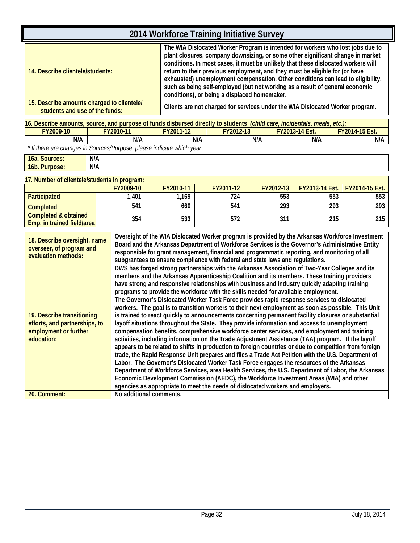| 2014 Workforce Training Initiative Survey                                                                                                                                                                                                                                                                                                                                                                                                                                                                                                                                                                                                                                                                                                                                                                                                                                                                                                                                                                                                                                                                                                                                                                                                                                                                                                                                                                                                                                                                                                                                                          |           |                          |                                                                               |           |                |                |
|----------------------------------------------------------------------------------------------------------------------------------------------------------------------------------------------------------------------------------------------------------------------------------------------------------------------------------------------------------------------------------------------------------------------------------------------------------------------------------------------------------------------------------------------------------------------------------------------------------------------------------------------------------------------------------------------------------------------------------------------------------------------------------------------------------------------------------------------------------------------------------------------------------------------------------------------------------------------------------------------------------------------------------------------------------------------------------------------------------------------------------------------------------------------------------------------------------------------------------------------------------------------------------------------------------------------------------------------------------------------------------------------------------------------------------------------------------------------------------------------------------------------------------------------------------------------------------------------------|-----------|--------------------------|-------------------------------------------------------------------------------|-----------|----------------|----------------|
| The WIA Dislocated Worker Program is intended for workers who lost jobs due to<br>plant closures, company downsizing, or some other significant change in market<br>conditions. In most cases, it must be unlikely that these dislocated workers will<br>return to their previous employment, and they must be eligible for (or have<br>14. Describe clientele/students:<br>exhausted) unemployment compensation. Other conditions can lead to eligibility,<br>such as being self-employed (but not working as a result of general economic<br>conditions), or being a displaced homemaker.                                                                                                                                                                                                                                                                                                                                                                                                                                                                                                                                                                                                                                                                                                                                                                                                                                                                                                                                                                                                        |           |                          |                                                                               |           |                |                |
| 15. Describe amounts charged to clientele/<br>students and use of the funds:                                                                                                                                                                                                                                                                                                                                                                                                                                                                                                                                                                                                                                                                                                                                                                                                                                                                                                                                                                                                                                                                                                                                                                                                                                                                                                                                                                                                                                                                                                                       |           |                          | Clients are not charged for services under the WIA Dislocated Worker program. |           |                |                |
| 16. Describe amounts, source, and purpose of funds disbursed directly to students (child care, incidentals, meals, etc.):                                                                                                                                                                                                                                                                                                                                                                                                                                                                                                                                                                                                                                                                                                                                                                                                                                                                                                                                                                                                                                                                                                                                                                                                                                                                                                                                                                                                                                                                          |           |                          |                                                                               |           |                |                |
| FY2009-10                                                                                                                                                                                                                                                                                                                                                                                                                                                                                                                                                                                                                                                                                                                                                                                                                                                                                                                                                                                                                                                                                                                                                                                                                                                                                                                                                                                                                                                                                                                                                                                          | FY2010-11 | FY2011-12                | FY2012-13                                                                     |           | FY2013-14 Est. | FY2014-15 Est. |
| N/A                                                                                                                                                                                                                                                                                                                                                                                                                                                                                                                                                                                                                                                                                                                                                                                                                                                                                                                                                                                                                                                                                                                                                                                                                                                                                                                                                                                                                                                                                                                                                                                                | N/A       |                          | N/A                                                                           | N/A       | N/A            | N/A            |
| * If there are changes in Sources/Purpose, please indicate which year.                                                                                                                                                                                                                                                                                                                                                                                                                                                                                                                                                                                                                                                                                                                                                                                                                                                                                                                                                                                                                                                                                                                                                                                                                                                                                                                                                                                                                                                                                                                             |           |                          |                                                                               |           |                |                |
| 16a. Sources:<br>N/A                                                                                                                                                                                                                                                                                                                                                                                                                                                                                                                                                                                                                                                                                                                                                                                                                                                                                                                                                                                                                                                                                                                                                                                                                                                                                                                                                                                                                                                                                                                                                                               |           |                          |                                                                               |           |                |                |
| N/A<br>16b. Purpose:                                                                                                                                                                                                                                                                                                                                                                                                                                                                                                                                                                                                                                                                                                                                                                                                                                                                                                                                                                                                                                                                                                                                                                                                                                                                                                                                                                                                                                                                                                                                                                               |           |                          |                                                                               |           |                |                |
|                                                                                                                                                                                                                                                                                                                                                                                                                                                                                                                                                                                                                                                                                                                                                                                                                                                                                                                                                                                                                                                                                                                                                                                                                                                                                                                                                                                                                                                                                                                                                                                                    |           |                          |                                                                               |           |                |                |
| 17. Number of clientele/students in program:                                                                                                                                                                                                                                                                                                                                                                                                                                                                                                                                                                                                                                                                                                                                                                                                                                                                                                                                                                                                                                                                                                                                                                                                                                                                                                                                                                                                                                                                                                                                                       |           |                          |                                                                               |           |                |                |
|                                                                                                                                                                                                                                                                                                                                                                                                                                                                                                                                                                                                                                                                                                                                                                                                                                                                                                                                                                                                                                                                                                                                                                                                                                                                                                                                                                                                                                                                                                                                                                                                    | FY2009-10 | FY2010-11                | FY2011-12                                                                     | FY2012-13 | FY2013-14 Est. | FY2014-15 Est. |
| Participated                                                                                                                                                                                                                                                                                                                                                                                                                                                                                                                                                                                                                                                                                                                                                                                                                                                                                                                                                                                                                                                                                                                                                                                                                                                                                                                                                                                                                                                                                                                                                                                       | 1,401     | 1,169                    | 724                                                                           | 553       | 553            | 553            |
| <b>Completed</b>                                                                                                                                                                                                                                                                                                                                                                                                                                                                                                                                                                                                                                                                                                                                                                                                                                                                                                                                                                                                                                                                                                                                                                                                                                                                                                                                                                                                                                                                                                                                                                                   | 541       | 660                      | 541                                                                           | 293       | 293            | 293            |
| <b>Completed &amp; obtained</b><br>Emp. in trained field/area                                                                                                                                                                                                                                                                                                                                                                                                                                                                                                                                                                                                                                                                                                                                                                                                                                                                                                                                                                                                                                                                                                                                                                                                                                                                                                                                                                                                                                                                                                                                      | 354       | 533<br>572<br>311<br>215 |                                                                               |           |                |                |
| Oversight of the WIA Dislocated Worker program is provided by the Arkansas Workforce Investment<br>18. Describe oversight, name<br>Board and the Arkansas Department of Workforce Services is the Governor's Administrative Entity<br>overseer, of program and<br>responsible for grant management, financial and programmatic reporting, and monitoring of all<br>evaluation methods:<br>subgrantees to ensure compliance with federal and state laws and regulations.<br>DWS has forged strong partnerships with the Arkansas Association of Two-Year Colleges and its                                                                                                                                                                                                                                                                                                                                                                                                                                                                                                                                                                                                                                                                                                                                                                                                                                                                                                                                                                                                                           |           |                          |                                                                               |           |                |                |
| members and the Arkansas Apprenticeship Coalition and its members. These training providers<br>have strong and responsive relationships with business and industry quickly adapting training<br>programs to provide the workforce with the skills needed for available employment.<br>The Governor's Dislocated Worker Task Force provides rapid response services to dislocated<br>workers. The goal is to transition workers to their next employment as soon as possible. This Unit<br>is trained to react quickly to announcements concerning permanent facility closures or substantial<br>19. Describe transitioning<br>efforts, and partnerships, to<br>layoff situations throughout the State. They provide information and access to unemployment<br>compensation benefits, comprehensive workforce center services, and employment and training<br>employment or further<br>activities, including information on the Trade Adjustment Assistance (TAA) program. If the layoff<br>education:<br>appears to be related to shifts in production to foreign countries or due to competition from foreign<br>trade, the Rapid Response Unit prepares and files a Trade Act Petition with the U.S. Department of<br>Labor. The Governor's Dislocated Worker Task Force engages the resources of the Arkansas<br>Department of Workforce Services, area Health Services, the U.S. Department of Labor, the Arkansas<br>Economic Development Commission (AEDC), the Workforce Investment Areas (WIA) and other<br>agencies as appropriate to meet the needs of dislocated workers and employers. |           |                          |                                                                               |           |                |                |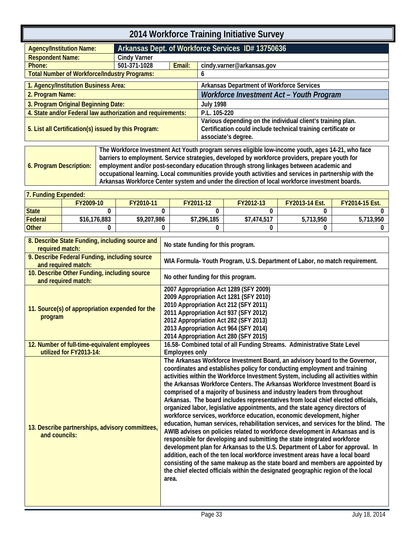<span id="page-36-1"></span><span id="page-36-0"></span>

| Arkansas Dept. of Workforce Services ID# 13750636<br><b>Cindy Varner</b>                                                                                                                                                                                                                                                                                                                                                                                                                                                                                                                     |                                     |                                                                      |                                                                                   |                                                                                                                                                                                                                                                                                                                                                                                                                                                   |                                                                                                                                                                                                                                                                                                                                                                                                                                                                                                                                                                                                                                                                                                                                                                                                                                                                                                                                                                                                                                                                                                                                                                                                                                                                                                                                                                                                                                                                                                                                                                                                                                                                                                                                                                                                                                                                                                                                                                                                                                                                                                                                                                                        |
|----------------------------------------------------------------------------------------------------------------------------------------------------------------------------------------------------------------------------------------------------------------------------------------------------------------------------------------------------------------------------------------------------------------------------------------------------------------------------------------------------------------------------------------------------------------------------------------------|-------------------------------------|----------------------------------------------------------------------|-----------------------------------------------------------------------------------|---------------------------------------------------------------------------------------------------------------------------------------------------------------------------------------------------------------------------------------------------------------------------------------------------------------------------------------------------------------------------------------------------------------------------------------------------|----------------------------------------------------------------------------------------------------------------------------------------------------------------------------------------------------------------------------------------------------------------------------------------------------------------------------------------------------------------------------------------------------------------------------------------------------------------------------------------------------------------------------------------------------------------------------------------------------------------------------------------------------------------------------------------------------------------------------------------------------------------------------------------------------------------------------------------------------------------------------------------------------------------------------------------------------------------------------------------------------------------------------------------------------------------------------------------------------------------------------------------------------------------------------------------------------------------------------------------------------------------------------------------------------------------------------------------------------------------------------------------------------------------------------------------------------------------------------------------------------------------------------------------------------------------------------------------------------------------------------------------------------------------------------------------------------------------------------------------------------------------------------------------------------------------------------------------------------------------------------------------------------------------------------------------------------------------------------------------------------------------------------------------------------------------------------------------------------------------------------------------------------------------------------------------|
|                                                                                                                                                                                                                                                                                                                                                                                                                                                                                                                                                                                              |                                     |                                                                      |                                                                                   |                                                                                                                                                                                                                                                                                                                                                                                                                                                   |                                                                                                                                                                                                                                                                                                                                                                                                                                                                                                                                                                                                                                                                                                                                                                                                                                                                                                                                                                                                                                                                                                                                                                                                                                                                                                                                                                                                                                                                                                                                                                                                                                                                                                                                                                                                                                                                                                                                                                                                                                                                                                                                                                                        |
|                                                                                                                                                                                                                                                                                                                                                                                                                                                                                                                                                                                              |                                     |                                                                      |                                                                                   |                                                                                                                                                                                                                                                                                                                                                                                                                                                   |                                                                                                                                                                                                                                                                                                                                                                                                                                                                                                                                                                                                                                                                                                                                                                                                                                                                                                                                                                                                                                                                                                                                                                                                                                                                                                                                                                                                                                                                                                                                                                                                                                                                                                                                                                                                                                                                                                                                                                                                                                                                                                                                                                                        |
| 501-371-1028                                                                                                                                                                                                                                                                                                                                                                                                                                                                                                                                                                                 | Email:                              |                                                                      | cindy.varner@arkansas.gov                                                         |                                                                                                                                                                                                                                                                                                                                                                                                                                                   |                                                                                                                                                                                                                                                                                                                                                                                                                                                                                                                                                                                                                                                                                                                                                                                                                                                                                                                                                                                                                                                                                                                                                                                                                                                                                                                                                                                                                                                                                                                                                                                                                                                                                                                                                                                                                                                                                                                                                                                                                                                                                                                                                                                        |
| <b>Total Number of Workforce/Industry Programs:</b>                                                                                                                                                                                                                                                                                                                                                                                                                                                                                                                                          |                                     | 6                                                                    |                                                                                   |                                                                                                                                                                                                                                                                                                                                                                                                                                                   |                                                                                                                                                                                                                                                                                                                                                                                                                                                                                                                                                                                                                                                                                                                                                                                                                                                                                                                                                                                                                                                                                                                                                                                                                                                                                                                                                                                                                                                                                                                                                                                                                                                                                                                                                                                                                                                                                                                                                                                                                                                                                                                                                                                        |
| 1. Agency/Institution Business Area:                                                                                                                                                                                                                                                                                                                                                                                                                                                                                                                                                         |                                     |                                                                      |                                                                                   |                                                                                                                                                                                                                                                                                                                                                                                                                                                   |                                                                                                                                                                                                                                                                                                                                                                                                                                                                                                                                                                                                                                                                                                                                                                                                                                                                                                                                                                                                                                                                                                                                                                                                                                                                                                                                                                                                                                                                                                                                                                                                                                                                                                                                                                                                                                                                                                                                                                                                                                                                                                                                                                                        |
|                                                                                                                                                                                                                                                                                                                                                                                                                                                                                                                                                                                              |                                     |                                                                      |                                                                                   |                                                                                                                                                                                                                                                                                                                                                                                                                                                   |                                                                                                                                                                                                                                                                                                                                                                                                                                                                                                                                                                                                                                                                                                                                                                                                                                                                                                                                                                                                                                                                                                                                                                                                                                                                                                                                                                                                                                                                                                                                                                                                                                                                                                                                                                                                                                                                                                                                                                                                                                                                                                                                                                                        |
|                                                                                                                                                                                                                                                                                                                                                                                                                                                                                                                                                                                              |                                     |                                                                      |                                                                                   |                                                                                                                                                                                                                                                                                                                                                                                                                                                   |                                                                                                                                                                                                                                                                                                                                                                                                                                                                                                                                                                                                                                                                                                                                                                                                                                                                                                                                                                                                                                                                                                                                                                                                                                                                                                                                                                                                                                                                                                                                                                                                                                                                                                                                                                                                                                                                                                                                                                                                                                                                                                                                                                                        |
| 5. List all Certification(s) issued by this Program:                                                                                                                                                                                                                                                                                                                                                                                                                                                                                                                                         |                                     |                                                                      |                                                                                   |                                                                                                                                                                                                                                                                                                                                                                                                                                                   |                                                                                                                                                                                                                                                                                                                                                                                                                                                                                                                                                                                                                                                                                                                                                                                                                                                                                                                                                                                                                                                                                                                                                                                                                                                                                                                                                                                                                                                                                                                                                                                                                                                                                                                                                                                                                                                                                                                                                                                                                                                                                                                                                                                        |
|                                                                                                                                                                                                                                                                                                                                                                                                                                                                                                                                                                                              |                                     |                                                                      |                                                                                   |                                                                                                                                                                                                                                                                                                                                                                                                                                                   |                                                                                                                                                                                                                                                                                                                                                                                                                                                                                                                                                                                                                                                                                                                                                                                                                                                                                                                                                                                                                                                                                                                                                                                                                                                                                                                                                                                                                                                                                                                                                                                                                                                                                                                                                                                                                                                                                                                                                                                                                                                                                                                                                                                        |
|                                                                                                                                                                                                                                                                                                                                                                                                                                                                                                                                                                                              |                                     |                                                                      |                                                                                   |                                                                                                                                                                                                                                                                                                                                                                                                                                                   |                                                                                                                                                                                                                                                                                                                                                                                                                                                                                                                                                                                                                                                                                                                                                                                                                                                                                                                                                                                                                                                                                                                                                                                                                                                                                                                                                                                                                                                                                                                                                                                                                                                                                                                                                                                                                                                                                                                                                                                                                                                                                                                                                                                        |
|                                                                                                                                                                                                                                                                                                                                                                                                                                                                                                                                                                                              |                                     |                                                                      |                                                                                   |                                                                                                                                                                                                                                                                                                                                                                                                                                                   | FY2014-15 Est.<br>0                                                                                                                                                                                                                                                                                                                                                                                                                                                                                                                                                                                                                                                                                                                                                                                                                                                                                                                                                                                                                                                                                                                                                                                                                                                                                                                                                                                                                                                                                                                                                                                                                                                                                                                                                                                                                                                                                                                                                                                                                                                                                                                                                                    |
|                                                                                                                                                                                                                                                                                                                                                                                                                                                                                                                                                                                              |                                     |                                                                      |                                                                                   |                                                                                                                                                                                                                                                                                                                                                                                                                                                   | 5,713,950                                                                                                                                                                                                                                                                                                                                                                                                                                                                                                                                                                                                                                                                                                                                                                                                                                                                                                                                                                                                                                                                                                                                                                                                                                                                                                                                                                                                                                                                                                                                                                                                                                                                                                                                                                                                                                                                                                                                                                                                                                                                                                                                                                              |
|                                                                                                                                                                                                                                                                                                                                                                                                                                                                                                                                                                                              |                                     | $\mathbf{0}$                                                         | 0                                                                                 | 0                                                                                                                                                                                                                                                                                                                                                                                                                                                 | 0                                                                                                                                                                                                                                                                                                                                                                                                                                                                                                                                                                                                                                                                                                                                                                                                                                                                                                                                                                                                                                                                                                                                                                                                                                                                                                                                                                                                                                                                                                                                                                                                                                                                                                                                                                                                                                                                                                                                                                                                                                                                                                                                                                                      |
| 7. Funding Expended:<br>FY2009-10<br>FY2010-11<br><b>State</b><br>0<br>$\Omega$<br><b>Federal</b><br>\$16,176,883<br>\$9,207,986<br><b>Other</b><br>0<br>0<br>8. Describe State Funding, including source and<br>required match:<br>9. Describe Federal Funding, including source<br>and required match:<br>10. Describe Other Funding, including source<br>and required match:<br>11. Source(s) of appropriation expended for the<br>program<br>12. Number of full-time-equivalent employees<br>utilized for FY2013-14:<br>13. Describe partnerships, advisory committees,<br>and councils: |                                     |                                                                      |                                                                                   |                                                                                                                                                                                                                                                                                                                                                                                                                                                   |                                                                                                                                                                                                                                                                                                                                                                                                                                                                                                                                                                                                                                                                                                                                                                                                                                                                                                                                                                                                                                                                                                                                                                                                                                                                                                                                                                                                                                                                                                                                                                                                                                                                                                                                                                                                                                                                                                                                                                                                                                                                                                                                                                                        |
|                                                                                                                                                                                                                                                                                                                                                                                                                                                                                                                                                                                              | 3. Program Original Beginning Date: | 4. State and/or Federal law authorization and requirements:<br>area. | <b>July 1998</b><br>FY2011-12<br>$\Omega$<br>\$7,296,185<br><b>Employees only</b> | P.L. 105-220<br>associate's degree.<br>FY2012-13<br>0<br>\$7,474,517<br>No state funding for this program.<br>No other funding for this program.<br>2007 Appropriation Act 1289 (SFY 2009)<br>2009 Appropriation Act 1281 (SFY 2010)<br>2010 Appropriation Act 212 (SFY 2011)<br>2011 Appropriation Act 937 (SFY 2012)<br>2012 Appropriation Act 282 (SFY 2013)<br>2013 Appropriation Act 964 (SFY 2014)<br>2014 Appropriation Act 280 (SFY 2015) | Arkansas Department of Workforce Services<br>Workforce Investment Act - Youth Program<br>Various depending on the individual client's training plan.<br>Certification could include technical training certificate or<br>The Workforce Investment Act Youth program serves eligible low-income youth, ages 14-21, who face<br>barriers to employment. Service strategies, developed by workforce providers, prepare youth for<br>employment and/or post-secondary education through strong linkages between academic and<br>occupational learning. Local communities provide youth activities and services in partnership with the<br>Arkansas Workforce Center system and under the direction of local workforce investment boards.<br>FY2013-14 Est.<br>0<br>5,713,950<br>WIA Formula-Youth Program, U.S. Department of Labor, no match requirement.<br>16.58- Combined total of all Funding Streams. Administrative State Level<br>The Arkansas Workforce Investment Board, an advisory board to the Governor,<br>coordinates and establishes policy for conducting employment and training<br>activities within the Workforce Investment System, including all activities within<br>the Arkansas Workforce Centers. The Arkansas Workforce Investment Board is<br>comprised of a majority of business and industry leaders from throughout<br>Arkansas. The board includes representatives from local chief elected officials,<br>organized labor, legislative appointments, and the state agency directors of<br>workforce services, workforce education, economic development, higher<br>education, human services, rehabilitation services, and services for the blind. The<br>AWIB advises on policies related to workforce development in Arkansas and is<br>responsible for developing and submitting the state integrated workforce<br>development plan for Arkansas to the U.S. Department of Labor for approval. In<br>addition, each of the ten local workforce investment areas have a local board<br>consisting of the same makeup as the state board and members are appointed by<br>the chief elected officials within the designated geographic region of the local |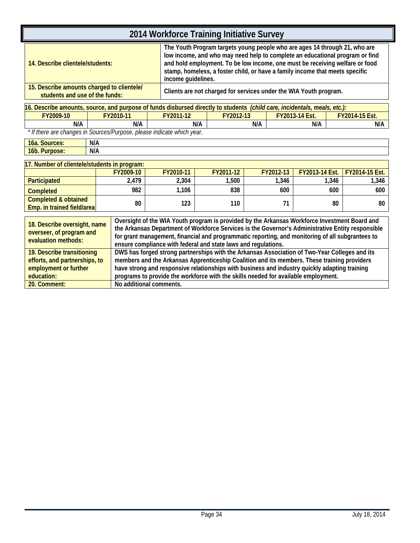| 2014 Workforce Training Initiative Survey                                                                                                                                                                                                                                                                                                                                                                                                                                                 |           |                                                                                                                                                                                                                                                                                                                                                  |                                                                   |           |                |       |                |
|-------------------------------------------------------------------------------------------------------------------------------------------------------------------------------------------------------------------------------------------------------------------------------------------------------------------------------------------------------------------------------------------------------------------------------------------------------------------------------------------|-----------|--------------------------------------------------------------------------------------------------------------------------------------------------------------------------------------------------------------------------------------------------------------------------------------------------------------------------------------------------|-------------------------------------------------------------------|-----------|----------------|-------|----------------|
| 14. Describe clientele/students:                                                                                                                                                                                                                                                                                                                                                                                                                                                          |           | The Youth Program targets young people who are ages 14 through 21, who are<br>low income, and who may need help to complete an educational program or find<br>and hold employment. To be low income, one must be receiving welfare or food<br>stamp, homeless, a foster child, or have a family income that meets specific<br>income guidelines. |                                                                   |           |                |       |                |
| 15. Describe amounts charged to clientele/<br>students and use of the funds:                                                                                                                                                                                                                                                                                                                                                                                                              |           |                                                                                                                                                                                                                                                                                                                                                  | Clients are not charged for services under the WIA Youth program. |           |                |       |                |
| 16. Describe amounts, source, and purpose of funds disbursed directly to students (child care, incidentals, meals, etc.):                                                                                                                                                                                                                                                                                                                                                                 |           |                                                                                                                                                                                                                                                                                                                                                  |                                                                   |           |                |       |                |
| FY2009-10                                                                                                                                                                                                                                                                                                                                                                                                                                                                                 | FY2010-11 | FY2011-12                                                                                                                                                                                                                                                                                                                                        | FY2012-13                                                         |           | FY2013-14 Est. |       | FY2014-15 Est. |
| N/A                                                                                                                                                                                                                                                                                                                                                                                                                                                                                       | N/A       |                                                                                                                                                                                                                                                                                                                                                  | N/A                                                               | N/A       | N/A            |       | N/A            |
| * If there are changes in Sources/Purpose, please indicate which year.                                                                                                                                                                                                                                                                                                                                                                                                                    |           |                                                                                                                                                                                                                                                                                                                                                  |                                                                   |           |                |       |                |
| 16a. Sources:                                                                                                                                                                                                                                                                                                                                                                                                                                                                             | N/A       |                                                                                                                                                                                                                                                                                                                                                  |                                                                   |           |                |       |                |
| 16b. Purpose:                                                                                                                                                                                                                                                                                                                                                                                                                                                                             | N/A       |                                                                                                                                                                                                                                                                                                                                                  |                                                                   |           |                |       |                |
| 17. Number of clientele/students in program:                                                                                                                                                                                                                                                                                                                                                                                                                                              |           |                                                                                                                                                                                                                                                                                                                                                  |                                                                   |           |                |       |                |
|                                                                                                                                                                                                                                                                                                                                                                                                                                                                                           | FY2009-10 | FY2010-11                                                                                                                                                                                                                                                                                                                                        | FY2011-12                                                         | FY2012-13 | FY2013-14 Est. |       | FY2014-15 Est. |
| Participated                                                                                                                                                                                                                                                                                                                                                                                                                                                                              | 2,479     | 2,304                                                                                                                                                                                                                                                                                                                                            | 1,500                                                             |           | 1,346          | 1,346 | 1,346          |
| <b>Completed</b>                                                                                                                                                                                                                                                                                                                                                                                                                                                                          | 982       | 1,106                                                                                                                                                                                                                                                                                                                                            | 838                                                               |           | 600            | 600   | 600            |
| <b>Completed &amp; obtained</b><br>Emp. in trained field/area                                                                                                                                                                                                                                                                                                                                                                                                                             | 80        | 123                                                                                                                                                                                                                                                                                                                                              | 110                                                               |           | 71             | 80    | 80             |
| Oversight of the WIA Youth program is provided by the Arkansas Workforce Investment Board and<br>18. Describe oversight, name<br>the Arkansas Department of Workforce Services is the Governor's Administrative Entity responsible<br>overseer, of program and<br>for grant management, financial and programmatic reporting, and monitoring of all subgrantees to<br>evaluation methods:<br>ensure compliance with federal and state laws and regulations.                               |           |                                                                                                                                                                                                                                                                                                                                                  |                                                                   |           |                |       |                |
| DWS has forged strong partnerships with the Arkansas Association of Two-Year Colleges and its<br>19. Describe transitioning<br>members and the Arkansas Apprenticeship Coalition and its members. These training providers<br>efforts, and partnerships, to<br>have strong and responsive relationships with business and industry quickly adapting training<br>employment or further<br>programs to provide the workforce with the skills needed for available employment.<br>education: |           |                                                                                                                                                                                                                                                                                                                                                  |                                                                   |           |                |       |                |
| 20. Comment:                                                                                                                                                                                                                                                                                                                                                                                                                                                                              |           | No additional comments.                                                                                                                                                                                                                                                                                                                          |                                                                   |           |                |       |                |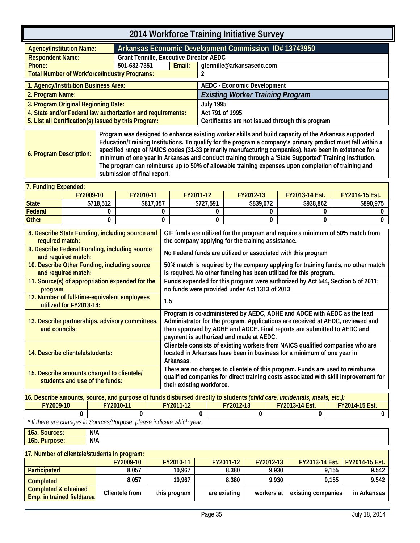<span id="page-38-0"></span>

| <b>Agency/Institution Name:</b>                             |                                                | Arkansas Economic Development Commission ID# 13743950 |                                                  |  |  |  |
|-------------------------------------------------------------|------------------------------------------------|-------------------------------------------------------|--------------------------------------------------|--|--|--|
| <b>Respondent Name:</b>                                     | <b>Grant Tennille, Executive Director AEDC</b> |                                                       |                                                  |  |  |  |
| Phone:                                                      | 501-682-7351                                   | Email:                                                | gtennille@arkansasedc.com                        |  |  |  |
| <b>Total Number of Workforce/Industry Programs:</b>         |                                                |                                                       |                                                  |  |  |  |
| 1. Agency/Institution Business Area:                        |                                                |                                                       | <b>AEDC - Economic Development</b>               |  |  |  |
|                                                             |                                                |                                                       |                                                  |  |  |  |
| 2. Program Name:                                            |                                                |                                                       | <b>Existing Worker Training Program</b>          |  |  |  |
| 3. Program Original Beginning Date:                         |                                                |                                                       | <b>July 1995</b>                                 |  |  |  |
| 4. State and/or Federal law authorization and requirements: |                                                |                                                       | Act 791 of 1995                                  |  |  |  |
| 5. List all Certification(s) issued by this Program:        |                                                |                                                       | Certificates are not issued through this program |  |  |  |

<span id="page-38-1"></span>

| 7. Funding Expended: |           |           |           |           |                       |                       |  |  |  |  |
|----------------------|-----------|-----------|-----------|-----------|-----------------------|-----------------------|--|--|--|--|
|                      | FY2009-10 | FY2010-11 | FY2011-12 | FY2012-13 | <b>FY2013-14 Est.</b> | <b>FY2014-15 Est.</b> |  |  |  |  |
| State                | \$718,512 | \$817.057 | \$727,591 | \$839,072 | \$938,862             | \$890.975             |  |  |  |  |
| Federal              |           |           |           |           |                       |                       |  |  |  |  |
| <b>Other</b>         |           |           |           |           |                       |                       |  |  |  |  |

| 8. Describe State Funding, including source and                              | GIF funds are utilized for the program and require a minimum of 50% match from                                                                                                                                                                                                  |
|------------------------------------------------------------------------------|---------------------------------------------------------------------------------------------------------------------------------------------------------------------------------------------------------------------------------------------------------------------------------|
| required match:                                                              | the company applying for the training assistance.                                                                                                                                                                                                                               |
| 9. Describe Federal Funding, including source<br>and required match:         | No Federal funds are utilized or associated with this program                                                                                                                                                                                                                   |
| 10. Describe Other Funding, including source<br>and required match:          | 50% match is required by the company applying for training funds, no other match<br>is required. No other funding has been utilized for this program.                                                                                                                           |
| 11. Source(s) of appropriation expended for the<br>program                   | Funds expended for this program were authorized by Act 544, Section 5 of 2011;<br>no funds were provided under Act 1313 of 2013                                                                                                                                                 |
| 12. Number of full-time-equivalent employees<br>utilized for FY2013-14:      | 1.5                                                                                                                                                                                                                                                                             |
| 13. Describe partnerships, advisory committees,<br>and councils:             | Program is co-administered by AEDC, ADHE and ADCE with AEDC as the lead<br>Administrator for the program. Applications are received at AEDC, reviewed and<br>then approved by ADHE and ADCE. Final reports are submitted to AEDC and<br>payment is authorized and made at AEDC. |
| 14. Describe clientele/students:                                             | Clientele consists of existing workers from NAICS qualified companies who are<br>located in Arkansas have been in business for a minimum of one year in<br>Arkansas.                                                                                                            |
| 15. Describe amounts charged to clientele/<br>students and use of the funds: | There are no charges to clientele of this program. Funds are used to reimburse<br>qualified companies for direct training costs associated with skill improvement for<br>their existing workforce.                                                                              |

| 16. Describe amounts, source, and purpose of funds disbursed directly to students <i>(child care, incidentals, meals, etc.):</i> |  |  |  |  |  |  |  |
|----------------------------------------------------------------------------------------------------------------------------------|--|--|--|--|--|--|--|
| <b>FY2009-10</b><br><b>TY2014-15 Est.</b><br>FY2010-11<br>FY2011-12<br>FY2012-13<br>FY2013-14 Est.                               |  |  |  |  |  |  |  |
|                                                                                                                                  |  |  |  |  |  |  |  |

 *\* If there are changes in Sources/Purpose, please indicate which year.*

| $\overline{ }$<br>l6a. Sources: | N/A |
|---------------------------------|-----|
| 16b.<br>pose:<br>u              | N/A |
|                                 |     |

| 17. Number of clientele/students in program:                  |                  |              |              |            |                          |                       |  |  |  |
|---------------------------------------------------------------|------------------|--------------|--------------|------------|--------------------------|-----------------------|--|--|--|
|                                                               | <b>FY2009-10</b> | FY2010-11    | FY2011-12    | FY2012-13  | <b>FY2013-14 Est.</b>  / | <b>FY2014-15 Est.</b> |  |  |  |
| <b>Participated</b>                                           | 8.057            | 10.967       | 8,380        | 9.930      | 9.155                    | 9.542                 |  |  |  |
| <b>Completed</b>                                              | 8,057            | 10.967       | 8.380        | 9.930      | 9,155                    | 9,542                 |  |  |  |
| <b>Completed &amp; obtained</b><br>Emp. in trained field/area | Clientele from   | this program | are existing | workers at | existing companies       | in Arkansas           |  |  |  |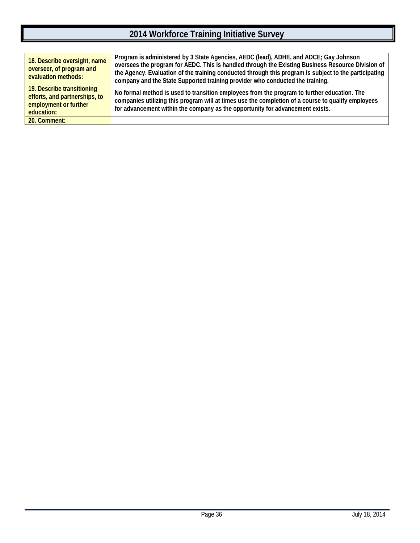| 18. Describe oversight, name<br>overseer, of program and<br>evaluation methods:                    | Program is administered by 3 State Agencies, AEDC (lead), ADHE, and ADCE; Gay Johnson<br>oversees the program for AEDC. This is handled through the Existing Business Resource Division of<br>the Agency. Evaluation of the training conducted through this program is subject to the participating<br>company and the State Supported training provider who conducted the training. |
|----------------------------------------------------------------------------------------------------|--------------------------------------------------------------------------------------------------------------------------------------------------------------------------------------------------------------------------------------------------------------------------------------------------------------------------------------------------------------------------------------|
| 19. Describe transitioning<br>efforts, and partnerships, to<br>employment or further<br>education: | No formal method is used to transition employees from the program to further education. The<br>companies utilizing this program will at times use the completion of a course to qualify employees<br>for advancement within the company as the opportunity for advancement exists.                                                                                                   |
| 20. Comment:                                                                                       |                                                                                                                                                                                                                                                                                                                                                                                      |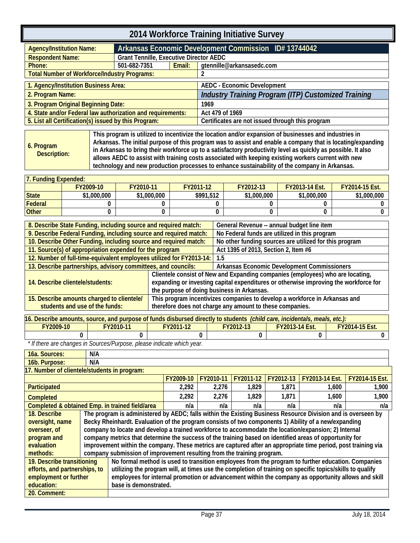<span id="page-40-0"></span>

| <b>Agency/Institution Name:</b>                             |                                                | Arkansas Economic Development Commission ID# 13744042 |                                                     |  |  |  |  |
|-------------------------------------------------------------|------------------------------------------------|-------------------------------------------------------|-----------------------------------------------------|--|--|--|--|
| <b>Respondent Name:</b>                                     | <b>Grant Tennille, Executive Director AEDC</b> |                                                       |                                                     |  |  |  |  |
| Phone:                                                      | 501-682-7351                                   | Email:                                                | gtennille@arkansasedc.com                           |  |  |  |  |
| <b>Total Number of Workforce/Industry Programs:</b>         |                                                |                                                       |                                                     |  |  |  |  |
| 1. Agency/Institution Business Area:                        |                                                |                                                       | <b>AEDC - Economic Development</b>                  |  |  |  |  |
|                                                             |                                                |                                                       |                                                     |  |  |  |  |
| 2. Program Name:                                            |                                                |                                                       | Industry Training Program (ITP) Customized Training |  |  |  |  |
| 3. Program Original Beginning Date:                         |                                                |                                                       | 1969                                                |  |  |  |  |
| 4. State and/or Federal law authorization and requirements: |                                                |                                                       | Act 479 of 1969                                     |  |  |  |  |
| 5. List all Certification(s) issued by this Program:        |                                                |                                                       | Certificates are not issued through this program    |  |  |  |  |

<span id="page-40-1"></span>

| 6. Program<br>Description: | This program is utilized to incentivize the location and/or expansion of businesses and industries in<br>Arkansas. The initial purpose of this program was to assist and enable a company that is locating/expanding<br>In Arkansas to bring their workforce up to a satisfactory productivity level as quickly as possible. It also<br>allows AEDC to assist with training costs associated with keeping existing workers current with new<br>technology and new production processes to enhance sustainability of the company in Arkansas. |
|----------------------------|----------------------------------------------------------------------------------------------------------------------------------------------------------------------------------------------------------------------------------------------------------------------------------------------------------------------------------------------------------------------------------------------------------------------------------------------------------------------------------------------------------------------------------------------|
|----------------------------|----------------------------------------------------------------------------------------------------------------------------------------------------------------------------------------------------------------------------------------------------------------------------------------------------------------------------------------------------------------------------------------------------------------------------------------------------------------------------------------------------------------------------------------------|

#### **7. Funding Expended:**

| .            |             |             |           |             |                       |                       |
|--------------|-------------|-------------|-----------|-------------|-----------------------|-----------------------|
|              | FY2009-10   | FY2010-11   | FY2011-12 | FY2012-13   | <b>FY2013-14 Est.</b> | <b>FY2014-15 Est.</b> |
| <b>State</b> | \$1,000,000 | \$1,000,000 | \$991,512 | \$1,000,000 | \$1,000,000           | \$1,000,000           |
| Federal      |             |             |           |             |                       |                       |
| <b>Other</b> |             |             |           |             |                       |                       |

| 8. Describe State Funding, including source and required match:      |                                            | General Revenue -- annual budget line item                                           |  |
|----------------------------------------------------------------------|--------------------------------------------|--------------------------------------------------------------------------------------|--|
| 9. Describe Federal Funding, including source and required match:    |                                            | No Federal funds are utilized in this program                                        |  |
| 10. Describe Other Funding, including source and required match:     |                                            | No other funding sources are utilized for this program                               |  |
| 11. Source(s) of appropriation expended for the program              |                                            | Act 1395 of 2013, Section 2, Item #6                                                 |  |
| 12. Number of full-time-equivalent employees utilized for FY2013-14: |                                            | 1.5                                                                                  |  |
| 13. Describe partnerships, advisory committees, and councils:        |                                            | Arkansas Economic Development Commissioners                                          |  |
|                                                                      |                                            | Clientele consist of New and Expanding companies (employees) who are locating,       |  |
| 14. Describe clientele/students:                                     |                                            | expanding or investing capital expenditures or otherwise improving the workforce for |  |
|                                                                      | the purpose of doing business in Arkansas. |                                                                                      |  |
| 15. Describe amounts charged to clientele/                           |                                            | This program incentivizes companies to develop a workforce in Arkansas and           |  |
| students and use of the funds:                                       |                                            | therefore does not charge any amount to these companies.                             |  |

| 16. Describe amounts, source, and purpose of funds disbursed directly to students <i>(child care, incidentals, meals, etc.):</i> |           |           |           |                       |                       |
|----------------------------------------------------------------------------------------------------------------------------------|-----------|-----------|-----------|-----------------------|-----------------------|
| FY2009-10                                                                                                                        | FY2010-11 | FY2011-12 | FY2012-13 | <b>FY2013-14 Est.</b> | <b>FY2014-15 Est.</b> |
|                                                                                                                                  |           |           |           |                       |                       |

 *\* If there are changes in Sources/Purpose, please indicate which year.*

| 16a. Sources:                                                                                                               | N/A                                                                                                      |                                                                                                                |           |           |           |           |                |                       |
|-----------------------------------------------------------------------------------------------------------------------------|----------------------------------------------------------------------------------------------------------|----------------------------------------------------------------------------------------------------------------|-----------|-----------|-----------|-----------|----------------|-----------------------|
| 16b. Purpose:                                                                                                               | N/A                                                                                                      |                                                                                                                |           |           |           |           |                |                       |
| 17. Number of clientele/students in program:                                                                                |                                                                                                          |                                                                                                                |           |           |           |           |                |                       |
|                                                                                                                             |                                                                                                          |                                                                                                                | FY2009-10 | FY2010-11 | FY2011-12 | FY2012-13 | FY2013-14 Est. | <b>FY2014-15 Est.</b> |
| Participated                                                                                                                |                                                                                                          |                                                                                                                | 2,292     | 2,276     | 1,829     | 1,871     | 1,600          | 1.900                 |
| <b>Completed</b>                                                                                                            |                                                                                                          |                                                                                                                | 2.292     | 2.276     | 1.829     | 1,871     | 1.600          | 1,900                 |
| Completed & obtained Emp. in trained field/area                                                                             |                                                                                                          |                                                                                                                | n/a       | n/a       | n/a       | n/a       | n/a            | n/a                   |
| 18. Describe                                                                                                                |                                                                                                          | The program is administered by AEDC; falls within the Existing Business Resource Division and is overseen by   |           |           |           |           |                |                       |
| oversight, name                                                                                                             |                                                                                                          | Becky Rheinhardt. Evaluation of the program consists of two components 1) Ability of a new/expanding           |           |           |           |           |                |                       |
| overseer, of                                                                                                                |                                                                                                          | company to locate and develop a trained workforce to accommodate the location/expansion; 2) Internal           |           |           |           |           |                |                       |
| program and                                                                                                                 |                                                                                                          | company metrics that determine the success of the training based on identified areas of opportunity for        |           |           |           |           |                |                       |
| evaluation                                                                                                                  |                                                                                                          | improvement within the company. These metrics are captured after an appropriate time period, post training via |           |           |           |           |                |                       |
| methods:                                                                                                                    |                                                                                                          | company submission of improvement resulting from the training program.                                         |           |           |           |           |                |                       |
| 19. Describe transitioning                                                                                                  | No formal method is used to transition employees from the program to further education. Companies        |                                                                                                                |           |           |           |           |                |                       |
| efforts, and partnerships, to                                                                                               | utilizing the program will, at times use the completion of training on specific topics/skills to qualify |                                                                                                                |           |           |           |           |                |                       |
| employees for internal promotion or advancement within the company as opportunity allows and skill<br>employment or further |                                                                                                          |                                                                                                                |           |           |           |           |                |                       |
| education:                                                                                                                  | base is demonstrated.                                                                                    |                                                                                                                |           |           |           |           |                |                       |
| 20. Comment:                                                                                                                |                                                                                                          |                                                                                                                |           |           |           |           |                |                       |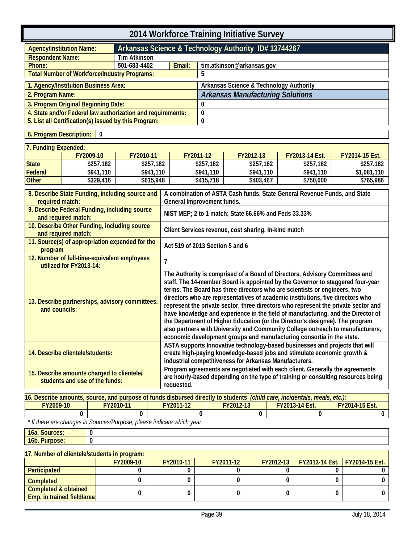<span id="page-42-0"></span>

| 2014 Workforce Training Initiative Survey                   |                                                     |                                                      |                                         |  |
|-------------------------------------------------------------|-----------------------------------------------------|------------------------------------------------------|-----------------------------------------|--|
| <b>Agency/Institution Name:</b>                             |                                                     | Arkansas Science & Technology Authority ID# 13744267 |                                         |  |
| <b>Respondent Name:</b>                                     | Tim Atkinson                                        |                                                      |                                         |  |
| Phone:                                                      | 501-683-4402<br>Email:<br>tim.atkinson@arkansas.gov |                                                      |                                         |  |
| <b>Total Number of Workforce/Industry Programs:</b>         |                                                     |                                                      | 5                                       |  |
| 1. Agency/Institution Business Area:                        |                                                     |                                                      | Arkansas Science & Technology Authority |  |
| 2. Program Name:                                            |                                                     |                                                      | <b>Arkansas Manufacturing Solutions</b> |  |
| 3. Program Original Beginning Date:                         |                                                     |                                                      |                                         |  |
| 4. State and/or Federal law authorization and requirements: |                                                     |                                                      |                                         |  |
| 5. List all Certification(s) issued by this Program:        |                                                     |                                                      |                                         |  |
|                                                             |                                                     |                                                      |                                         |  |

#### <span id="page-42-1"></span>**6. Program Description: 0**

| 7. Funding Expended: |           |           |           |           |                       |                       |
|----------------------|-----------|-----------|-----------|-----------|-----------------------|-----------------------|
|                      | FY2009-10 | FY2010-11 | FY2011-12 | FY2012-13 | <b>FY2013-14 Est.</b> | <b>FY2014-15 Est.</b> |
| <b>State</b>         | \$257,182 | \$257.182 | \$257,182 | \$257.182 | \$257.182             | \$257.182             |
| Federal              | \$941.110 | \$941,110 | \$941.110 | \$941.110 | \$941,110             | \$1,081,110           |
| <b>Other</b>         | \$329,416 | \$615,948 | \$415,718 | \$403,467 | \$750,000             | \$765,986             |

| 8. Describe State Funding, including source and<br>required match:           | A combination of ASTA Cash funds, State General Revenue Funds, and State<br>General Improvement funds.                                                                                                                                                                                                                                                                                                                                                                                                                                                                                                                                                                                                                                            |
|------------------------------------------------------------------------------|---------------------------------------------------------------------------------------------------------------------------------------------------------------------------------------------------------------------------------------------------------------------------------------------------------------------------------------------------------------------------------------------------------------------------------------------------------------------------------------------------------------------------------------------------------------------------------------------------------------------------------------------------------------------------------------------------------------------------------------------------|
| 9. Describe Federal Funding, including source<br>and required match:         | NIST MEP; 2 to 1 match; State 66.66% and Feds 33.33%                                                                                                                                                                                                                                                                                                                                                                                                                                                                                                                                                                                                                                                                                              |
| 10. Describe Other Funding, including source<br>and required match:          | Client Services revenue, cost sharing, In-kind match                                                                                                                                                                                                                                                                                                                                                                                                                                                                                                                                                                                                                                                                                              |
| 11. Source(s) of appropriation expended for the<br>program                   | Act 519 of 2013 Section 5 and 6                                                                                                                                                                                                                                                                                                                                                                                                                                                                                                                                                                                                                                                                                                                   |
| 12. Number of full-time-equivalent employees<br>utilized for FY2013-14:      | $\overline{1}$                                                                                                                                                                                                                                                                                                                                                                                                                                                                                                                                                                                                                                                                                                                                    |
| 13. Describe partnerships, advisory committees,<br>and councils:             | The Authority is comprised of a Board of Directors, Advisory Committees and<br>staff. The 14-member Board is appointed by the Governor to staggered four-year<br>terms. The Board has three directors who are scientists or engineers, two<br>directors who are representatives of academic institutions, five directors who<br>represent the private sector, three directors who represent the private sector and<br>have knowledge and experience in the field of manufacturing, and the Director of<br>the Department of Higher Education (or the Director's designee). The program<br>also partners with University and Community College outreach to manufacturers,<br>economic development groups and manufacturing consortia in the state. |
| 14. Describe clientele/students:                                             | ASTA supports Innovative technology-based businesses and projects that will<br>create high-paying knowledge-based jobs and stimulate economic growth &<br>industrial competitiveness for Arkansas Manufacturers.                                                                                                                                                                                                                                                                                                                                                                                                                                                                                                                                  |
| 15. Describe amounts charged to clientele/<br>students and use of the funds: | Program agreements are negotiated with each client. Generally the agreements<br>are hourly-based depending on the type of training or consulting resources being<br>requested.                                                                                                                                                                                                                                                                                                                                                                                                                                                                                                                                                                    |

| 16. Describe amounts, source, and purpose of funds disbursed directly to students <i>(child care, incidentals, meals, etc.):</i> |           |           |           |                       |                       |
|----------------------------------------------------------------------------------------------------------------------------------|-----------|-----------|-----------|-----------------------|-----------------------|
| <b>FY2009-10</b>                                                                                                                 | FY2010-11 | FY2011-12 | FY2012-13 | <b>EY2013-14 Est.</b> | <b>FY2014-15 Est.</b> |
|                                                                                                                                  |           |           |           |                       |                       |

 *\* If there are changes in Sources/Purpose, please indicate which year.*

**Emp. in trained field/area**

| 16a. Sources:                                |           |           |           |           |                                        |  |
|----------------------------------------------|-----------|-----------|-----------|-----------|----------------------------------------|--|
| 16b. Purpose:                                |           |           |           |           |                                        |  |
|                                              |           |           |           |           |                                        |  |
| 17. Number of clientele/students in program: |           |           |           |           |                                        |  |
|                                              | FY2009-10 | FY2010-11 | FY2011-12 | FY2012-13 | <b>FY2013-14 Est.   FY2014-15 Est.</b> |  |
| Participated                                 |           |           |           |           |                                        |  |
| <b>Completed</b>                             |           |           |           |           |                                        |  |
| Completed & obtained                         |           |           |           |           |                                        |  |

**0 0 0 0 0 0**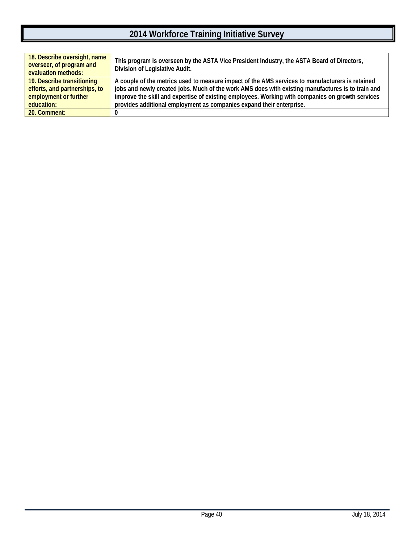| 18. Describe oversight, name<br>overseer, of program and<br>evaluation methods: | This program is overseen by the ASTA Vice President Industry, the ASTA Board of Directors,<br>Division of Legislative Audit. |
|---------------------------------------------------------------------------------|------------------------------------------------------------------------------------------------------------------------------|
| 19. Describe transitioning                                                      | A couple of the metrics used to measure impact of the AMS services to manufacturers is retained                              |
| efforts, and partnerships, to                                                   | jobs and newly created jobs. Much of the work AMS does with existing manufactures is to train and                            |
| employment or further                                                           | improve the skill and expertise of existing employees. Working with companies on growth services                             |
| education:                                                                      | provides additional employment as companies expand their enterprise.                                                         |
| 20. Comment:                                                                    |                                                                                                                              |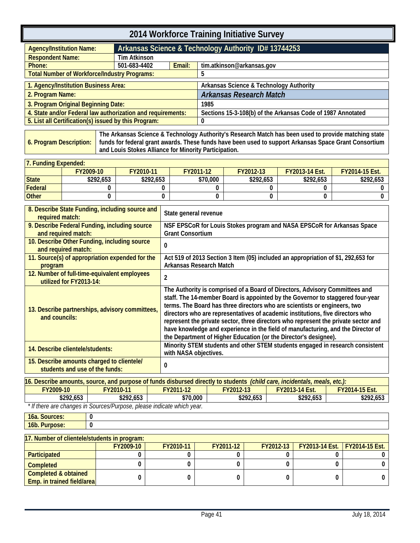<span id="page-44-0"></span>

| 2014 Workforce Training Initiative Survey                   |                                                     |                                                      |                                                             |  |  |
|-------------------------------------------------------------|-----------------------------------------------------|------------------------------------------------------|-------------------------------------------------------------|--|--|
| <b>Agency/Institution Name:</b>                             |                                                     | Arkansas Science & Technology Authority ID# 13744253 |                                                             |  |  |
| <b>Respondent Name:</b>                                     | <b>Tim Atkinson</b>                                 |                                                      |                                                             |  |  |
| Phone:                                                      | Email:<br>501-683-4402<br>tim.atkinson@arkansas.gov |                                                      |                                                             |  |  |
| <b>Total Number of Workforce/Industry Programs:</b>         |                                                     |                                                      | 5                                                           |  |  |
| 1. Agency/Institution Business Area:                        |                                                     |                                                      | Arkansas Science & Technology Authority                     |  |  |
| 2. Program Name:                                            |                                                     |                                                      | <b>Arkansas Research Match</b>                              |  |  |
| 3. Program Original Beginning Date:                         |                                                     |                                                      | 1985                                                        |  |  |
| 4. State and/or Federal law authorization and requirements: |                                                     |                                                      | Sections 15-3-108(b) of the Arkansas Code of 1987 Annotated |  |  |
| 5. List all Certification(s) issued by this Program:        |                                                     |                                                      | 0                                                           |  |  |

<span id="page-44-1"></span>**6. Program Description: The Arkansas Science & Technology Authority's Research Match has been used to provide matching state funds for federal grant awards. These funds have been used to support Arkansas Space Grant Consortium and Louis Stokes Alliance for Minority Participation.**

| 17. Fundina Expended: |                  |           |           |                  |                       |                       |  |
|-----------------------|------------------|-----------|-----------|------------------|-----------------------|-----------------------|--|
|                       | <b>FY2009-10</b> | FY2010-11 | FY2011-12 | <b>FY2012-13</b> | <b>FY2013-14 Est.</b> | <b>FY2014-15 Est.</b> |  |
| <b>State</b>          | \$292.653        | \$292,653 | \$70,000  | \$292,653        | \$292.653             | \$292,653             |  |
| Federal               |                  |           |           |                  |                       |                       |  |
| <b>Other</b>          |                  |           |           |                  |                       |                       |  |

| 8. Describe State Funding, including source and<br>required match:           | State general revenue                                                                                                                                                                                                                                                                                                                                                                                                                                                                                                                                                      |
|------------------------------------------------------------------------------|----------------------------------------------------------------------------------------------------------------------------------------------------------------------------------------------------------------------------------------------------------------------------------------------------------------------------------------------------------------------------------------------------------------------------------------------------------------------------------------------------------------------------------------------------------------------------|
| 9. Describe Federal Funding, including source<br>and required match:         | NSF EPSCoR for Louis Stokes program and NASA EPSCoR for Arkansas Space<br><b>Grant Consortium</b>                                                                                                                                                                                                                                                                                                                                                                                                                                                                          |
| 10. Describe Other Funding, including source<br>and required match:          | 0                                                                                                                                                                                                                                                                                                                                                                                                                                                                                                                                                                          |
| 11. Source(s) of appropriation expended for the<br>program                   | Act 519 of 2013 Section 3 Item (05) included an appropriation of \$1, 292,653 for<br><b>Arkansas Research Match</b>                                                                                                                                                                                                                                                                                                                                                                                                                                                        |
| 12. Number of full-time-equivalent employees<br>utilized for FY2013-14:      | 2                                                                                                                                                                                                                                                                                                                                                                                                                                                                                                                                                                          |
| 13. Describe partnerships, advisory committees,<br>and councils:             | The Authority is comprised of a Board of Directors, Advisory Committees and<br>staff. The 14-member Board is appointed by the Governor to staggered four-year<br>terms. The Board has three directors who are scientists or engineers, two<br>directors who are representatives of academic institutions, five directors who<br>represent the private sector, three directors who represent the private sector and<br>have knowledge and experience in the field of manufacturing, and the Director of<br>the Department of Higher Education (or the Director's designee). |
| 14. Describe clientele/students:                                             | Minority STEM students and other STEM students engaged in research consistent<br>with NASA objectives.                                                                                                                                                                                                                                                                                                                                                                                                                                                                     |
| 15. Describe amounts charged to clientele/<br>students and use of the funds: |                                                                                                                                                                                                                                                                                                                                                                                                                                                                                                                                                                            |

| 16. Describe amounts, source, and purpose of funds disbursed directly to students <i>(child care, incidentals, meals, etc.)</i> : |                                    |           |           |                       |                       |  |  |
|-----------------------------------------------------------------------------------------------------------------------------------|------------------------------------|-----------|-----------|-----------------------|-----------------------|--|--|
| FY2009-10                                                                                                                         | <b>FY2010-11</b>                   | FY2011-12 | FY2012-13 | <b>FY2013-14 Est.</b> | <b>FY2014-15 Est.</b> |  |  |
| \$292.653                                                                                                                         | \$292.653                          | \$70.000  | \$292.653 | \$292.653             | \$292.653             |  |  |
| $\sim$ $\sim$ $\sim$                                                                                                              | $\overline{\phantom{a}}$<br>$\sim$ |           |           |                       |                       |  |  |

 *\* If there are changes in Sources/Purpose, please indicate which year.*

**16a. Sources: 0 16b. Purpose: 0**

| 17. Number of clientele/students in program: |           |           |           |  |                                                    |  |  |  |
|----------------------------------------------|-----------|-----------|-----------|--|----------------------------------------------------|--|--|--|
|                                              | FY2009-10 | FY2010-11 | FY2011-12 |  | <b>FY2012-13</b>   FY2013-14 Est.   FY2014-15 Est. |  |  |  |
| Participated                                 |           |           |           |  |                                                    |  |  |  |
| Completed                                    |           |           |           |  |                                                    |  |  |  |
| Completed & obtained                         |           |           |           |  |                                                    |  |  |  |
| <b>Emp.</b> in trained field/area            |           |           |           |  |                                                    |  |  |  |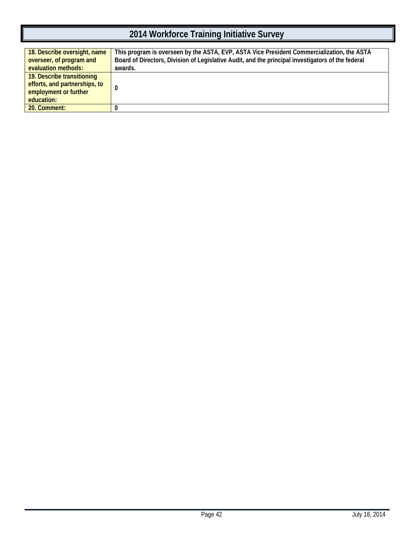| 18. Describe oversight, name<br>overseer, of program and<br>evaluation methods:                    | This program is overseen by the ASTA, EVP, ASTA Vice President Commercialization, the ASTA<br>Board of Directors, Division of Legislative Audit, and the principal investigators of the federal<br>awards. |
|----------------------------------------------------------------------------------------------------|------------------------------------------------------------------------------------------------------------------------------------------------------------------------------------------------------------|
| 19. Describe transitioning<br>efforts, and partnerships, to<br>employment or further<br>education: |                                                                                                                                                                                                            |
| 20. Comment:                                                                                       |                                                                                                                                                                                                            |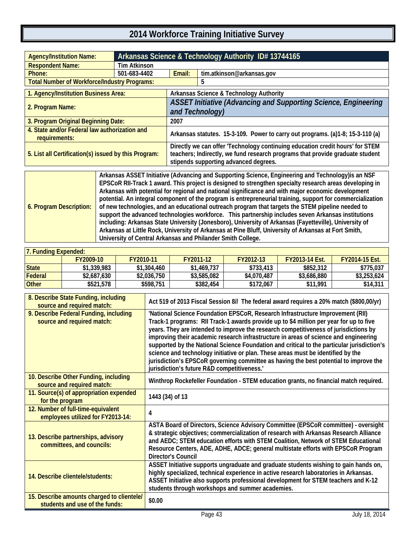<span id="page-46-1"></span><span id="page-46-0"></span>

| <b>Agency/Institution Name:</b>                                |                     | Arkansas Science & Technology Authority ID# 13744165                                                                                                                                                    |                                                    |  |  |
|----------------------------------------------------------------|---------------------|---------------------------------------------------------------------------------------------------------------------------------------------------------------------------------------------------------|----------------------------------------------------|--|--|
| <b>Respondent Name:</b>                                        | <b>Tim Atkinson</b> |                                                                                                                                                                                                         |                                                    |  |  |
| Phone:                                                         | 501-683-4402        | Email:                                                                                                                                                                                                  | tim.atkinson@arkansas.gov                          |  |  |
| <b>Total Number of Workforce/Industry Programs:</b>            |                     |                                                                                                                                                                                                         | 5                                                  |  |  |
| 1. Agency/Institution Business Area:                           |                     |                                                                                                                                                                                                         | <b>Arkansas Science &amp; Technology Authority</b> |  |  |
| 2. Program Name:                                               |                     | <b>ASSET Initiative (Advancing and Supporting Science, Engineering</b><br>and Technology)                                                                                                               |                                                    |  |  |
| 3. Program Original Beginning Date:                            |                     | 2007                                                                                                                                                                                                    |                                                    |  |  |
| 4. State and/or Federal law authorization and<br>requirements: |                     | Arkansas statutes. 15-3-109. Power to carry out programs. (a)1-8; 15-3-110 (a)                                                                                                                          |                                                    |  |  |
| 5. List all Certification(s) issued by this Program:           |                     | Directly we can offer 'Technology continuing education credit hours' for STEM<br>teachers; Indirectly, we fund research programs that provide graduate student<br>stipends supporting advanced degrees. |                                                    |  |  |
| $\sim$ $\sim$                                                  |                     |                                                                                                                                                                                                         | ______                                             |  |  |



| 7. Funding Expended: |             |             |             |             |                       |                       |  |
|----------------------|-------------|-------------|-------------|-------------|-----------------------|-----------------------|--|
|                      | FY2009-10   | FY2010-11   | FY2011-12   | FY2012-13   | <b>FY2013-14 Est.</b> | <b>FY2014-15 Est.</b> |  |
| <b>State</b>         | \$1,339,983 | \$1,304,460 | \$1,469,737 | \$733,413   | \$852,312             | \$775,037             |  |
| Federal              | \$2,687,630 | \$2,036,750 | \$3,585,082 | \$4,070,487 | \$3,686,880           | \$3,253,624           |  |
| <b>Other</b>         | \$521,578   | \$598.751   | \$382,454   | \$172.067   | \$11.991              | \$14,311              |  |

| 8. Describe State Funding, including<br>source and required match:           | Act 519 of 2013 Fiscal Session 8// The federal award requires a 20% match (\$800,00/yr)                                                                                                                                                                                                                                                                                                                                                                                                                                                                                                                                                                                            |
|------------------------------------------------------------------------------|------------------------------------------------------------------------------------------------------------------------------------------------------------------------------------------------------------------------------------------------------------------------------------------------------------------------------------------------------------------------------------------------------------------------------------------------------------------------------------------------------------------------------------------------------------------------------------------------------------------------------------------------------------------------------------|
| 9. Describe Federal Funding, including<br>source and required match:         | 'National Science Foundation EPSCoR, Research Infrastructure Improvement (RII)<br>Track-1 programs: RII Track-1 awards provide up to \$4 million per year for up to five<br>years. They are intended to improve the research competitiveness of jurisdictions by<br>improving their academic research infrastructure in areas of science and engineering<br>supported by the National Science Foundation and critical to the particular jurisdiction's<br>science and technology initiative or plan. These areas must be identified by the<br>jurisdiction's EPSCoR governing committee as having the best potential to improve the<br>jurisdiction's future R&D competitiveness.' |
| 10. Describe Other Funding, including<br>source and required match:          | Winthrop Rockefeller Foundation - STEM education grants, no financial match required.                                                                                                                                                                                                                                                                                                                                                                                                                                                                                                                                                                                              |
| 11. Source(s) of appropriation expended<br>for the program                   | 1443 (34) of 13                                                                                                                                                                                                                                                                                                                                                                                                                                                                                                                                                                                                                                                                    |
| 12. Number of full-time-equivalent<br>employees utilized for FY2013-14:      | 4                                                                                                                                                                                                                                                                                                                                                                                                                                                                                                                                                                                                                                                                                  |
| 13. Describe partnerships, advisory<br>committees, and councils:             | ASTA Board of Directors, Science Advisory Committee (EPSCoR committee) - oversight<br>& strategic objectives; commercialization of research with Arkansas Research Alliance<br>and AEDC; STEM education efforts with STEM Coalition, Network of STEM Educational<br>Resource Centers, ADE, ADHE, ADCE; general multistate efforts with EPSCoR Program<br><b>Director's Council</b>                                                                                                                                                                                                                                                                                                 |
| 14. Describe clientele/students:                                             | ASSET Initiative supports ungraduate and graduate students wishing to gain hands on,<br>highly specialized, technical experience in active research laboratories in Arkansas.<br>ASSET Initiative also supports professional development for STEM teachers and K-12<br>students through workshops and summer academies.                                                                                                                                                                                                                                                                                                                                                            |
| 15. Describe amounts charged to clientele/<br>students and use of the funds: | \$0.00                                                                                                                                                                                                                                                                                                                                                                                                                                                                                                                                                                                                                                                                             |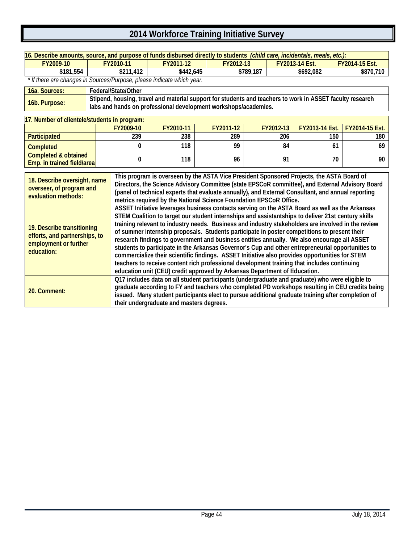| 16. Describe amounts, source, and purpose of funds disbursed directly to students (child care, incidentals, meals, etc.):                                                                                                                                                                                                                                                                                                                                   |  |                                                                                                                                                                                                                                                                                                                                                                                                                                                                                                                                                                                                                                                                                                                                                                                                                                                                                              |                                          |                                                                                                                                                                                                       |           |                |                                                                                                 |  |
|-------------------------------------------------------------------------------------------------------------------------------------------------------------------------------------------------------------------------------------------------------------------------------------------------------------------------------------------------------------------------------------------------------------------------------------------------------------|--|----------------------------------------------------------------------------------------------------------------------------------------------------------------------------------------------------------------------------------------------------------------------------------------------------------------------------------------------------------------------------------------------------------------------------------------------------------------------------------------------------------------------------------------------------------------------------------------------------------------------------------------------------------------------------------------------------------------------------------------------------------------------------------------------------------------------------------------------------------------------------------------------|------------------------------------------|-------------------------------------------------------------------------------------------------------------------------------------------------------------------------------------------------------|-----------|----------------|-------------------------------------------------------------------------------------------------|--|
| FY2009-10                                                                                                                                                                                                                                                                                                                                                                                                                                                   |  | FY2010-11                                                                                                                                                                                                                                                                                                                                                                                                                                                                                                                                                                                                                                                                                                                                                                                                                                                                                    | FY2011-12                                | FY2012-13                                                                                                                                                                                             |           | FY2013-14 Est. | FY2014-15 Est.                                                                                  |  |
| \$181,554                                                                                                                                                                                                                                                                                                                                                                                                                                                   |  | \$211,412                                                                                                                                                                                                                                                                                                                                                                                                                                                                                                                                                                                                                                                                                                                                                                                                                                                                                    | \$442,645                                |                                                                                                                                                                                                       | \$789,187 | \$692,082      | \$870,710                                                                                       |  |
| * If there are changes in Sources/Purpose, please indicate which year.                                                                                                                                                                                                                                                                                                                                                                                      |  |                                                                                                                                                                                                                                                                                                                                                                                                                                                                                                                                                                                                                                                                                                                                                                                                                                                                                              |                                          |                                                                                                                                                                                                       |           |                |                                                                                                 |  |
| 16a. Sources:                                                                                                                                                                                                                                                                                                                                                                                                                                               |  | Federal/State/Other                                                                                                                                                                                                                                                                                                                                                                                                                                                                                                                                                                                                                                                                                                                                                                                                                                                                          |                                          |                                                                                                                                                                                                       |           |                |                                                                                                 |  |
| 16b. Purpose:                                                                                                                                                                                                                                                                                                                                                                                                                                               |  |                                                                                                                                                                                                                                                                                                                                                                                                                                                                                                                                                                                                                                                                                                                                                                                                                                                                                              |                                          | Stipend, housing, travel and material support for students and teachers to work in ASSET faculty research<br>labs and hands on professional development workshops/academies.                          |           |                |                                                                                                 |  |
| 17. Number of clientele/students in program:                                                                                                                                                                                                                                                                                                                                                                                                                |  |                                                                                                                                                                                                                                                                                                                                                                                                                                                                                                                                                                                                                                                                                                                                                                                                                                                                                              |                                          |                                                                                                                                                                                                       |           |                |                                                                                                 |  |
|                                                                                                                                                                                                                                                                                                                                                                                                                                                             |  | FY2009-10                                                                                                                                                                                                                                                                                                                                                                                                                                                                                                                                                                                                                                                                                                                                                                                                                                                                                    | FY2010-11                                | FY2011-12                                                                                                                                                                                             | FY2012-13 | FY2013-14 Est. | FY2014-15 Est.                                                                                  |  |
| Participated                                                                                                                                                                                                                                                                                                                                                                                                                                                |  | 239                                                                                                                                                                                                                                                                                                                                                                                                                                                                                                                                                                                                                                                                                                                                                                                                                                                                                          | 238                                      | 289                                                                                                                                                                                                   | 206       |                | 150<br>180                                                                                      |  |
| <b>Completed</b>                                                                                                                                                                                                                                                                                                                                                                                                                                            |  | 0                                                                                                                                                                                                                                                                                                                                                                                                                                                                                                                                                                                                                                                                                                                                                                                                                                                                                            | 118                                      | 99                                                                                                                                                                                                    | 84        |                | 69<br>61                                                                                        |  |
| <b>Completed &amp; obtained</b>                                                                                                                                                                                                                                                                                                                                                                                                                             |  | 0                                                                                                                                                                                                                                                                                                                                                                                                                                                                                                                                                                                                                                                                                                                                                                                                                                                                                            | 118                                      | 96                                                                                                                                                                                                    | 91        |                | 70<br>90                                                                                        |  |
| Emp. in trained field/area                                                                                                                                                                                                                                                                                                                                                                                                                                  |  |                                                                                                                                                                                                                                                                                                                                                                                                                                                                                                                                                                                                                                                                                                                                                                                                                                                                                              |                                          |                                                                                                                                                                                                       |           |                |                                                                                                 |  |
| This program is overseen by the ASTA Vice President Sponsored Projects, the ASTA Board of<br>18. Describe oversight, name<br>Directors, the Science Advisory Committee (state EPSCoR committee), and External Advisory Board<br>overseer, of program and<br>(panel of technical experts that evaluate annually), and External Consultant, and annual reporting<br>evaluation methods:<br>metrics required by the National Science Foundation EPSCoR Office. |  |                                                                                                                                                                                                                                                                                                                                                                                                                                                                                                                                                                                                                                                                                                                                                                                                                                                                                              |                                          |                                                                                                                                                                                                       |           |                |                                                                                                 |  |
| 19. Describe transitioning<br>efforts, and partnerships, to<br>employment or further<br>education:                                                                                                                                                                                                                                                                                                                                                          |  | ASSET Initiative leverages business contacts serving on the ASTA Board as well as the Arkansas<br>STEM Coalition to target our student internships and assistantships to deliver 21st century skills<br>training relevant to industry needs. Business and industry stakeholders are involved in the review<br>of summer internship proposals. Students participate in poster competitions to present their<br>research findings to government and business entities annually. We also encourage all ASSET<br>students to participate in the Arkansas Governor's Cup and other entrepreneurial opportunities to<br>commercialize their scientific findings. ASSET Initiative also provides opportunities for STEM<br>teachers to receive content rich professional development training that includes continuing<br>education unit (CEU) credit approved by Arkansas Department of Education. |                                          |                                                                                                                                                                                                       |           |                |                                                                                                 |  |
| 20. Comment:                                                                                                                                                                                                                                                                                                                                                                                                                                                |  |                                                                                                                                                                                                                                                                                                                                                                                                                                                                                                                                                                                                                                                                                                                                                                                                                                                                                              | their undergraduate and masters degrees. | Q17 includes data on all student participants (undergraduate and graduate) who were eligible to<br>issued. Many student participants elect to pursue additional graduate training after completion of |           |                | graduate according to FY and teachers who completed PD workshops resulting in CEU credits being |  |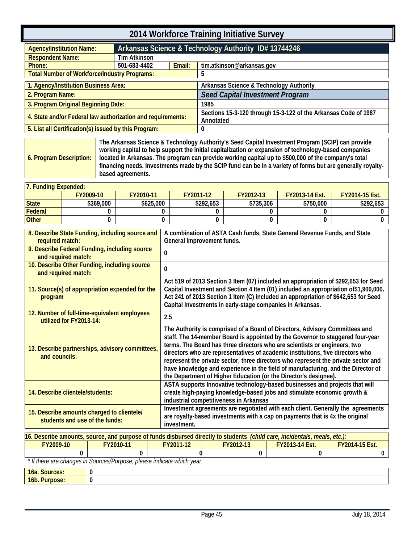<span id="page-48-1"></span><span id="page-48-0"></span>

|                                                                                             | 2014 Workforce Training Initiative Survey                                                                                                                                                                                                                            |           |                                                                                                                                                                                                                                                                                                                                                                                                                                                                                                                                                                            |                                                                                                                                                                                                                                                                                                                                                                                       |                                                                        |           |                                                                                                                                                                 |   |                                                                                                                                                                                                                                                                                                                                                                                                                                |                |                |
|---------------------------------------------------------------------------------------------|----------------------------------------------------------------------------------------------------------------------------------------------------------------------------------------------------------------------------------------------------------------------|-----------|----------------------------------------------------------------------------------------------------------------------------------------------------------------------------------------------------------------------------------------------------------------------------------------------------------------------------------------------------------------------------------------------------------------------------------------------------------------------------------------------------------------------------------------------------------------------------|---------------------------------------------------------------------------------------------------------------------------------------------------------------------------------------------------------------------------------------------------------------------------------------------------------------------------------------------------------------------------------------|------------------------------------------------------------------------|-----------|-----------------------------------------------------------------------------------------------------------------------------------------------------------------|---|--------------------------------------------------------------------------------------------------------------------------------------------------------------------------------------------------------------------------------------------------------------------------------------------------------------------------------------------------------------------------------------------------------------------------------|----------------|----------------|
| <b>Agency/Institution Name:</b>                                                             |                                                                                                                                                                                                                                                                      |           |                                                                                                                                                                                                                                                                                                                                                                                                                                                                                                                                                                            |                                                                                                                                                                                                                                                                                                                                                                                       |                                                                        |           | Arkansas Science & Technology Authority ID# 13744246                                                                                                            |   |                                                                                                                                                                                                                                                                                                                                                                                                                                |                |                |
| <b>Respondent Name:</b>                                                                     |                                                                                                                                                                                                                                                                      |           | <b>Tim Atkinson</b>                                                                                                                                                                                                                                                                                                                                                                                                                                                                                                                                                        |                                                                                                                                                                                                                                                                                                                                                                                       |                                                                        |           |                                                                                                                                                                 |   |                                                                                                                                                                                                                                                                                                                                                                                                                                |                |                |
| Phone:                                                                                      |                                                                                                                                                                                                                                                                      |           | 501-683-4402                                                                                                                                                                                                                                                                                                                                                                                                                                                                                                                                                               |                                                                                                                                                                                                                                                                                                                                                                                       | Email:                                                                 |           | tim.atkinson@arkansas.gov                                                                                                                                       |   |                                                                                                                                                                                                                                                                                                                                                                                                                                |                |                |
| <b>Total Number of Workforce/Industry Programs:</b>                                         |                                                                                                                                                                                                                                                                      |           |                                                                                                                                                                                                                                                                                                                                                                                                                                                                                                                                                                            |                                                                                                                                                                                                                                                                                                                                                                                       |                                                                        | 5         |                                                                                                                                                                 |   |                                                                                                                                                                                                                                                                                                                                                                                                                                |                |                |
| 1. Agency/Institution Business Area:                                                        |                                                                                                                                                                                                                                                                      |           |                                                                                                                                                                                                                                                                                                                                                                                                                                                                                                                                                                            |                                                                                                                                                                                                                                                                                                                                                                                       |                                                                        |           | Arkansas Science & Technology Authority                                                                                                                         |   |                                                                                                                                                                                                                                                                                                                                                                                                                                |                |                |
| 2. Program Name:                                                                            |                                                                                                                                                                                                                                                                      |           |                                                                                                                                                                                                                                                                                                                                                                                                                                                                                                                                                                            |                                                                                                                                                                                                                                                                                                                                                                                       |                                                                        |           | <b>Seed Capital Investment Program</b>                                                                                                                          |   |                                                                                                                                                                                                                                                                                                                                                                                                                                |                |                |
| 3. Program Original Beginning Date:                                                         |                                                                                                                                                                                                                                                                      |           |                                                                                                                                                                                                                                                                                                                                                                                                                                                                                                                                                                            |                                                                                                                                                                                                                                                                                                                                                                                       |                                                                        | 1985      |                                                                                                                                                                 |   |                                                                                                                                                                                                                                                                                                                                                                                                                                |                |                |
| 4. State and/or Federal law authorization and requirements:                                 |                                                                                                                                                                                                                                                                      |           |                                                                                                                                                                                                                                                                                                                                                                                                                                                                                                                                                                            |                                                                                                                                                                                                                                                                                                                                                                                       |                                                                        | Annotated |                                                                                                                                                                 |   | Sections 15-3-120 through 15-3-122 of the Arkansas Code of 1987                                                                                                                                                                                                                                                                                                                                                                |                |                |
| 5. List all Certification(s) issued by this Program:                                        |                                                                                                                                                                                                                                                                      |           |                                                                                                                                                                                                                                                                                                                                                                                                                                                                                                                                                                            |                                                                                                                                                                                                                                                                                                                                                                                       |                                                                        | 0         |                                                                                                                                                                 |   |                                                                                                                                                                                                                                                                                                                                                                                                                                |                |                |
| 6. Program Description:                                                                     |                                                                                                                                                                                                                                                                      |           | based agreements.                                                                                                                                                                                                                                                                                                                                                                                                                                                                                                                                                          |                                                                                                                                                                                                                                                                                                                                                                                       |                                                                        |           |                                                                                                                                                                 |   | The Arkansas Science & Technology Authority's Seed Capital Investment Program (SCIP) can provide<br>working capital to help support the initial capitalization or expansion of technology-based companies<br>located in Arkansas. The program can provide working capital up to \$500,000 of the company's total<br>financing needs. Investments made by the SCIP fund can be in a variety of forms but are generally royalty- |                |                |
| 7. Funding Expended:                                                                        |                                                                                                                                                                                                                                                                      |           |                                                                                                                                                                                                                                                                                                                                                                                                                                                                                                                                                                            |                                                                                                                                                                                                                                                                                                                                                                                       |                                                                        |           |                                                                                                                                                                 |   |                                                                                                                                                                                                                                                                                                                                                                                                                                |                |                |
|                                                                                             |                                                                                                                                                                                                                                                                      | FY2009-10 | FY2010-11                                                                                                                                                                                                                                                                                                                                                                                                                                                                                                                                                                  |                                                                                                                                                                                                                                                                                                                                                                                       | FY2011-12                                                              |           | FY2012-13                                                                                                                                                       |   | FY2013-14 Est.                                                                                                                                                                                                                                                                                                                                                                                                                 |                | FY2014-15 Est. |
| <b>State</b>                                                                                |                                                                                                                                                                                                                                                                      | \$369,000 |                                                                                                                                                                                                                                                                                                                                                                                                                                                                                                                                                                            | \$625,000                                                                                                                                                                                                                                                                                                                                                                             |                                                                        | \$292,653 | \$735,306                                                                                                                                                       |   | \$750,000                                                                                                                                                                                                                                                                                                                                                                                                                      |                | \$292,653      |
| <b>Federal</b>                                                                              |                                                                                                                                                                                                                                                                      | 0         |                                                                                                                                                                                                                                                                                                                                                                                                                                                                                                                                                                            |                                                                                                                                                                                                                                                                                                                                                                                       | 0                                                                      | 0         |                                                                                                                                                                 | 0 | 0                                                                                                                                                                                                                                                                                                                                                                                                                              |                | 0              |
| <b>Other</b>                                                                                |                                                                                                                                                                                                                                                                      | 0         |                                                                                                                                                                                                                                                                                                                                                                                                                                                                                                                                                                            |                                                                                                                                                                                                                                                                                                                                                                                       | 0                                                                      | 0         |                                                                                                                                                                 | 0 | 0                                                                                                                                                                                                                                                                                                                                                                                                                              |                | 0              |
| program                                                                                     | 8. Describe State Funding, including source and<br>required match:<br>9. Describe Federal Funding, including source<br>and required match:<br>10. Describe Other Funding, including source<br>and required match:<br>11. Source(s) of appropriation expended for the |           |                                                                                                                                                                                                                                                                                                                                                                                                                                                                                                                                                                            | A combination of ASTA Cash funds, State General Revenue Funds, and State<br>General Improvement funds.<br>0<br>0<br>Act 519 of 2013 Section 3 Item (07) included an appropriation of \$292,653 for Seed<br>Capital Investment and Section 4 Item (01) included an appropriation of \$1,900,000.<br>Act 241 of 2013 Section 1 Item (C) included an appropriation of \$642,653 for Seed |                                                                        |           |                                                                                                                                                                 |   |                                                                                                                                                                                                                                                                                                                                                                                                                                |                |                |
| 12. Number of full-time-equivalent employees                                                |                                                                                                                                                                                                                                                                      |           |                                                                                                                                                                                                                                                                                                                                                                                                                                                                                                                                                                            |                                                                                                                                                                                                                                                                                                                                                                                       | Capital Investments in early-stage companies in Arkansas.<br>2.5       |           |                                                                                                                                                                 |   |                                                                                                                                                                                                                                                                                                                                                                                                                                |                |                |
| utilized for FY2013-14:<br>13. Describe partnerships, advisory committees,<br>and councils: |                                                                                                                                                                                                                                                                      |           | The Authority is comprised of a Board of Directors, Advisory Committees and<br>staff. The 14-member Board is appointed by the Governor to staggered four-year<br>terms. The Board has three directors who are scientists or engineers, two<br>directors who are representatives of academic institutions, five directors who<br>represent the private sector, three directors who represent the private sector and<br>have knowledge and experience in the field of manufacturing, and the Director of<br>the Department of Higher Education (or the Director's designee). |                                                                                                                                                                                                                                                                                                                                                                                       |                                                                        |           |                                                                                                                                                                 |   |                                                                                                                                                                                                                                                                                                                                                                                                                                |                |                |
| 14. Describe clientele/students:                                                            |                                                                                                                                                                                                                                                                      |           |                                                                                                                                                                                                                                                                                                                                                                                                                                                                                                                                                                            | ASTA supports Innovative technology-based businesses and projects that will<br>create high-paying knowledge-based jobs and stimulate economic growth &<br>industrial competitiveness in Arkansas                                                                                                                                                                                      |                                                                        |           |                                                                                                                                                                 |   |                                                                                                                                                                                                                                                                                                                                                                                                                                |                |                |
| 15. Describe amounts charged to clientele/<br>students and use of the funds:                |                                                                                                                                                                                                                                                                      |           | investment.                                                                                                                                                                                                                                                                                                                                                                                                                                                                                                                                                                |                                                                                                                                                                                                                                                                                                                                                                                       |                                                                        |           | Investment agreements are negotiated with each client. Generally the agreements<br>are royalty-based investments with a cap on payments that is 4x the original |   |                                                                                                                                                                                                                                                                                                                                                                                                                                |                |                |
|                                                                                             |                                                                                                                                                                                                                                                                      |           | 16. Describe amounts, source, and purpose of funds disbursed directly to students (child care, incidentals, meals, etc.):                                                                                                                                                                                                                                                                                                                                                                                                                                                  |                                                                                                                                                                                                                                                                                                                                                                                       |                                                                        |           |                                                                                                                                                                 |   |                                                                                                                                                                                                                                                                                                                                                                                                                                |                |                |
| FY2009-10                                                                                   |                                                                                                                                                                                                                                                                      |           | FY2010-11                                                                                                                                                                                                                                                                                                                                                                                                                                                                                                                                                                  |                                                                                                                                                                                                                                                                                                                                                                                       | FY2011-12                                                              |           | FY2012-13                                                                                                                                                       |   | FY2013-14 Est.                                                                                                                                                                                                                                                                                                                                                                                                                 | FY2014-15 Est. |                |
|                                                                                             | 0                                                                                                                                                                                                                                                                    |           | U                                                                                                                                                                                                                                                                                                                                                                                                                                                                                                                                                                          |                                                                                                                                                                                                                                                                                                                                                                                       |                                                                        | $\Omega$  | 0                                                                                                                                                               |   | 0                                                                                                                                                                                                                                                                                                                                                                                                                              |                | 0              |
|                                                                                             |                                                                                                                                                                                                                                                                      |           |                                                                                                                                                                                                                                                                                                                                                                                                                                                                                                                                                                            |                                                                                                                                                                                                                                                                                                                                                                                       | * If there are changes in Sources/Purpose, please indicate which year. |           |                                                                                                                                                                 |   |                                                                                                                                                                                                                                                                                                                                                                                                                                |                |                |
| 16a. Sources:                                                                               |                                                                                                                                                                                                                                                                      | 0         |                                                                                                                                                                                                                                                                                                                                                                                                                                                                                                                                                                            |                                                                                                                                                                                                                                                                                                                                                                                       |                                                                        |           |                                                                                                                                                                 |   |                                                                                                                                                                                                                                                                                                                                                                                                                                |                |                |

**16b. Purpose: 0**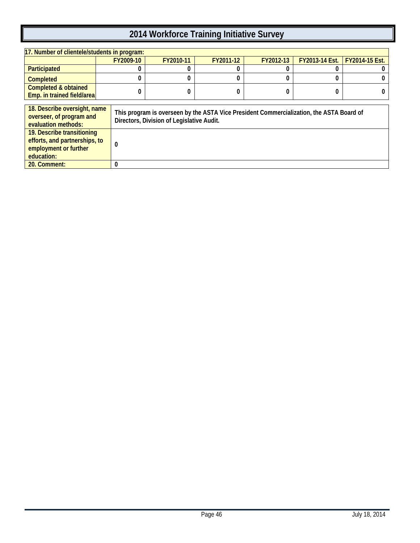| 17. Number of clientele/students in program:                                                       |                  |                                                                                                                                       |           |           |                |                |  |
|----------------------------------------------------------------------------------------------------|------------------|---------------------------------------------------------------------------------------------------------------------------------------|-----------|-----------|----------------|----------------|--|
|                                                                                                    | FY2009-10        | FY2010-11                                                                                                                             | FY2011-12 | FY2012-13 | FY2013-14 Est. | FY2014-15 Est. |  |
| Participated                                                                                       |                  |                                                                                                                                       |           |           |                |                |  |
| <b>Completed</b>                                                                                   |                  |                                                                                                                                       |           |           |                |                |  |
| <b>Completed &amp; obtained</b><br>Emp. in trained field/area                                      |                  |                                                                                                                                       |           |           |                |                |  |
| 18. Describe oversight, name<br>overseer, of program and<br>evaluation methods:                    |                  | This program is overseen by the ASTA Vice President Commercialization, the ASTA Board of<br>Directors, Division of Legislative Audit. |           |           |                |                |  |
| 19. Describe transitioning<br>efforts, and partnerships, to<br>employment or further<br>education: | $\boldsymbol{0}$ |                                                                                                                                       |           |           |                |                |  |
| 20. Comment:                                                                                       | 0                |                                                                                                                                       |           |           |                |                |  |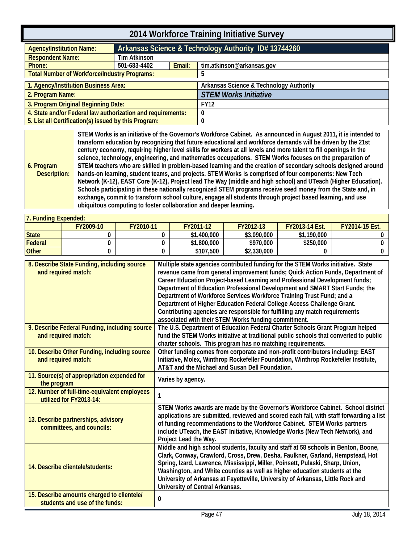<span id="page-50-0"></span>

| 2014 Workforce Training Initiative Survey                   |                     |                                                      |                                         |  |  |
|-------------------------------------------------------------|---------------------|------------------------------------------------------|-----------------------------------------|--|--|
| <b>Agency/Institution Name:</b>                             |                     | Arkansas Science & Technology Authority ID# 13744260 |                                         |  |  |
| <b>Respondent Name:</b>                                     | <b>Tim Atkinson</b> |                                                      |                                         |  |  |
| Phone:                                                      | 501-683-4402        | Email:                                               | tim.atkinson@arkansas.gov               |  |  |
| <b>Total Number of Workforce/Industry Programs:</b>         |                     |                                                      | 5                                       |  |  |
| 1. Agency/Institution Business Area:                        |                     |                                                      | Arkansas Science & Technology Authority |  |  |
| 2. Program Name:                                            |                     |                                                      | <b>STEM Works Initiative</b>            |  |  |
| 3. Program Original Beginning Date:                         |                     |                                                      | <b>FY12</b>                             |  |  |
| 4. State and/or Federal law authorization and requirements: |                     |                                                      | 0                                       |  |  |
| 5. List all Certification(s) issued by this Program:        |                     |                                                      | 0                                       |  |  |

<span id="page-50-1"></span>**6. Program Description: STEM Works is an initiative of the Governor's Workforce Cabinet. As announced in August 2011, it is intended to transform education by recognizing that future educational and workforce demands will be driven by the 21st century economy, requiring higher level skills for workers at all levels and more talent to fill openings in the science, technology, engineering, and mathematics occupations. STEM Works focuses on the preparation of STEM teachers who are skilled in problem-based learning and the creation of secondary schools designed around hands-on learning, student teams, and projects. STEM Works is comprised of four components: New Tech Network (K-12), EAST Core (K-12), Project lead The Way (middle and high school) and UTeach (Higher Education). Schools participating in these nationally recognized STEM programs receive seed money from the State and, in exchange, commit to transform school culture, engage all students through project based learning, and use ubiquitous computing to foster collaboration and deeper learning.**

| <b>17. Funding Expended:</b> |           |           |             |             |                       |                       |
|------------------------------|-----------|-----------|-------------|-------------|-----------------------|-----------------------|
|                              | FY2009-10 | FY2010-11 | FY2011-12   | FY2012-13   | <b>FY2013-14 Est.</b> | <b>FY2014-15 Est.</b> |
| State                        |           |           | \$1,400,000 | \$3,090,000 | \$1,190,000           |                       |
| Federal                      |           |           | \$1,800,000 | \$970.000   | \$250,000             |                       |
| <b>Other</b>                 |           |           | \$107.500   | \$2,330,000 |                       |                       |

| 8. Describe State Funding, including source<br>and required match:           | Multiple state agencies contributed funding for the STEM Works initiative. State<br>revenue came from general improvement funds; Quick Action Funds, Department of<br>Career Education Project-based Learning and Professional Development funds;<br>Department of Education Professional Development and SMART Start Funds; the<br>Department of Workforce Services Workforce Training Trust Fund; and a<br>Department of Higher Education Federal College Access Challenge Grant.<br>Contributing agencies are responsible for fulfilling any match requirements<br>associated with their STEM Works funding commitment. |
|------------------------------------------------------------------------------|----------------------------------------------------------------------------------------------------------------------------------------------------------------------------------------------------------------------------------------------------------------------------------------------------------------------------------------------------------------------------------------------------------------------------------------------------------------------------------------------------------------------------------------------------------------------------------------------------------------------------|
| 9. Describe Federal Funding, including source<br>and required match:         | The U.S. Department of Education Federal Charter Schools Grant Program helped<br>fund the STEM Works initiative at traditional public schools that converted to public<br>charter schools. This program has no matching requirements.                                                                                                                                                                                                                                                                                                                                                                                      |
| 10. Describe Other Funding, including source<br>and required match:          | Other funding comes from corporate and non-profit contributors including: EAST<br>Initiative, Molex, Winthrop Rockefeller Foundation, Winthrop Rockefeller Institute,<br>AT&T and the Michael and Susan Dell Foundation.                                                                                                                                                                                                                                                                                                                                                                                                   |
| 11. Source(s) of appropriation expended for<br>the program                   | Varies by agency.                                                                                                                                                                                                                                                                                                                                                                                                                                                                                                                                                                                                          |
| 12. Number of full-time-equivalent employees<br>utilized for FY2013-14:      |                                                                                                                                                                                                                                                                                                                                                                                                                                                                                                                                                                                                                            |
| 13. Describe partnerships, advisory<br>committees, and councils:             | STEM Works awards are made by the Governor's Workforce Cabinet. School district<br>applications are submitted, reviewed and scored each fall, with staff forwarding a list<br>of funding recommendations to the Workforce Cabinet. STEM Works partners<br>include UTeach, the EAST Initiative, Knowledge Works (New Tech Network), and<br>Project Lead the Way.                                                                                                                                                                                                                                                            |
| 14. Describe clientele/students:                                             | Middle and high school students, faculty and staff at 58 schools in Benton, Boone,<br>Clark, Conway, Crawford, Cross, Drew, Desha, Faulkner, Garland, Hempstead, Hot<br>Spring, Izard, Lawrence, Mississippi, Miller, Poinsett, Pulaski, Sharp, Union,<br>Washington, and White counties as well as higher education students at the<br>University of Arkansas at Fayetteville, University of Arkansas, Little Rock and<br>University of Central Arkansas.                                                                                                                                                                 |
| 15. Describe amounts charged to clientele/<br>students and use of the funds: | 0                                                                                                                                                                                                                                                                                                                                                                                                                                                                                                                                                                                                                          |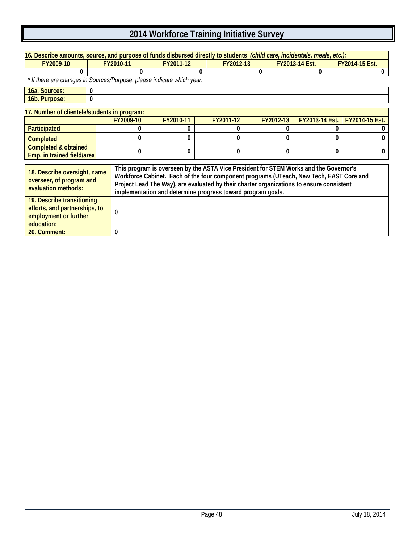| 16. Describe amounts, source, and purpose of funds disbursed directly to students (child care, incidentals, meals, etc.):                                                                                                                                                                                                                                                                                                      |                                                                         |           |           |           |           |   |                       |                |                       |                |
|--------------------------------------------------------------------------------------------------------------------------------------------------------------------------------------------------------------------------------------------------------------------------------------------------------------------------------------------------------------------------------------------------------------------------------|-------------------------------------------------------------------------|-----------|-----------|-----------|-----------|---|-----------------------|----------------|-----------------------|----------------|
| FY2009-10                                                                                                                                                                                                                                                                                                                                                                                                                      |                                                                         | FY2010-11 | FY2011-12 | FY2012-13 |           |   | <b>FY2013-14 Est.</b> |                | <b>FY2014-15 Est.</b> |                |
|                                                                                                                                                                                                                                                                                                                                                                                                                                |                                                                         |           |           | 0         |           | 0 |                       | 0              |                       |                |
|                                                                                                                                                                                                                                                                                                                                                                                                                                | * If there are changes in Sources/Purpose, please indicate which year.  |           |           |           |           |   |                       |                |                       |                |
| 16a. Sources:                                                                                                                                                                                                                                                                                                                                                                                                                  | $\mathbf{0}$                                                            |           |           |           |           |   |                       |                |                       |                |
| 16b. Purpose:                                                                                                                                                                                                                                                                                                                                                                                                                  | $\boldsymbol{0}$                                                        |           |           |           |           |   |                       |                |                       |                |
| 17. Number of clientele/students in program:                                                                                                                                                                                                                                                                                                                                                                                   |                                                                         |           |           |           |           |   |                       |                |                       |                |
|                                                                                                                                                                                                                                                                                                                                                                                                                                |                                                                         | FY2009-10 | FY2010-11 |           | FY2011-12 |   | FY2012-13             | FY2013-14 Est. |                       | FY2014-15 Est. |
| Participated                                                                                                                                                                                                                                                                                                                                                                                                                   |                                                                         |           |           |           |           |   |                       |                |                       |                |
| <b>Completed</b>                                                                                                                                                                                                                                                                                                                                                                                                               |                                                                         |           |           |           |           |   | 0                     |                | 0                     |                |
| <b>Completed &amp; obtained</b><br>Emp. in trained field/area                                                                                                                                                                                                                                                                                                                                                                  |                                                                         | 0         | $\Omega$  |           | 0         |   | 0                     |                | 0                     | O              |
|                                                                                                                                                                                                                                                                                                                                                                                                                                |                                                                         |           |           |           |           |   |                       |                |                       |                |
| This program is overseen by the ASTA Vice President for STEM Works and the Governor's<br>18. Describe oversight, name<br>Workforce Cabinet. Each of the four component programs (UTeach, New Tech, EAST Core and<br>overseer, of program and<br>Project Lead The Way), are evaluated by their charter organizations to ensure consistent<br>evaluation methods:<br>implementation and determine progress toward program goals. |                                                                         |           |           |           |           |   |                       |                |                       |                |
| employment or further<br>education:                                                                                                                                                                                                                                                                                                                                                                                            | 19. Describe transitioning<br>efforts, and partnerships, to<br>$\bf{0}$ |           |           |           |           |   |                       |                |                       |                |
| 0<br>20. Comment:                                                                                                                                                                                                                                                                                                                                                                                                              |                                                                         |           |           |           |           |   |                       |                |                       |                |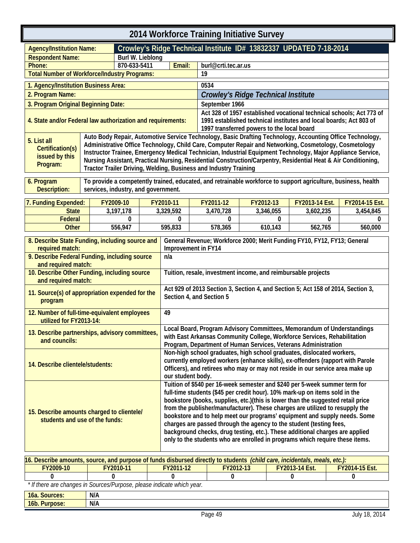<span id="page-52-1"></span><span id="page-52-0"></span>

| 2014 Workforce Training Initiative Survey                                                                                 |                                     |                  |                                                                                                                                                                                                                                                                                                                                                                                                                                                                                                                                                                                                                                                  |                                                                                                                                                                                                                                          |                                                                                                                                                                                                                                                                                                                                                                                                                                                                                                                          |           |           |                                                                    |   |                                                                      |
|---------------------------------------------------------------------------------------------------------------------------|-------------------------------------|------------------|--------------------------------------------------------------------------------------------------------------------------------------------------------------------------------------------------------------------------------------------------------------------------------------------------------------------------------------------------------------------------------------------------------------------------------------------------------------------------------------------------------------------------------------------------------------------------------------------------------------------------------------------------|------------------------------------------------------------------------------------------------------------------------------------------------------------------------------------------------------------------------------------------|--------------------------------------------------------------------------------------------------------------------------------------------------------------------------------------------------------------------------------------------------------------------------------------------------------------------------------------------------------------------------------------------------------------------------------------------------------------------------------------------------------------------------|-----------|-----------|--------------------------------------------------------------------|---|----------------------------------------------------------------------|
| <b>Agency/Institution Name:</b>                                                                                           |                                     |                  |                                                                                                                                                                                                                                                                                                                                                                                                                                                                                                                                                                                                                                                  |                                                                                                                                                                                                                                          | Crowley's Ridge Technical Institute ID# 13832337 UPDATED 7-18-2014                                                                                                                                                                                                                                                                                                                                                                                                                                                       |           |           |                                                                    |   |                                                                      |
| <b>Respondent Name:</b>                                                                                                   |                                     | Burl W. Lieblong |                                                                                                                                                                                                                                                                                                                                                                                                                                                                                                                                                                                                                                                  |                                                                                                                                                                                                                                          |                                                                                                                                                                                                                                                                                                                                                                                                                                                                                                                          |           |           |                                                                    |   |                                                                      |
| Phone:                                                                                                                    |                                     | 870-633-5411     |                                                                                                                                                                                                                                                                                                                                                                                                                                                                                                                                                                                                                                                  | Email:                                                                                                                                                                                                                                   | burl@crti.tec.ar.us                                                                                                                                                                                                                                                                                                                                                                                                                                                                                                      |           |           |                                                                    |   |                                                                      |
| <b>Total Number of Workforce/Industry Programs:</b>                                                                       |                                     |                  |                                                                                                                                                                                                                                                                                                                                                                                                                                                                                                                                                                                                                                                  |                                                                                                                                                                                                                                          | 19                                                                                                                                                                                                                                                                                                                                                                                                                                                                                                                       |           |           |                                                                    |   |                                                                      |
| 1. Agency/Institution Business Area:                                                                                      |                                     |                  |                                                                                                                                                                                                                                                                                                                                                                                                                                                                                                                                                                                                                                                  |                                                                                                                                                                                                                                          | 0534                                                                                                                                                                                                                                                                                                                                                                                                                                                                                                                     |           |           |                                                                    |   |                                                                      |
| 2. Program Name:                                                                                                          |                                     |                  |                                                                                                                                                                                                                                                                                                                                                                                                                                                                                                                                                                                                                                                  |                                                                                                                                                                                                                                          | <b>Crowley's Ridge Technical Institute</b>                                                                                                                                                                                                                                                                                                                                                                                                                                                                               |           |           |                                                                    |   |                                                                      |
| 3. Program Original Beginning Date:                                                                                       |                                     |                  |                                                                                                                                                                                                                                                                                                                                                                                                                                                                                                                                                                                                                                                  |                                                                                                                                                                                                                                          | September 1966                                                                                                                                                                                                                                                                                                                                                                                                                                                                                                           |           |           |                                                                    |   |                                                                      |
| 4. State and/or Federal law authorization and requirements:                                                               |                                     |                  |                                                                                                                                                                                                                                                                                                                                                                                                                                                                                                                                                                                                                                                  |                                                                                                                                                                                                                                          | 1997 transferred powers to the local board                                                                                                                                                                                                                                                                                                                                                                                                                                                                               |           |           | 1991 established technical institutes and local boards; Act 803 of |   | Act 328 of 1957 established vocational technical schools; Act 773 of |
| 5. List all<br>Certification(s)<br>issued by this<br>Program:                                                             |                                     |                  |                                                                                                                                                                                                                                                                                                                                                                                                                                                                                                                                                                                                                                                  |                                                                                                                                                                                                                                          | Auto Body Repair, Automotive Service Technology, Basic Drafting Technology, Accounting Office Technology,<br>Administrative Office Technology, Child Care, Computer Repair and Networking, Cosmetology, Cosmetology<br>Instructor Trainee, Emergency Medical Technician, Industrial Equipment Technology, Major Appliance Service,<br>Nursing Assistant, Practical Nursing, Residential Construction/Carpentry, Residential Heat & Air Conditioning,<br>Tractor Trailer Driving, Welding, Business and Industry Training |           |           |                                                                    |   |                                                                      |
| 6. Program<br><b>Description:</b>                                                                                         | services, industry, and government. |                  |                                                                                                                                                                                                                                                                                                                                                                                                                                                                                                                                                                                                                                                  |                                                                                                                                                                                                                                          | To provide a competently trained, educated, and retrainable workforce to support agriculture, business, health                                                                                                                                                                                                                                                                                                                                                                                                           |           |           |                                                                    |   |                                                                      |
| 7. Funding Expended:                                                                                                      |                                     | FY2009-10        |                                                                                                                                                                                                                                                                                                                                                                                                                                                                                                                                                                                                                                                  | FY2010-11                                                                                                                                                                                                                                | FY2011-12                                                                                                                                                                                                                                                                                                                                                                                                                                                                                                                | FY2012-13 |           | FY2013-14 Est.                                                     |   | FY2014-15 Est.                                                       |
| <b>State</b>                                                                                                              |                                     | 3,197,178        |                                                                                                                                                                                                                                                                                                                                                                                                                                                                                                                                                                                                                                                  | 3,329,592                                                                                                                                                                                                                                | 3,470,728                                                                                                                                                                                                                                                                                                                                                                                                                                                                                                                |           | 3,346,055 | 3,602,235                                                          |   | 3,454,845                                                            |
| Federal                                                                                                                   |                                     | 0                |                                                                                                                                                                                                                                                                                                                                                                                                                                                                                                                                                                                                                                                  | $\mathbf{0}$                                                                                                                                                                                                                             | 0                                                                                                                                                                                                                                                                                                                                                                                                                                                                                                                        |           | 0         |                                                                    | 0 | 0                                                                    |
| <b>Other</b>                                                                                                              |                                     | 556,947          |                                                                                                                                                                                                                                                                                                                                                                                                                                                                                                                                                                                                                                                  | 595,833                                                                                                                                                                                                                                  | 578,365                                                                                                                                                                                                                                                                                                                                                                                                                                                                                                                  |           | 610,143   | 562,765                                                            |   | 560,000                                                              |
| 8. Describe State Funding, including source and<br>required match:                                                        |                                     |                  |                                                                                                                                                                                                                                                                                                                                                                                                                                                                                                                                                                                                                                                  |                                                                                                                                                                                                                                          | General Revenue; Workforce 2000; Merit Funding FY10, FY12, FY13; General<br>Improvement in FY14                                                                                                                                                                                                                                                                                                                                                                                                                          |           |           |                                                                    |   |                                                                      |
| 9. Describe Federal Funding, including source<br>and required match:                                                      |                                     |                  |                                                                                                                                                                                                                                                                                                                                                                                                                                                                                                                                                                                                                                                  | n/a                                                                                                                                                                                                                                      |                                                                                                                                                                                                                                                                                                                                                                                                                                                                                                                          |           |           |                                                                    |   |                                                                      |
| 10. Describe Other Funding, including source<br>and required match:                                                       |                                     |                  |                                                                                                                                                                                                                                                                                                                                                                                                                                                                                                                                                                                                                                                  | Tuition, resale, investment income, and reimbursable projects                                                                                                                                                                            |                                                                                                                                                                                                                                                                                                                                                                                                                                                                                                                          |           |           |                                                                    |   |                                                                      |
| 11. Source(s) of appropriation expended for the<br>program                                                                |                                     |                  |                                                                                                                                                                                                                                                                                                                                                                                                                                                                                                                                                                                                                                                  | Act 929 of 2013 Section 3, Section 4, and Section 5; Act 158 of 2014, Section 3,<br>Section 4, and Section 5                                                                                                                             |                                                                                                                                                                                                                                                                                                                                                                                                                                                                                                                          |           |           |                                                                    |   |                                                                      |
| 12. Number of full-time-equivalent employees<br>utilized for FY2013-14:                                                   |                                     |                  |                                                                                                                                                                                                                                                                                                                                                                                                                                                                                                                                                                                                                                                  | 49                                                                                                                                                                                                                                       |                                                                                                                                                                                                                                                                                                                                                                                                                                                                                                                          |           |           |                                                                    |   |                                                                      |
| 13. Describe partnerships, advisory committees,<br>and councils:                                                          |                                     |                  |                                                                                                                                                                                                                                                                                                                                                                                                                                                                                                                                                                                                                                                  | Local Board, Program Advisory Committees, Memorandum of Understandings<br>with East Arkansas Community College, Workforce Services, Rehabilitation<br>Program, Department of Human Services, Veterans Administration                     |                                                                                                                                                                                                                                                                                                                                                                                                                                                                                                                          |           |           |                                                                    |   |                                                                      |
| 14. Describe clientele/students:                                                                                          |                                     |                  | our student body.                                                                                                                                                                                                                                                                                                                                                                                                                                                                                                                                                                                                                                | Non-high school graduates, high school graduates, dislocated workers,<br>currently employed workers (enhance skills), ex-offenders (rapport with Parole<br>Officers), and retirees who may or may not reside in our service area make up |                                                                                                                                                                                                                                                                                                                                                                                                                                                                                                                          |           |           |                                                                    |   |                                                                      |
| 15. Describe amounts charged to clientele/<br>students and use of the funds:                                              |                                     |                  | Tuition of \$540 per 16-week semester and \$240 per 5-week summer term for<br>full-time students (\$45 per credit hour). 10% mark-up on items sold in the<br>bookstore (books, supplies, etc.)(this is lower than the suggested retail price<br>from the publisher/manufacturer). These charges are utilized to resupply the<br>bookstore and to help meet our programs' equipment and supply needs. Some<br>charges are passed through the agency to the student (testing fees,<br>background checks, drug testing, etc.). These additional charges are applied<br>only to the students who are enrolled in programs which require these items. |                                                                                                                                                                                                                                          |                                                                                                                                                                                                                                                                                                                                                                                                                                                                                                                          |           |           |                                                                    |   |                                                                      |
| 16. Describe amounts, source, and purpose of funds disbursed directly to students (child care, incidentals, meals, etc.): |                                     |                  |                                                                                                                                                                                                                                                                                                                                                                                                                                                                                                                                                                                                                                                  |                                                                                                                                                                                                                                          |                                                                                                                                                                                                                                                                                                                                                                                                                                                                                                                          |           |           |                                                                    |   |                                                                      |
| FY2009-10<br>$\Omega$                                                                                                     |                                     | FY2010-11        |                                                                                                                                                                                                                                                                                                                                                                                                                                                                                                                                                                                                                                                  | FY2011-12                                                                                                                                                                                                                                |                                                                                                                                                                                                                                                                                                                                                                                                                                                                                                                          | FY2012-13 |           | FY2013-14 Est.                                                     |   | FY2014-15 Est.<br>$\mathbf{0}$                                       |
| * If there are changes in Sources/Purpose, please indicate which year.                                                    |                                     | $\Omega$         |                                                                                                                                                                                                                                                                                                                                                                                                                                                                                                                                                                                                                                                  | $\bf{0}$                                                                                                                                                                                                                                 | $\bf{0}$                                                                                                                                                                                                                                                                                                                                                                                                                                                                                                                 |           |           | 0                                                                  |   |                                                                      |
| 16a. Sources:                                                                                                             | N/A                                 |                  |                                                                                                                                                                                                                                                                                                                                                                                                                                                                                                                                                                                                                                                  |                                                                                                                                                                                                                                          |                                                                                                                                                                                                                                                                                                                                                                                                                                                                                                                          |           |           |                                                                    |   |                                                                      |
| 16b. Purpose:                                                                                                             | N/A                                 |                  |                                                                                                                                                                                                                                                                                                                                                                                                                                                                                                                                                                                                                                                  |                                                                                                                                                                                                                                          |                                                                                                                                                                                                                                                                                                                                                                                                                                                                                                                          |           |           |                                                                    |   |                                                                      |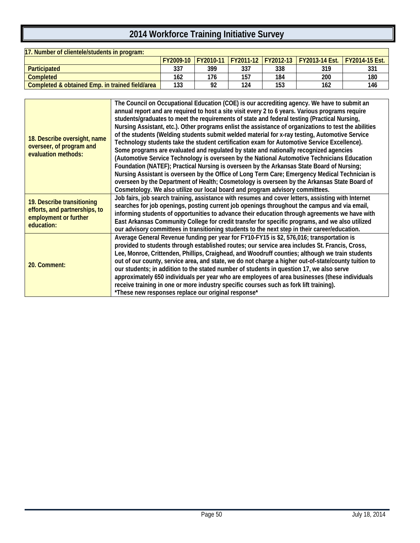| 17. Number of clientele/students in program:    |           |                   |     |                     |                       |                       |  |
|-------------------------------------------------|-----------|-------------------|-----|---------------------|-----------------------|-----------------------|--|
|                                                 | FY2009-10 | <b>IFY2010-11</b> |     | FY2011-12 FY2012-13 | <b>FY2013-14 Est.</b> | <b>FY2014-15 Est.</b> |  |
| <b>Participated</b>                             | 337       | 399               | 337 | 338                 | 319                   | 331                   |  |
| Completed                                       | 162       | 176               | 157 | 184                 | 200                   | 180                   |  |
| Completed & obtained Emp. in trained field/area | 133       | ດາ                | 124 | 153                 | 162                   | 146                   |  |

|                                                 | The Council on Occupational Education (COE) is our accrediting agency. We have to submit an           |
|-------------------------------------------------|-------------------------------------------------------------------------------------------------------|
|                                                 | annual report and are required to host a site visit every 2 to 6 years. Various programs require      |
|                                                 | students/graduates to meet the requirements of state and federal testing (Practical Nursing,          |
|                                                 | Nursing Assistant, etc.). Other programs enlist the assistance of organizations to test the abilities |
| 18. Describe oversight, name                    | of the students (Welding students submit welded material for x-ray testing, Automotive Service        |
|                                                 | Technology students take the student certification exam for Automotive Service Excellence).           |
| overseer, of program and<br>evaluation methods: | Some programs are evaluated and regulated by state and nationally recognized agencies                 |
|                                                 | (Automotive Service Technology is overseen by the National Automotive Technicians Education           |
|                                                 | Foundation (NATEF); Practical Nursing is overseen by the Arkansas State Board of Nursing;             |
|                                                 | Nursing Assistant is overseen by the Office of Long Term Care; Emergency Medical Technician is        |
|                                                 | overseen by the Department of Health; Cosmetology is overseen by the Arkansas State Board of          |
|                                                 | Cosmetology. We also utilize our local board and program advisory committees.                         |
| 19. Describe transitioning                      | Job fairs, job search training, assistance with resumes and cover letters, assisting with Internet    |
| efforts, and partnerships, to                   | searches for job openings, posting current job openings throughout the campus and via email,          |
|                                                 | informing students of opportunities to advance their education through agreements we have with        |
| employment or further                           | East Arkansas Community College for credit transfer for specific programs, and we also utilized       |
| education:                                      | our advisory committees in transitioning students to the next step in their career/education.         |
|                                                 | Average General Revenue funding per year for FY10-FY15 is \$2, 576,016; transportation is             |
|                                                 | provided to students through established routes; our service area includes St. Francis, Cross,        |
|                                                 | Lee, Monroe, Crittenden, Phillips, Craighead, and Woodruff counties; although we train students       |
| 20. Comment:                                    | out of our county, service area, and state, we do not charge a higher out-of-state/county tuition to  |
|                                                 | our students; in addition to the stated number of students in question 17, we also serve              |
|                                                 | approximately 650 individuals per year who are employees of area businesses (these individuals        |
|                                                 | receive training in one or more industry specific courses such as fork lift training).                |
|                                                 | *These new responses replace our original response*                                                   |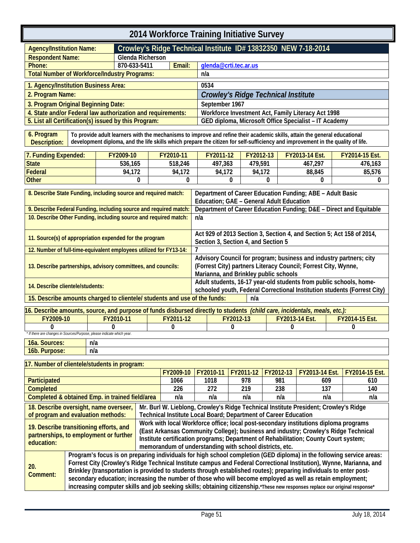<span id="page-54-0"></span>

| 2014 Workforce Training Initiative Survey                   |                  |                                                                |                                                       |  |  |  |
|-------------------------------------------------------------|------------------|----------------------------------------------------------------|-------------------------------------------------------|--|--|--|
| <b>Agency/Institution Name:</b>                             |                  | Crowley's Ridge Technical Institute ID# 13832350 NEW 7-18-2014 |                                                       |  |  |  |
| <b>Respondent Name:</b>                                     | Glenda Richerson |                                                                |                                                       |  |  |  |
| Phone:                                                      | 870-633-5411     | Email:<br>glenda@crti.tec.ar.us                                |                                                       |  |  |  |
| <b>Total Number of Workforce/Industry Programs:</b>         |                  |                                                                | n/a                                                   |  |  |  |
| 1. Agency/Institution Business Area:                        |                  |                                                                | 0534                                                  |  |  |  |
| 2. Program Name:                                            |                  |                                                                | <b>Crowley's Ridge Technical Institute</b>            |  |  |  |
| 3. Program Original Beginning Date:                         |                  |                                                                | September 1967                                        |  |  |  |
| 4. State and/or Federal law authorization and requirements: |                  |                                                                | Workforce Investment Act, Family Literacy Act 1998    |  |  |  |
| 5. List all Certification(s) issued by this Program:        |                  |                                                                | GED diploma, Microsoft Office Specialist - IT Academy |  |  |  |
|                                                             |                  |                                                                |                                                       |  |  |  |

<span id="page-54-1"></span>**6. Program Description: To provide adult learners with the mechanisms to improve and refine their academic skills, attain the general educational development diploma, and the life skills which prepare the citizen for self-sufficiency and improvement in the quality of life.**

| 7. Funding Expended: | FY2009-10 | FY2010-11 | FY2011-12 | FY2012-13 | <b>FY2013-14 Est.</b> | <b>FY2014-15 Est.</b> |
|----------------------|-----------|-----------|-----------|-----------|-----------------------|-----------------------|
| <b>State</b>         | 536.165   | 518,246   | 497.363   | 479,591   | 467,297               | 476.163               |
| Federal              | 94.172    | 94.172    | 94.172    | 94.172    | 88.845                | 85.576                |
| <b>Other</b>         |           |           |           |           |                       |                       |

| 8. Describe State Funding, including source and required match:<br>Department of Career Education Funding; ABE - Adult Basic<br>Education; GAE - General Adult Education<br>9. Describe Federal Funding, including source and required match:<br>Department of Career Education Funding; D&E - Direct and Equitable<br>10. Describe Other Funding, including source and required match:<br>n/a<br>Act 929 of 2013 Section 3, Section 4, and Section 5; Act 158 of 2014,<br>11. Source(s) of appropriation expended for the program<br>Section 3, Section 4, and Section 5<br>12. Number of full-time-equivalent employees utilized for FY13-14:<br>Advisory Council for program; business and industry partners; city<br>(Forrest City) partners Literacy Council; Forrest City, Wynne,<br>13. Describe partnerships, advisory committees, and councils:<br>Marianna, and Brinkley public schools |                                                                    |  |  |  |
|---------------------------------------------------------------------------------------------------------------------------------------------------------------------------------------------------------------------------------------------------------------------------------------------------------------------------------------------------------------------------------------------------------------------------------------------------------------------------------------------------------------------------------------------------------------------------------------------------------------------------------------------------------------------------------------------------------------------------------------------------------------------------------------------------------------------------------------------------------------------------------------------------|--------------------------------------------------------------------|--|--|--|
|                                                                                                                                                                                                                                                                                                                                                                                                                                                                                                                                                                                                                                                                                                                                                                                                                                                                                                   |                                                                    |  |  |  |
|                                                                                                                                                                                                                                                                                                                                                                                                                                                                                                                                                                                                                                                                                                                                                                                                                                                                                                   |                                                                    |  |  |  |
|                                                                                                                                                                                                                                                                                                                                                                                                                                                                                                                                                                                                                                                                                                                                                                                                                                                                                                   |                                                                    |  |  |  |
|                                                                                                                                                                                                                                                                                                                                                                                                                                                                                                                                                                                                                                                                                                                                                                                                                                                                                                   |                                                                    |  |  |  |
|                                                                                                                                                                                                                                                                                                                                                                                                                                                                                                                                                                                                                                                                                                                                                                                                                                                                                                   |                                                                    |  |  |  |
|                                                                                                                                                                                                                                                                                                                                                                                                                                                                                                                                                                                                                                                                                                                                                                                                                                                                                                   |                                                                    |  |  |  |
|                                                                                                                                                                                                                                                                                                                                                                                                                                                                                                                                                                                                                                                                                                                                                                                                                                                                                                   |                                                                    |  |  |  |
|                                                                                                                                                                                                                                                                                                                                                                                                                                                                                                                                                                                                                                                                                                                                                                                                                                                                                                   |                                                                    |  |  |  |
|                                                                                                                                                                                                                                                                                                                                                                                                                                                                                                                                                                                                                                                                                                                                                                                                                                                                                                   |                                                                    |  |  |  |
|                                                                                                                                                                                                                                                                                                                                                                                                                                                                                                                                                                                                                                                                                                                                                                                                                                                                                                   |                                                                    |  |  |  |
|                                                                                                                                                                                                                                                                                                                                                                                                                                                                                                                                                                                                                                                                                                                                                                                                                                                                                                   |                                                                    |  |  |  |
|                                                                                                                                                                                                                                                                                                                                                                                                                                                                                                                                                                                                                                                                                                                                                                                                                                                                                                   | Adult students, 16-17 year-old students from public schools, home- |  |  |  |
| 14. Describe clientele/students:<br>schooled youth, Federal Correctional Institution students (Forrest City)                                                                                                                                                                                                                                                                                                                                                                                                                                                                                                                                                                                                                                                                                                                                                                                      |                                                                    |  |  |  |
| 15. Describe amounts charged to clientele/ students and use of the funds:<br>n/a                                                                                                                                                                                                                                                                                                                                                                                                                                                                                                                                                                                                                                                                                                                                                                                                                  |                                                                    |  |  |  |

| 16. Describe amounts, source, and purpose of funds disbursed directly to students (child care, incidentals, meals, etc.): |  |  |  |  |  |  |  |
|---------------------------------------------------------------------------------------------------------------------------|--|--|--|--|--|--|--|
| FY2009-10<br>FY2011-12<br><b>FY2014-15 Est.</b><br>$Y2010-11$<br>FY2012-13<br><b>FY2013-14 Est.</b>                       |  |  |  |  |  |  |  |
|                                                                                                                           |  |  |  |  |  |  |  |
| * If there are changes in Sources/Purpose, please indicate which year.                                                    |  |  |  |  |  |  |  |

| AC<br>. JUULUUS. –<br>'ua.     | n/a |
|--------------------------------|-----|
| 6b.<br>ane<br>еш<br>wou.<br>чı | n/a |

#### **17. Number of clientele/students in program: FY2009-10 FY2010-11 FY2011-12 FY2012-13 FY2013-14 Est. FY2014-15 Est. Participated 1066 1018 978 981 609 610 Completed 226 272 219 238 137 140 Completed & obtained Emp. in trained field/area n/a n/a n/a n/a n/a n/a 18. Describe oversight, name overseer, of program and evaluation methods: Mr. Burl W. Lieblong, Crowley's Ridge Technical Institute President; Crowley's Ridge Technical Institute Local Board; Department of Career Education 19. Describe transitioning efforts, and partnerships, to employment or further education: Work with local Workforce office; local post-secondary institutions diploma programs (East Arkansas Community College); business and industry; Crowley's Ridge Technical Institute certification programs; Department of Rehabilitation; County Court system; memorandum of understanding with school districts, etc. 20. Comment: Program's focus is on preparing individuals for high school completion (GED diploma) in the following service areas: Forrest City (Crowley's Ridge Technical Institute campus and Federal Correctional Institution), Wynne, Marianna, and Brinkley (transportation is provided to students through established routes); preparing individuals to enter postsecondary education; increasing the number of those who will become employed as well as retain employment; increasing computer skills and job seeking skills; obtaining citizenship.\*These new responses replace our original response\***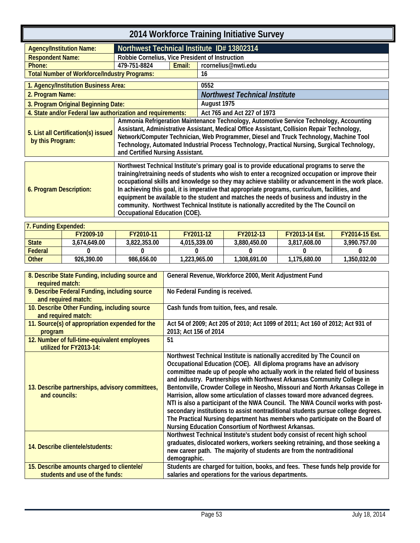<span id="page-56-1"></span><span id="page-56-0"></span>

| 2014 Workforce Training Initiative Survey                   |                                                                                                                                                                                                                                                                                                                                                                                                                                                                                                                                                                                                                                     |        |                                      |  |  |  |
|-------------------------------------------------------------|-------------------------------------------------------------------------------------------------------------------------------------------------------------------------------------------------------------------------------------------------------------------------------------------------------------------------------------------------------------------------------------------------------------------------------------------------------------------------------------------------------------------------------------------------------------------------------------------------------------------------------------|--------|--------------------------------------|--|--|--|
| <b>Agency/Institution Name:</b>                             | Northwest Technical Institute ID# 13802314                                                                                                                                                                                                                                                                                                                                                                                                                                                                                                                                                                                          |        |                                      |  |  |  |
| <b>Respondent Name:</b>                                     | Robbie Cornelius, Vice President of Instruction                                                                                                                                                                                                                                                                                                                                                                                                                                                                                                                                                                                     |        |                                      |  |  |  |
| Phone:                                                      | 479-751-8824                                                                                                                                                                                                                                                                                                                                                                                                                                                                                                                                                                                                                        | Email: | rcornelius@nwti.edu                  |  |  |  |
| <b>Total Number of Workforce/Industry Programs:</b>         |                                                                                                                                                                                                                                                                                                                                                                                                                                                                                                                                                                                                                                     |        | 16                                   |  |  |  |
| 1. Agency/Institution Business Area:                        |                                                                                                                                                                                                                                                                                                                                                                                                                                                                                                                                                                                                                                     |        | 0552                                 |  |  |  |
| 2. Program Name:                                            |                                                                                                                                                                                                                                                                                                                                                                                                                                                                                                                                                                                                                                     |        | <b>Northwest Technical Institute</b> |  |  |  |
| 3. Program Original Beginning Date:                         |                                                                                                                                                                                                                                                                                                                                                                                                                                                                                                                                                                                                                                     |        | August 1975                          |  |  |  |
| 4. State and/or Federal law authorization and requirements: |                                                                                                                                                                                                                                                                                                                                                                                                                                                                                                                                                                                                                                     |        | Act 765 and Act 227 of 1973          |  |  |  |
| 5. List all Certification(s) issued<br>by this Program:     | Ammonia Refrigeration Maintenance Technology, Automotive Service Technology, Accounting<br>Assistant, Administrative Assistant, Medical Office Assistant, Collision Repair Technology,<br>Network/Computer Technician, Web Programmer, Diesel and Truck Technology, Machine Tool<br>Technology, Automated Industrial Process Technology, Practical Nursing, Surgical Technology,<br>and Certified Nursing Assistant.                                                                                                                                                                                                                |        |                                      |  |  |  |
| 6. Program Description:                                     | Northwest Technical Institute's primary goal is to provide educational programs to serve the<br>training/retraining needs of students who wish to enter a recognized occupation or improve their<br>occupational skills and knowledge so they may achieve stability or advancement in the work place.<br>In achieving this goal, it is imperative that appropriate programs, curriculum, facilities, and<br>equipment be available to the student and matches the needs of business and industry in the<br>community. Northwest Technical Institute is nationally accredited by the The Council on<br>Occupational Education (COE). |        |                                      |  |  |  |

| <b>7. Funding Expended:</b> |              |              |              |              |                       |                       |  |  |
|-----------------------------|--------------|--------------|--------------|--------------|-----------------------|-----------------------|--|--|
|                             | FY2009-10    | FY2010-11    | FY2011-12    | FY2012-13    | <b>FY2013-14 Fst.</b> | <b>FY2014-15 Est.</b> |  |  |
| <b>State</b>                | 3.674.649.00 | 3.822.353.00 | 4.015.339.00 | 3.880.450.00 | 3.817.608.00          | 3.990.757.00          |  |  |
| <b>Federal</b>              |              |              |              |              |                       |                       |  |  |
| <b>Other</b>                | 926.390.00   | 986.656.00   | 1.223.965.00 | 1,308,691.00 | 1.175.680.00          | 1.350.032.00          |  |  |

| 8. Describe State Funding, including source and<br>required match:           | General Revenue, Workforce 2000, Merit Adjustment Fund                                                                                                                                                                                                                                                                                                                                                                                                                                                                                                                                                                                                                                                                                                                                     |
|------------------------------------------------------------------------------|--------------------------------------------------------------------------------------------------------------------------------------------------------------------------------------------------------------------------------------------------------------------------------------------------------------------------------------------------------------------------------------------------------------------------------------------------------------------------------------------------------------------------------------------------------------------------------------------------------------------------------------------------------------------------------------------------------------------------------------------------------------------------------------------|
| 9. Describe Federal Funding, including source<br>and required match:         | No Federal Funding is received.                                                                                                                                                                                                                                                                                                                                                                                                                                                                                                                                                                                                                                                                                                                                                            |
| 10. Describe Other Funding, including source<br>and required match:          | Cash funds from tuition, fees, and resale.                                                                                                                                                                                                                                                                                                                                                                                                                                                                                                                                                                                                                                                                                                                                                 |
| 11. Source(s) of appropriation expended for the<br>program                   | Act 54 of 2009; Act 205 of 2010; Act 1099 of 2011; Act 160 of 2012; Act 931 of<br>2013; Act 156 of 2014                                                                                                                                                                                                                                                                                                                                                                                                                                                                                                                                                                                                                                                                                    |
| 12. Number of full-time-equivalent employees<br>utilized for FY2013-14:      | 51                                                                                                                                                                                                                                                                                                                                                                                                                                                                                                                                                                                                                                                                                                                                                                                         |
| 13. Describe partnerships, advisory committees,<br>and councils:             | Northwest Technical Institute is nationally accredited by The Council on<br>Occupational Education (COE). All diploma programs have an advisory<br>committee made up of people who actually work in the related field of business<br>and industry. Partnerships with Northwest Arkansas Community College in<br>Bentonville, Crowder College in Neosho, Missouri and North Arkansas College in<br>Harrision, allow some articulation of classes toward more advanced degrees.<br>NTI is also a participant of the NWA Council. The NWA Council works with post-<br>secondary institutions to assist nontraditional students pursue college degrees.<br>The Practical Nursing department has members who participate on the Board of<br>Nursing Education Consortium of Northwest Arkansas. |
| 14. Describe clientele/students:                                             | Northwest Technical Institute's student body consist of recent high school<br>graduates, dislocated workers, workers seeking retraining, and those seeking a<br>new career path. The majority of students are from the nontraditional<br>demographic.                                                                                                                                                                                                                                                                                                                                                                                                                                                                                                                                      |
| 15. Describe amounts charged to clientele/<br>students and use of the funds: | Students are charged for tuition, books, and fees. These funds help provide for<br>salaries and operations for the various departments.                                                                                                                                                                                                                                                                                                                                                                                                                                                                                                                                                                                                                                                    |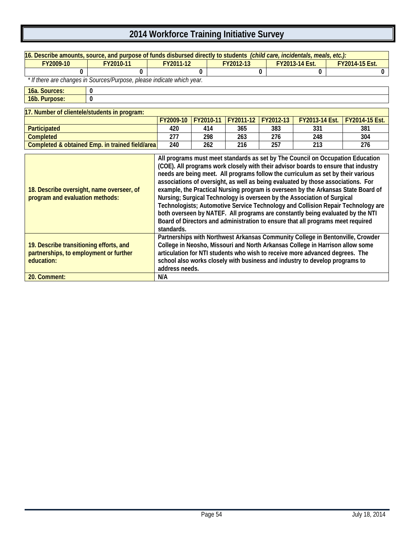| 16. Describe amounts, source, and purpose of funds disbursed directly to students (child care, incidentals, meals, etc.): |            |                                                                                                                                                                                                                                                                                                                                                                                                                                                                                                                                                                                                                                                                                                                                                                       |           |           |                       |                                                                                                                                                                                                                                              |                       |                                                                                |  |
|---------------------------------------------------------------------------------------------------------------------------|------------|-----------------------------------------------------------------------------------------------------------------------------------------------------------------------------------------------------------------------------------------------------------------------------------------------------------------------------------------------------------------------------------------------------------------------------------------------------------------------------------------------------------------------------------------------------------------------------------------------------------------------------------------------------------------------------------------------------------------------------------------------------------------------|-----------|-----------|-----------------------|----------------------------------------------------------------------------------------------------------------------------------------------------------------------------------------------------------------------------------------------|-----------------------|--------------------------------------------------------------------------------|--|
| FY2009-10                                                                                                                 | FY2010-11  | FY2011-12                                                                                                                                                                                                                                                                                                                                                                                                                                                                                                                                                                                                                                                                                                                                                             |           | FY2012-13 |                       | FY2013-14 Est.                                                                                                                                                                                                                               |                       | FY2014-15 Est.                                                                 |  |
| 0                                                                                                                         | 0          |                                                                                                                                                                                                                                                                                                                                                                                                                                                                                                                                                                                                                                                                                                                                                                       | $\Omega$  |           | 0                     | 0                                                                                                                                                                                                                                            |                       | 0                                                                              |  |
| * If there are changes in Sources/Purpose, please indicate which year.                                                    |            |                                                                                                                                                                                                                                                                                                                                                                                                                                                                                                                                                                                                                                                                                                                                                                       |           |           |                       |                                                                                                                                                                                                                                              |                       |                                                                                |  |
| 16a. Sources:                                                                                                             | 0          |                                                                                                                                                                                                                                                                                                                                                                                                                                                                                                                                                                                                                                                                                                                                                                       |           |           |                       |                                                                                                                                                                                                                                              |                       |                                                                                |  |
| 16b. Purpose:<br>0                                                                                                        |            |                                                                                                                                                                                                                                                                                                                                                                                                                                                                                                                                                                                                                                                                                                                                                                       |           |           |                       |                                                                                                                                                                                                                                              |                       |                                                                                |  |
| 17. Number of clientele/students in program:                                                                              |            |                                                                                                                                                                                                                                                                                                                                                                                                                                                                                                                                                                                                                                                                                                                                                                       |           |           |                       |                                                                                                                                                                                                                                              |                       |                                                                                |  |
|                                                                                                                           | FY2009-10  | FY2010-11                                                                                                                                                                                                                                                                                                                                                                                                                                                                                                                                                                                                                                                                                                                                                             | FY2011-12 | FY2012-13 | <b>FY2013-14 Est.</b> |                                                                                                                                                                                                                                              | <b>FY2014-15 Est.</b> |                                                                                |  |
| Participated                                                                                                              |            | 420                                                                                                                                                                                                                                                                                                                                                                                                                                                                                                                                                                                                                                                                                                                                                                   | 414       | 365       | 383                   | 331                                                                                                                                                                                                                                          |                       | 381                                                                            |  |
| <b>Completed</b>                                                                                                          |            | 277                                                                                                                                                                                                                                                                                                                                                                                                                                                                                                                                                                                                                                                                                                                                                                   | 298       | 263       | 276                   | 248                                                                                                                                                                                                                                          |                       | 304                                                                            |  |
| Completed & obtained Emp. in trained field/area                                                                           |            | 240                                                                                                                                                                                                                                                                                                                                                                                                                                                                                                                                                                                                                                                                                                                                                                   | 262       | 216       | 257                   | 213                                                                                                                                                                                                                                          |                       | 276                                                                            |  |
| 18. Describe oversight, name overseer, of<br>program and evaluation methods:                                              | standards. | All programs must meet standards as set by The Council on Occupation Education<br>(COE). All programs work closely with their advisor boards to ensure that industry<br>needs are being meet. All programs follow the curriculum as set by their various<br>associations of oversight, as well as being evaluated by those associations. For<br>example, the Practical Nursing program is overseen by the Arkansas State Board of<br>Nursing; Surgical Technology is overseen by the Association of Surgical<br>Technologists; Automotive Service Technology and Collision Repair Technology are<br>both overseen by NATEF. All programs are constantly being evaluated by the NTI<br>Board of Directors and administration to ensure that all programs meet required |           |           |                       |                                                                                                                                                                                                                                              |                       |                                                                                |  |
| 19. Describe transitioning efforts, and<br>partnerships, to employment or further<br>education:<br>20. Comment:           |            | address needs.<br>N/A                                                                                                                                                                                                                                                                                                                                                                                                                                                                                                                                                                                                                                                                                                                                                 |           |           |                       | College in Neosho, Missouri and North Arkansas College in Harrison allow some<br>articulation for NTI students who wish to receive more advanced degrees. The<br>school also works closely with business and industry to develop programs to |                       | Partnerships with Northwest Arkansas Community College in Bentonville, Crowder |  |